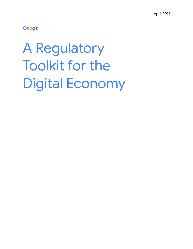Google

# A Regulatory Toolkit for the Digital Economy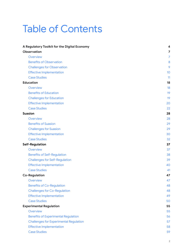### Table of Contents

| A Regulatory Toolkit for the Digital Economy  | 4               |
|-----------------------------------------------|-----------------|
| <b>Observation</b>                            | 7               |
| Overview                                      | 7               |
| <b>Benefits of Observation</b>                | 8               |
| <b>Challenges for Observation</b>             | 9               |
| <b>Effective Implementation</b>               | 10 <sup>°</sup> |
| <b>Case Studies</b>                           | 11              |
| <b>Education</b>                              | 18              |
| Overview                                      | 18              |
| <b>Benefits of Education</b>                  | 19              |
| <b>Challenges for Education</b>               | 19              |
| <b>Effective Implementation</b>               | 20              |
| <b>Case Studies</b>                           | 22              |
| <b>Suasion</b>                                | 28              |
| Overview                                      | 28              |
| <b>Benefits of Suasion</b>                    | 29              |
| <b>Challenges for Suasion</b>                 | 29              |
| <b>Effective Implementation</b>               | 30              |
| <b>Case Studies</b>                           | 32              |
| <b>Self-Regulation</b>                        | 37              |
| Overview                                      | 37              |
| <b>Benefits of Self-Regulation</b>            | 38              |
| <b>Challenges for Self-Regulation</b>         | 39              |
| <b>Effective Implementation</b>               | 40              |
| <b>Case Studies</b>                           | 41              |
| <b>Co-Regulation</b>                          | 47              |
| Overview                                      | 47              |
| <b>Benefits of Co-Regulation</b>              | 48              |
| <b>Challenges for Co-Regulation</b>           | 48              |
| <b>Effective Implementation</b>               | 49              |
| <b>Case Studies</b>                           | 50              |
| <b>Experimental Regulation</b>                | 55              |
| Overview                                      | 55              |
| <b>Benefits of Experimental Regulation</b>    | 56              |
| <b>Challenges for Experimental Regulation</b> | 57              |
| <b>Effective Implementation</b>               | 58              |
| <b>Case Studies</b>                           | 59              |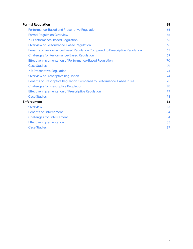<span id="page-2-0"></span>

| <b>Formal Regulation</b>                                                     | 65 |
|------------------------------------------------------------------------------|----|
| Performance-Based and Prescriptive Regulation                                | 65 |
| <b>Formal Regulation Overview</b>                                            | 65 |
| 7.A Performance-Based Regulation                                             | 66 |
| <b>Overview of Performance-Based Regulation</b>                              | 66 |
| Benefits of Performance-Based Regulation Compared to Prescriptive Regulation | 67 |
| <b>Challenges for Performance-Based Regulation</b>                           | 69 |
| <b>Effective Implementation of Performance-Based Regulation</b>              | 70 |
| <b>Case Studies</b>                                                          | 71 |
| 7.B: Prescriptive Regulation                                                 | 74 |
| <b>Overview of Prescriptive Regulation</b>                                   | 74 |
| Benefits of Prescriptive Regulation Compared to Performance-Based Rules      | 75 |
| <b>Challenges for Prescriptive Regulation</b>                                | 76 |
| <b>Effective Implementation of Prescriptive Regulation</b>                   | 77 |
| <b>Case Studies</b>                                                          | 78 |
| <b>Enforcement</b>                                                           | 83 |
| Overview                                                                     | 83 |
| <b>Benefits of Enforcement</b>                                               | 84 |
| <b>Challenges for Enforcement</b>                                            | 84 |
| <b>Effective Implementation</b>                                              | 85 |
| <b>Case Studies</b>                                                          | 87 |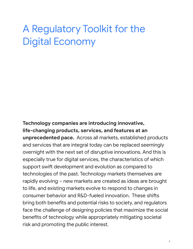### A Regulatory Toolkit for the Digital Economy

**Technology companies are introducing innovative, life-changing products, services, and features at an unprecedented pace.** Across all markets, established products and services that are integral today can be replaced seemingly overnight with the next set of disruptive innovations. And this is especially true for digital services, the characteristics of which support swift development and evolution as compared to technologies of the past. Technology markets themselves are rapidly evolving – new markets are created as ideas are brought to life, and existing markets evolve to respond to changes in consumer behavior and R&D-fueled innovation. These shifts bring both benefits and potential risks to society, and regulators face the challenge of designing policies that maximize the social benefits of technology while appropriately mitigating societal risk and promoting the public interest.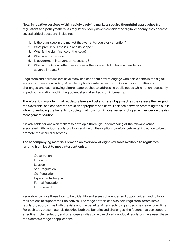**New, innovative services within rapidly evolving markets require thoughtful approaches from regulators and policymakers.** As regulatory policymakers consider the digital economy, they address several critical questions, including:

- 1. Is there an issue in the market that warrants regulatory attention?
- 2. What precisely is the issue and its scope?
- 3. What is the significance of the issue?
- 4. What are the causes?
- 5. Is government intervention necessary?
- 6. What action(s) can effectively address the issue while limiting unintended or adverse impacts?

Regulators and policymakers have many choices about how to engage with participants in the digital economy. There are a variety of regulatory tools available, each with its own opportunities and challenges, and each allowing different approaches to addressing public needs while not unnecessarily impeding innovation and limiting potential social and economic benefits.

Therefore, it is important that regulators take a robust and careful approach as they assess the range of tools available, and endeavor to strike an appropriate and careful balance between protecting the public while not reducing the benefits to society that flow from innovative technologies as they design the risk management solution.

It is advisable for decision makers to develop a thorough understanding of the relevant issues associated with various regulatory tools and weigh their options carefully before taking action to best promote the desired outcomes.

**The accompanying materials provide an overview of eight key tools available to regulators, ranging from least to most interventionist:**

- Observation
- Education
- Suasion
- Self-Regulation
- Co-Regulation
- Experimental Regulation
- Formal Regulation
- **Enforcement**

Regulators can use these tools to help identify and assess challenges and opportunities, and to tailor their actions to support their objectives. The range of tools can also help regulators iterate into a regulatory approach as both the risks and the benefits of new technologies become clearer over time. For each tool, these materials describe both the benefits and challenges, the factors that can support effective implementation, and offer case studies to help explore how global regulators have used these tools across a range of applications.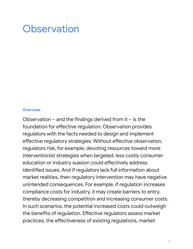### **Observation**

#### <span id="page-5-0"></span>**Overview**

Observation – and the findings derived from it – is the foundation for effective regulation. Observation provides regulators with the facts needed to design and implement effective regulatory strategies. Without effective observation, regulators risk, for example, devoting resources toward more interventionist strategies when targeted, less costly consumer education or industry suasion could effectively address identified issues. And if regulators lack full information about market realities, then regulatory intervention may have negative unintended consequences. For example, if regulation increases compliance costs for industry, it may create barriers to entry, thereby decreasing competition and increasing consumer costs. In such scenarios, the potential increased costs could outweigh the benefits of regulation. Effective regulators assess market practices, the effectiveness of existing regulations, market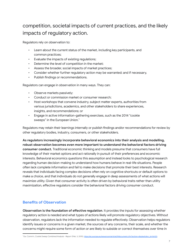### competition, societal impacts of current practices, and the likely impacts of regulatory action.

Regulators rely on observation to:

- Learn about the current status of the market, including key participants, and common practices;
- Evaluate the impacts of existing regulations;
- Determine the level of competition in the market;
- Assess the broader, social impacts of market practices;
- Consider whether further regulatory action may be warranted; and if necessary,
- Publish findings or recommendations.

Regulators can engage in observation in many ways. They can:

- Observe markets passively;
- Conduct or commission market or consumer research;
- Host workshops that convene industry, subject matter experts, authorities from various jurisdictions, academics, and other stakeholders to share experiences, insights, and recommendations; or
- Engage in active information-gathering exercises, such as the 2014 "cookie sweeps" in the European Union. $^{\rm 1}$

Regulators may retain their learnings internally or publish findings and/or recommendations for review by other regulatory bodies, industry, consumers, or other stakeholders.

**As regulators increasingly incorporate behavioral economics into their analysis and modelling, robust observation becomes even more important to understand the behavioral factors driving consumer conduct.** Traditional economic thinking and models presume that consumers have full knowledge of their market options and act rationally in pursuit of their preferences and economic interests. Behavioral economics questions this assumption and instead looks to psychological research regarding human decision-making to understand how humans behave in real-life situations. People often lack complete information and fail to make decisions that promote their best interests. Research reveals that individuals facing complex decisions often rely on cognitive shortcuts or default options to make a choice, and that individuals do not generally engage in deep assessments of what actions will maximize utility. Given that consumer activity is often driven by behavioral traits rather than utility maximization, effective regulators consider the behavioral factors driving consumer conduct.

#### <span id="page-6-0"></span>**Benefits of Observation**

**Observation is the foundation of effective regulation**. It provides the inputs for assessing whether regulatory action is needed and what types of actions likely will promote regulatory objectives. Without observation, regulators lack the information needed to regulate effectively. Observation helps regulators identify issues or concerns in a given market, the sources of any concerns, their scale, and whether the concerns might require some form of action or are likely to subside or correct themselves over time in

<sup>1</sup> Eur. Comm'n, *Cookie Sweep Combined Analysis - Report* (Feb. 3, 2015), [https://ec.europa.eu/newsroom/article29/document.cfm?action=display&doc\\_id=56123.](https://ec.europa.eu/newsroom/article29/document.cfm?action=display&doc_id=56123)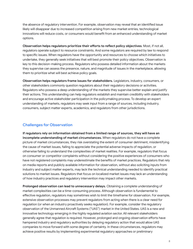the absence of regulatory intervention. For example, observation may reveal that an identified issue likely will disappear due to increased competition arising from new market entries, technological innovations will reduce costs, or consumers would benefit from an enhanced understanding of market options.

**Observation helps regulators prioritize their efforts to reflect policy objectives**. Most, if not all, regulators operate subject to resource constraints. And some regulators are required by law to respond to specific issues. When regulators have the opportunity and resources to choose which initiatives to undertake, they generally seek initiatives that will best promote their policy objectives. Observation is key to this decision-making process. Regulators who possess detailed information about the markets they supervise can assess the presence, nature, and magnitude of issues in the marketplace, allowing them to prioritize what will best achieve policy goals.

**Observation helps regulators frame issues for stakeholders.** Legislators, industry, consumers, or other stakeholders commonly question regulators about their regulatory decisions or activities. Regulators who possess a deep understanding of the markets they supervise better explain and justify their actions. This understanding can help regulators establish and maintain credibility with stakeholders and encourage active stakeholder participation in the policymaking process. To develop an expert understanding of markets, regulators may seek input from a range of sources, including industry, consumers, subject matter experts, academics, and regulators from other jurisdictions.

#### <span id="page-7-0"></span>**Challenges for Observation**

**If regulators rely on information obtained from a limited range of sources, they will have an incomplete understanding of market circumstances.** When regulators do not have a complete picture of market circumstances, they risk overstating the extent of consumer detriment, misidentifying the cause of market issues, failing to appreciate the potential adverse impacts of regulation, or otherwise failing to understand the complexities of market realities. For example, regulators that focus on consumer or competitor complaints without considering the positive experiences of consumers who have not registered complaints may underestimate the benefits of market practices. Regulators that rely on media reports and publicly available information for observation, without also soliciting inputs from industry and subject matter experts, may lack the technical understanding needed to identify practical solutions to market issues. Regulators that focus on localized market issues may lack an understanding of how industry practices and regulatory intervention may impact other markets.

**Prolonged observation can lead to unnecessary delays.** Obtaining a complete understanding of market complexities can be a time-consuming process. Although observation is fundamental to effective regulation, regulators may sometimes wish to limit the timeframe for observation. For example, extensive observation processes may prevent regulators from acting when there is a clear need for regulation (or when an industry proactively seeks regulation). For example, consider the regulatory observation of the Unmanned Aircraft Systems ("UAS") market in the United States. UAS is a new and innovative technology emerging in the highly regulated aviation sector. All relevant stakeholders generally agree that regulation is required. However, prolonged and ongoing observation efforts have hampered industry and regulatory authorities by delaying regulatory action that would allow UAS companies to move forward with some degree of certainty. In these circumstances, regulators may achieve positive results by implementing experimental regulatory approaches or preliminary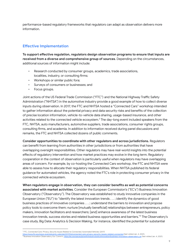performance-based regulatory frameworks that regulators can adapt as observation delivers more information.

#### <span id="page-8-0"></span>**Effective Implementation**

**To support effective regulation, regulators design observation programs to ensure that inputs are received from a diverse and comprehensive group of sources**. Depending on the circumstances, additional sources of information might include:

- Research conducted by consumer groups, academics, trade associations, localities, industry, or consulting firms;
- Workshops or similar public fora;
- Surveys of consumers or businesses; and
- Focus groups.

Joint actions of the US Federal Trade Commission ("FTC") and the National Highway Traffic Safety Administration ("NHTSA") in the automotive industry provide a good example of how to collect diverse inputs during observation. In 2017, the FTC and NHTSA hosted a "Connected Cars" workshop intended to gather information about the potential privacy and data security risks and benefits of the collection of precise location information, vehicle-to-vehicle data sharing, usage-based insurance, and other activities related to the connected vehicle ecosystem. $^2$  The day-long event included speakers from the FTC, NHTSA, auto manufacturers, automotive suppliers, trade associations, consumer rights groups, consulting firms, and academia. In addition to information received during panel discussions and remarks, the FTC and NHTSA collected dozens of public comments.

**Consider opportunities to coordinate with other regulators and across jurisdictions.** Regulators can benefit from learning from authorities in other jurisdictions or from authorities that have overlapping oversight responsibilities. Other regulators may have real-world insights into the potential effects of regulatory intervention and how market practices may evolve in the long term. Regulatory cooperation in the context of observation is particularly useful when regulators may have overlapping areas of concern. For example, by co-hosting the Connected Cars workshop, the FTC and NHTSA were able to assess how to allocate their regulatory responsibilities. When NHTSA published its federal guidance for automated vehicles, the agency noted the FTC's role in protecting consumer privacy in the connected vehicle ecosystem.

**When regulators engage in observation, they can consider benefits as well as potential concerns associated with market activities**. Consider the European Commission's ("EC's") Business Innovation Observatory ("Observatory"). The Observatory was established to study innovative companies in the European Union ("EU") to "identify the latest innovation trends . . . ; identify the dynamics of good business practices of innovative companies . . . ; understand the barriers to innovation and propose policy tools to overcome them; nurture [mutually beneficial] relationships between entrepreneurs, policy makers, innovation facilitators and researchers; [and] enhance awareness of the latest business innovation trends, success stories and related business opportunities and barriers." <sup>3</sup> The Observatory's case study, Big Data: Analytics & Decision Making, for instance, identified the potential for substantial

nthes://www.rtc.gownews-events/events-curentalizer///www.micededeede//www.recent.com/servervatory\_englenders-innovation-observatory\_englest visited Jan. 4, 2021).<br><sup>3</sup> Business Innovation Observatory, Eur. Comm'n, https://e r/2017/06/connected-cars-privacy-security-issues-related-connected (last visited Jan. 4, 2021).

<sup>2</sup> FTC, *Connected Cars: Privacy, Security Issues Related to Connected, Automated Vehicles* (2017)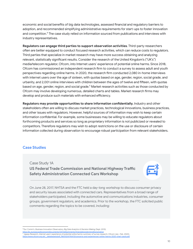economic and social benefits of big data technologies, assessed financial and regulatory barriers to adoption, and recommended simplifying administrative requirements for start-ups to foster innovation and competition. <sup>4</sup> The case study relied on information sourced from publications and interviews with industry representatives.

**Regulators can engage third parties to support observation activities**. Third-party researchers often are better equipped to conduct focused research activities, which can reduce costs to regulators. Third parties that specialize in market research may have more success obtaining and analyzing relevant, statistically significant results. Consider the research of the United Kingdom's ("UK's") media/telecom regulator, Ofcom, into Internet users' experience of potential online harms. Since 2018, Ofcom has commissioned an independent research firm to conduct a survey to assess adult and youth perspectives regarding online harms. In 2020, the research firm conducted 2,080 in-home interviews with internet users over the age of sixteen, with quotas based on age, gender, region, social grade, and urbanity, and 2,001 online interviews with children between the ages of twelve and fifteen, with quotas based on age, gender, region, and social grade.<sup>5</sup> Market research activities such as those conducted by Ofcom may involve developing numerous, detailed charts and tables. Market research firms may develop and produce such materials with enhanced efficiency.

**Regulators may provide opportunities to share information confidentially.** Industry and other stakeholders often are willing to discuss market practices, technological innovations, business practices, and other issues with regulators. However, helpful sources of information may wish to keep certain information confidential. For example, some businesses may be willing to educate regulators about forthcoming products and services so long as proprietary information is not publicized or revealed to competitors. Therefore regulators may wish to adopt restrictions on the use or disclosure of certain information collected during observation to encourage robust participation from relevant stakeholders.

#### <span id="page-9-0"></span>**Case Studies**

Case Study 1A **US Federal Trade Commission and National Highway Traffic Safety Administration Connected Cars Workshop**

On June 28, 2017, NHTSA and the FTC held a day-long workshop to discuss consumer privacy and security issues associated with connected cars. Representatives from a broad range of stakeholders participated, including the automotive and communications industries, consumer groups, government regulators, and academics. Prior to the workshop, the FTC solicited public comments regarding the topics to be covered, including:

<sup>4</sup> Eur. Comm'n, *Business Innovation Observatory, Big Data Analytics & Decision Making* (Sept. 2013), https://ec.europa.eu/docsroom/documents/13411/attachments/1/translations/en/rendit

<sup>5</sup> Jigsaw Research, *Internet users' experience of potential online harms: summary of survey research*, Ofcom (Jan.–Feb. 2020), data/assets/pdf\_file/0024/196413/concerns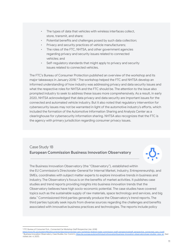- The types of data that vehicles with wireless interfaces collect, store, transmit, and share;
- Potential benefits and challenges posed by such data collection;
- Privacy and security practices of vehicle manufacturers;
- The roles of the FTC, NHTSA, and other government agencies regarding privacy and security issues related to connected vehicles; and
- Self-regulatory standards that might apply to privacy and security issues related to connected vehicles.

The FTC's Bureau of Consumer Protection published an overview of the workshop and its major takeaways in January 2018.<sup>6</sup> The workshop helped the FTC and NHTSA develop an informed understanding of how industry was addressing privacy and data security issues and what the respective roles for NHTSA and the FTC should be. The attention to the issue also prompted industry to seek to address these issues more comprehensively. As a result, in early 2020, NHTSA acknowledged that data privacy and data security are important issues for the connected and automated vehicle industry. But it also noted that regulatory intervention for cybersecurity issues may not be warranted in light of the automotive industry's efforts, which included the formation of the Automotive Information Sharing and Analysis Center as a clearinghouse for cybersecurity information sharing. NHTSA also recognizes that the FTC is the agency with primary jurisdiction regarding consumer privacy issues.

#### Case Study 1B **European Commission Business Innovation Observatory**

The Business Innovation Observatory (the "Observatory"), established within the EU Commission's Directorate-General for Internal Market, Industry, Entrepreneurship, and SMEs, coordinates with subject matter experts to explore innovative trends in business and industry. The Observatory's focus is on the benefits of market activities. It publishes case studies and trend reports providing insights into business innovation trends that the Observatory believes have high socio-economic potential. The case studies have covered topics such as the sustainable supply of raw materials, space technology and services, and big data. <sup>7</sup> Commissioned third parties generally produce the Observatory's trend reports. The third parties typically seek inputs from diverse sources regarding the challenges and benefits associated with innovative business practices and technologies. The reports include policy

<sup>6</sup> FTC Bureau of Consumer Prot., *Connected Car Workshop Staff Perspective* (Jan. 2018)

<sup>7&</sup>lt;br>Alteria Business Innovation Observatory, Case Studies, Eur. Comm'n, [https://ec.europa.eu/growth/industry/innovation/business-innovation-observatory/case-studies\\_view\\_en](https://ec.europa.eu/growth/industry/innovation/business-innovation-observatory/case-studies_view_en) (last visited Jan. 4, 2021). https://www.ftc.gov/system/files/documents/reports/connected-cars-workshop-federal-trade-commission-staff-pers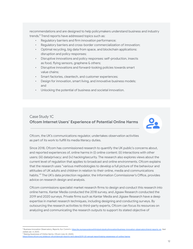recommendations and are designed to help policymakers understand business and industry trends. <sup>8</sup> Trend reports have addressed topics such as:

- Regulatory barriers and firm innovation performance;
- Regulatory barriers and cross-border commercialization of innovation;
- Optimal recycling, big data from space, and blockchain applications: disruption and policy responses;
- Disruptive innovations and policy responses: self-production, insects as food, flying sensors, graphene & others;
- Disruptive innovations and forward-looking policies towards smart value chains;
- Smart factories, cleantech, and customer experiences;
- Design for innovation, smart living, and innovative business models; and
- Unlocking the potential of business and societal innovation.

#### Case Study 1C **Ofcom Internet Users' Experience of Potential Online Harms**



Ofcom, the UK's communications regulator, undertakes observation activities as part of its work to fulfill its media literacy duties.

Since 2018, Ofcom has commissioned research to quantify the UK public's concerns about, and reported experiences of, online harms in (i) online content; (ii) interactions with other users; (iii) data/privacy; and (iv) hacking/security. The research also explores views about the current level of regulation that applies to broadcast and online environments. Ofcom explains that the research uses "various methodologies to develop a full picture of the behaviour and attitudes of UK adults and children in relation to their online, media and communications habits." <sup>9</sup> The UK's data protection regulator, the Information Commissioner's Office, provides advice on research design and analysis.

Ofcom commissions specialist market research firms to design and conduct this research into online harms. Kantar Media conducted the 2018 survey, and Jigsaw Research conducted the 2019 and 2020 surveys. Private firms such as Kantar Media and Jigsaw Research have a deep expertise in market research techniques, including designing and conducting surveys. By outsourcing the research activities to third-party experts, Ofcom can focus its resources on analyzing and communicating the research outputs to support its stated objective of

<sup>&</sup>lt;sup>8</sup> Business Innovation Observatory, *Reports,* Eur. Comm'n, <u>https://ec.europa.eu/growth/industry/policy/innovation/business-innovation-observatory/trend-reports</u> visited Jan. 4, 2021).

<sup>9</sup> *Raising Awareness of Online Harms*, Ofcom (July 22, 2020), ..<br>d-plans/2019-20-annual-report/raising-a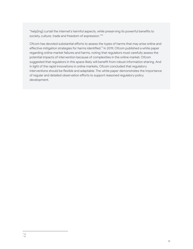"help[ing] curtail the internet's harmful aspects, while preserving its powerful benefits to society, culture, trade and freedom of expression." 10

Ofcom has devoted substantial efforts to assess the types of harms that may arise online and effective mitigation strategies for harms identified.<sup>11</sup> In 2019, Ofcom published a white paper regarding online market failures and harms, noting that regulators must carefully assess the potential impacts of intervention because of complexities in the online market. Ofcom suggested that regulators in this space likely will benefit from robust information sharing. And in light of the rapid innovations in online markets, Ofcom concluded that regulatory interventions should be flexible and adaptable. The white paper demonstrates the importance of regular and detailed observation efforts to support reasoned regulatory policy development.

<sup>11</sup> *Id.* 10 *Id.*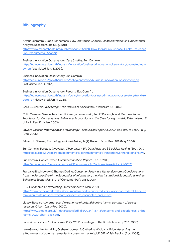#### **Bibliography**

Arthur Schramm & Joep Sonnemans, *How Individuals Choose Health Insurance: An Experimental Analysis*, ResearchGate (Aug. 2011),

[https://www.researchgate.net/publication/227356018\\_How\\_Individuals\\_Choose\\_Health\\_Insurance](https://www.researchgate.net/publication/227356018_How_Individuals_Choose_Health_Insurance_An_Experimental_Analysis) An Experimental Analysis.

Business Innovation Observatory, *Case Studies*, Eur. Comm'n, [https://ec.europa.eu/growth/industry/innovation/business-innovation-observatory/case-studies\\_vi](https://ec.europa.eu/growth/industry/innovation/business-innovation-observatory/case-studies_view_en) ew en (last visited Jan. 4, 2021).

Business Innovation Observatory, Eur. Comm'n, [https://ec.europa.eu/growth/industry/policy/innovation/business-innovation-observatory\\_en](https://ec.europa.eu/growth/industry/policy/innovation/business-innovation-observatory_en) (last visited Jan. 4, 2021).

Business Innovation Observatory, *Reports,* Eur. Comn'n, [https://ec.europa.eu/growth/industry/policy/innovation/business-innovation-observatory/trend-re](https://ec.europa.eu/growth/industry/policy/innovation/business-innovation-observatory/trend-reports_en) ports en (last visited Jan. 4, 2021).

Cass R. Sunstein, *Why Nudge? The Politics of Libertarian Paternalism* 58 (2014).

Colin Camerer, Samuel Issacharoff, George Lowenstein, Ted O'Donoughue, & Matthew Rabin, *Regulation for Conservatives: Behavioral Economics and the Case for Asymmetric Paternalism*, 151 U. Pa. L. Rev. 1211 (Jan. 2003).

Edward Glaeser, *Paternalism and Psychology* - *Discussion Paper No. 2097*, Har. Inst. of Econ. Pol'y, (Dec. 2005).

Edward L. Glaeser, *Psychology and the Market*, 94(2) The Am. Econ. Rev. 408 (May 2004).

Eur. Comm'n, *Business Innovation Observatory, Big Data Analytics & Decision Making* (Sept. 2013), [https://ec.europa.eu/docsroom/documents/13411/attachments/1/translations/en/renditions/native.](https://ec.europa.eu/docsroom/documents/13411/attachments/1/translations/en/renditions/native)

Eur. Comn'n, *Cookie Sweep Combined Analysis Report* (Feb. 3, 2015), [https://ec.europa.eu/newsroom/article29/document.cfm?action=display&doc\\_id=56123](https://ec.europa.eu/newsroom/article29/document.cfm?action=display&doc_id=56123).

Franziska Rischlowsky & Thomas Doring, *Consumer Policy in a Market Economy: Considerations from the Perspective of the Economics of Information, the New Institutional Economic as well as Behavioral Economics,* 31 J. of Consumer Pol'y 285 (2008).

FTC, *Connected Car Workshop Staff Perspective* (Jan. 2018) [https://www.ftc.gov/system/files/documents/reports/connected-cars-workshop-federal-trade-co](https://www.ftc.gov/system/files/documents/reports/connected-cars-workshop-federal-trade-commission-staff-perspective/staff_perspective_connected_cars_0.pdf) [mmission-staff-perspective/staff\\_perspective\\_connected\\_cars\\_0.pdf.](https://www.ftc.gov/system/files/documents/reports/connected-cars-workshop-federal-trade-commission-staff-perspective/staff_perspective_connected_cars_0.pdf)

Jigsaw Research, *Internet users' experience of potential online harms: summary of survey research*, Ofcom (Jan.–Feb. 2020),

https://www.ofcom.org.uk/ data/assets/pdf file/0024/196413/concerns-and-experiences-online[harms-2020-chart-pack.pdf.](https://www.ofcom.org.uk/__data/assets/pdf_file/0024/196413/%E2%80%8Cconcerns-and-experiences-online-harms-2020-chart-pack.pdf)

John Vickers, *Econ. for Consumer Pol'y,* 125 Proceedings of the British Academy 287 (2003).

Luke Garrod, Morten Hviid, Graham Loomes, & Catherine Waddams Price, *Assessing the effectiveness of potential remedies in consumer markets*, UK Off. of Fair Trading (Apr. 2008),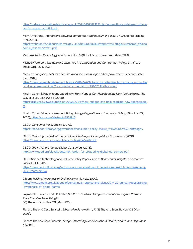[https://webarchive.nationalarchives.gov.uk/20140402182923/http://www.oft.gov.uk/shared\\_oft/eco](https://webarchive.nationalarchives.gov.uk/20140402182923/http://www.oft.gov.uk/shared_oft/economic_research/oft994.pdf) [nomic\\_research/oft994.pdf.](https://webarchive.nationalarchives.gov.uk/20140402182923/http://www.oft.gov.uk/shared_oft/economic_research/oft994.pdf)

Mark Armstrong, *Interactions between competition and consumer policy*, UK Off. of Fair Trading (Apr. 2008),

[https://webarchive.nationalarchives.gov.uk/20140402182838/http://www.oft.gov.uk/shared\\_oft/eco](https://webarchive.nationalarchives.gov.uk/20140402182838/http://www.oft.gov.uk/shared_oft/economic_research/oft991.pdf) [nomic\\_research/oft991.pdf](https://webarchive.nationalarchives.gov.uk/20140402182838/http://www.oft.gov.uk/shared_oft/economic_research/oft991.pdf).

Matthew Rabin, *Psychology and Economics*, 36(1) J. of Econ. Literature 11 (Mar. 1998).

Michael Waterson, *The Role of Consumers in Competition and Competition Policy*, 21 Int'l J. of Indus. Org. 129 (2003).

Nicoletta Rangone, *Tools for effective law: a focus on nudge and empowerment,* ResearchGate (Jan. 2017),

[https://www.researchgate.net/publication/320466208\\_Tools\\_for\\_effective\\_law\\_a\\_focus\\_on\\_nudge](https://www.researchgate.net/publication/320466208_Tools_for_effective_law_a_focus_on_nudge_and_empowerment_in_Concorrenza_e_mercato_n_252017_Forthcoming) [\\_and\\_empowerment\\_in\\_Concorrenza\\_e\\_mercato\\_n\\_252017\\_Forthcoming.](https://www.researchgate.net/publication/320466208_Tools_for_effective_law_a_focus_on_nudge_and_empowerment_in_Concorrenza_e_mercato_n_252017_Forthcoming)

Nissim Cohen & Hadar Yoana Jabotinsky, *How Nudges Can Help Regulate New Technologies*, The CLS Blue Sky Blog (Apr. 17, 2020),

[https://clsbluesky.law.columbia.edu/2020/04/17/how-nudges-can-help-regulate-new-technologie](https://clsbluesky.law.columbia.edu/2020/04/17/how-nudges-can-help-regulate-new-technologies/) [s/.](https://clsbluesky.law.columbia.edu/2020/04/17/how-nudges-can-help-regulate-new-technologies/)

Nissim Cohen & Hadar Yoana Jabotinksy, *Nudge Regulation and Innovation Policy*, SSRN (Jan.22, 2020), <https://ssrn.com/abstract=3523910>.

OECD, *Consumer Policy Toolkit* (2010), [https://read.oecd-ilibrary.org/governance/consumer-policy-toolkit\\_9789264079663-en#page1.](https://read.oecd-ilibrary.org/governance/consumer-policy-toolkit_9789264079663-en#page1)

OECD, *Reducing the Risk of Policy Failure: Challenges for Regulatory Compliance* (2010), [https://www.oecd.org/gov/regulatory-policy/46466287.pdf.](https://www.oecd.org/gov/regulatory-policy/46466287.pdf)

OECD, *Toolkit for Protecting Digital Consumers* (2018),

<http://www.oecd.org/digital/consumer/toolkit-for-protecting-digital-consumers.pdf>.

OECD Science Technology and Industry Policy Papers, *Use of Behavioural Insights in Consumer Policy,* OECD (2017),

[https://www.oecd-ilibrary.org/industry-and-services/use-of-behavioural-insights-in-consumer-p](https://www.oecd-ilibrary.org/industry-and-services/use-of-behavioural-insights-in-consumer-policy_c2203c35-en) [olicy\\_c2203c35-en](https://www.oecd-ilibrary.org/industry-and-services/use-of-behavioural-insights-in-consumer-policy_c2203c35-en).

Ofcom, *Raising Awareness of Online Harms* (July 22, 2020), [https://www.ofcom.org.uk/about-ofcom/annual-reports-and-plans/2019-20-annual-report/raising](https://www.ofcom.org.uk/about-ofcom/annual-reports-and-plans/2019-20-annual-report/raising-awareness-of-online-harms) [-awareness-of-online-harms](https://www.ofcom.org.uk/about-ofcom/annual-reports-and-plans/2019-20-annual-report/raising-awareness-of-online-harms).

Raymond D. Sauer & Keith B. Leffer, *Did the FTC's Advertising Substantiation Program Promote More Credible Advertising?*, 8(1) The Am. Econ. Rev. 191 (Mar. 1990).

Richard Thaler & Cass Sunstein, *Libertarian Paternalism*, 93(2) The Am. Econ. Review 175 (May 2003).

Richard Thaler & Cass Sunstein, *Nudge: Improving Decisions About Health, Wealth, and Happiness* 6 (2008).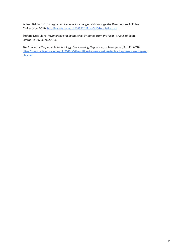Robert Baldwin, *From regulation to behavior change: giving nudge the third degree*, LSE Res. Online (Nov. 2015), <http://eprints.lse.ac.uk/64343/1/From%20Regulation.pdf>.

Stefano DellaVigna, *Psychology and Economics: Evidence from the Field*, 47(2) J. of Econ. Literature 315 (June 2009).

*The Office for Responsible Technology: Empowering Regulators,* doteveryone (Oct. 18, 2018), [https://www.doteveryone.org.uk/2018/10/the-office-for-responsible-technology-empowering-reg](https://www.doteveryone.org.uk/2018/10/the-office-for-responsible-technology-empowering-regulators/) [ulators/](https://www.doteveryone.org.uk/2018/10/the-office-for-responsible-technology-empowering-regulators/).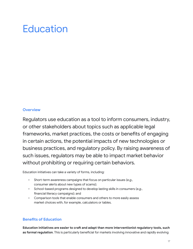### **Education**

#### <span id="page-16-0"></span>**Overview**

Regulators use education as a tool to inform consumers, industry, or other stakeholders about topics such as applicable legal frameworks, market practices, the costs or benefits of engaging in certain actions, the potential impacts of new technologies or business practices, and regulatory policy. By raising awareness of such issues, regulators may be able to impact market behavior without prohibiting or requiring certain behaviors.

Education initiatives can take a variety of forms, including:

- Short-term awareness campaigns that focus on particular issues (*e.g.*, consumer alerts about new types of scams);
- School-based programs designed to develop lasting skills in consumers (*e.g.*, financial literacy campaigns); and
- Comparison tools that enable consumers and others to more easily assess market choices with, for example, calculators or tables.

#### <span id="page-16-1"></span>**Benefits of Education**

**Education initiatives are easier to craft and adapt than more interventionist regulatory tools, such as formal regulation**. This is particularly beneficial for markets involving innovative and rapidly evolving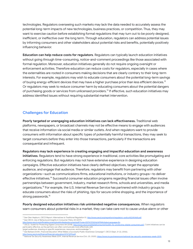technologies. Regulators overseeing such markets may lack the data needed to accurately assess the potential long-term impacts of new technologies, business practices, or competition. Thus, they may want to exercise caution before establishing formal regulations that may turn out to be poorly designed, inefficient, or ineffective over the long term. Through education, regulators can address potential issues by informing consumers and other stakeholders about potential risks and benefits, potentially positively influencing behavior.

**Education can help reduce costs for regulators**. Regulators can typically launch education initiatives without going through time-consuming, notice-and-comment proceedings like those associated with formal regulation. Moreover, education initiatives generally do not require ongoing oversight or enforcement activities. Therefore education can reduce costs for regulators, especially in cases where the externalities are rooted in consumers making decisions that are clearly contrary to their long-term interests. For example, regulators may wish to educate consumers about the potential long-term savings of buying energy-efficient devices that may have a higher purchase price than less efficient devices.<sup>12</sup> Or regulators may seek to reduce consumer harm by educating consumers about the potential dangers of purchasing goods or services from unlicensed providers. 13 If effective, such education initiatives may address identified issues without requiring substantial market intervention.

#### <span id="page-17-0"></span>**Challenges for Education**

**Poorly targeted or unengaging education initiatives can lack effectiveness.** Traditional web platforms, newspapers, or broadcast channels may not be effective means to engage with audiences that receive information via social media or similar outlets. And when regulators want to provide consumers with information about specific types of potentially harmful transactions, they may seek to target consumers *before* they enter into those transactions, particularly if the transactions are consequential and infrequent.

**Regulators may lack experience in creating engaging and impactful education and awareness initiatives**. Regulators tend to have strong experience in traditional, core activities like promulgating and enforcing regulations. But regulators may not have extensive experience in designing education campaigns. Effective education initiatives have clearly defined objectives, target the appropriate audience, and engage that audience. Therefore, regulators may benefit from partnering with other organizations—such as communications firms, educational institutions, or industry groups—to deliver effective initiatives.<sup>14</sup> Successful consumer education programs regarding financial issues often involve partnerships between government, industry, market research firms, schools and universities, and media organizations. <sup>15</sup> For example, the U.S. Internal Revenue Service has partnered with industry groups to educate consumers about the risks of phishing, tips for secure online shopping, and the importance of strong passwords. 16

**Poorly designed education initiatives risk unintended negative consequences***.* When regulators warn consumers about potential risks in a market, they can take care not to cause undue alarm or other

<sup>12</sup> *See* Glen Hepburn, *OECD Report: Alternatives to Traditional Regulation* 51, [http://www.oecd.org/regreform/regulatory-policy/42245468.pdf.](http://www.oecd.org/regreform/regulatory-policy/42245468.pdf)

<sup>&</sup>lt;sup>13</sup> See OECD, Use of Behavioural Insights in Consumer Policy 20 (2017),<br>http://www.oecd.org/officialdocuments/publicdisplaydocumentpdf/?cc

<sup>14</sup> OECD, *Toolkit for Protecting Digital Consumers* 84 (2018), [http://www.oecd.org/digital/consumer/toolkit-for-protecting-digital-consumers.pdf.](http://www.oecd.org/digital/consumer/toolkit-for-protecting-digital-consumers.pdf) ("Joint initiatives can be particularly effective, as the partners can often communicate more effectively with entpdf/?cote=DSTI/CP(2016)3/FINAL&docLanguage=En.

<sup>15</sup> *See* Barbara Smith, *Financial Education: What Makes a Successful Public Awareness Campaign?*, OECD (Sept. 21-22, 2006), target audiences, drawing on specific experiences, resources, and knowledge.").

<sup>&</sup>lt;u><http://www.oecd.org/finance/financial-education/37371299.pdf></u>.<br><sup>16</sup> National Tax Security Awareness Week 2019, Internal Revenue Service (Oct. 20, 2020), <u>https://www.irs.gov/newsroom/national-tax-security-awareness-week-2</u>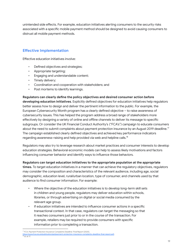unintended side effects. For example, education initiatives alerting consumers to the security risks associated with a specific mobile payment method should be designed to avoid causing consumers to distrust all mobile payment methods.

#### <span id="page-18-0"></span>**Effective Implementation**

Effective education initiatives involve:

- Defined objectives and strategies;
- Appropriate targeting;
- Engaging and understandable content;
- Timely delivery;
- Coordination and cooperation with stakeholders; and
- Post mortems to identify learnings.

**Regulators can clearly define the policy objectives and desired consumer action before developing education initiatives**. Explicitly defined objectives for education initiatives help regulators better assess how to design and deliver the pertinent information to the public. For example, the European Cybersecurity Month program has a clearly defined objective – to raise awareness of cybersecurity issues. This has helped the program address a broad range of stakeholders more effectively by designing a variety of online and offline channels to deliver its message to specific subgroups. Or consider the UK Financial Conduct Authority's ("FCA's") campaign to educate consumers about the need to submit complaints about payment protection insurance by an August 2019 deadline. $^{\text{\tiny{17}}}$ The campaign established clearly defined objectives and achieved key performance indicators regarding awareness-raising and help provided via web and helpline calls. $^{\rm 18}$ 

Regulators may also try to leverage research about market practices and consumer interests to develop education strategies. Behavioral economic models can help to assess likely motivations and factors influencing consumer behavior and identify ways to influence those behaviors.

#### **Regulators can target education initiatives to the appropriate population at the appropriate**

**times.** To target education initiatives in a manner that can achieve the regulatory objectives, regulators may consider the composition and characteristics of the relevant audience, including age, social demographic, education level, rural/urban location, type of consumer, and channels used by that audience to find consumer information. For example:

- Where the objective of the education initiatives is to develop long-term skill sets in children and young people, regulators may deliver education within schools, libraries, or through advertising on digital or social media consumed by the relevant age group.
- If education initiatives are intended to influence consumer actions in a specific transactional context. In that case, regulators can target the messaging so that it reaches consumers just prior to or in the course of the transaction. For example, retailers may be required to provide consumers with specific information prior to completing a transaction.

<sup>18</sup> *Id.* at 17. <sup>7</sup> FCA, Payment Protection Insurance Complaints Deadline: Final Report (2020), deadline-final-report.pdf.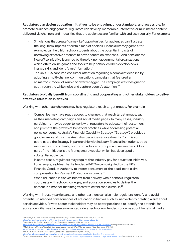**Regulators can design education initiatives to be engaging, understandable, and accessible**. To promote audience engagement, regulators can develop memorable, interactive or multimedia content delivered via channels and modalities that the audiences are familiar with and use regularly. For example:

- Simulations that create "game-like" opportunities for audiences can illustrate the long-term impacts of certain market choices. Financial literacy games, for example, can help high school students about the potential impacts of borrowing excessive amounts to cover education expenses. <sup>19</sup> And consider the NewsWise initiative launched by three UK non-governmental organizations, which offers online games and tools to help school children develop news literacy skills and identify misinformation. 20
- The UK's FCA captured consumer attention regarding a complaint deadline by adopting a multi-channel communications campaign that featured an animatronic model of Arnold Schwarzenegger. The campaign was "designed to cut through the white noise and capture people's attention."<sup>21</sup>

#### **Regulators typically benefit from coordinating and cooperating with other stakeholders to deliver effective education initiatives**.

Working with other stakeholders may help regulators reach target groups. For example:

- Companies may have ready access to channels that reach target groups, such as their marketing campaigns and social media pages. In many cases, industry participants may be eager to work with regulators to educate their customers and promote the growth of beneficial practices while addressing potential policy concerns. Australia's Financial Capability Strategy ("Strategy") provides a good example of this. The Australian Securities & Investments Commission coordinated the Strategy in partnership with industry financial institutions, trade associations, consultants, non-profit advocacy groups, and researchers. A key part of the initiative is the Moneysmart website, which has developed a substantial audience.
- In some cases, regulators may require that industry pay for education initiatives. For example, eighteen banks funded a £42.2m campaign led by the UK's Financial Conduct Authority to inform consumers of the deadline to claim compensation for Payment Protection Insurance.<sup>22</sup>
- When education initiatives benefit from delivery within schools, regulators coordinate with schools, colleges, and education agencies to deliver the content in a manner that integrates with established curricula. 23

Working with industry participants and other partners can also help regulators identify and avoid potential unintended consequences of education initiatives such as inadvertently creating alarm about certain activities. Private sector stakeholders may be better positioned to identify the potential for education initiatives to create unwanted side effects or unintended concerns about beneficial market

<sup>19</sup> Brian Page, *10 Free Financial Literacy Games for High School Students*, Edutopia (Apr. 7, 2020),

<sup>20</sup> *NewsWise for Families: Looking Out for Fake News*, Guardian (Mar. 21, 2020), <https://www.edutopia.org/article/10-free-financial-literacy-games-high-school-students>.

<sup>21</sup> Mark Sweney, *Hasta la Vista, PPI! Schwarzenegger Fronts FCA's £42m Campaign*, Guardian (Aug. 29, 2017), <https://www.theguardian.com/newswise/2020/mar/21/newswise-for-families-looking-out-for-fake-news> (last updated May 19, 2020).

<sup>&</sup>lt;u>https://www.thequardian.com/business/2017/auq/29/ppi-schwarzenegger-fca-campaign-claims-deadline</u>.<br><sup>22</sup> FCA, Payment Protection Insurance Complaints Deadline: Final Report (2020),

<sup>&</sup>lt;u>https://www.fca.org.uk/publication/ppi/payment-protection-insurance-complaints-deadline-final-report.pdf.</u><br><sup>23</sup> About Moneysmart for Teachers, Moneysmart.gov.au, <u><https://moneysmart.gov.au/about-moneysmart-for-teachers></u> (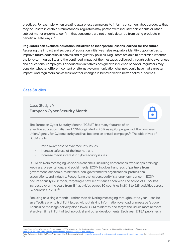practices. For example, when creating awareness campaigns to inform consumers about products that may be unsafe in certain circumstances, regulators may partner with industry participants or other subject matter experts to confirm that consumers are not unduly deterred from using products in beneficial, safe ways. 24

#### **Regulators can evaluate education initiatives to incorporate lessons learned for the future**.

Assessing the impact and success of education initiatives helps regulators identify opportunities to improve future education initiatives and regulatory policies. Regulators are able to determine whether the long-term durability and the continued impact of the messages delivered through public awareness and educational campaigns. For education initiatives designed to influence behavior, regulators may consider whether different content or alternative communication channels could have had a greater impact. And regulators can assess whether changes in behavior led to better policy outcomes.

#### <span id="page-20-0"></span>**Case Studies**

Case Study 2A **European Cyber Security Month**

The European Cyber Security Month ("ECSM") has many features of an effective education initiative. ECSM originated in 2012 as a pilot program of the European Union Agency for Cybersecurity and has become an annual campaign. <sup>25</sup> The objectives of ECSM are to:

- Raise awareness of cybersecurity issues;
- Increase safe use of the Internet; and
- Increase media interest in cybersecurity issues.

ECSM delivers messaging via various channels, including conferences, workshops, trainings, webinars, presentations, and social media. ECSM involves hundreds of partners from government, academia, think tanks, non-governmental organizations, professional associations, and industry. Recognizing that cybersecurity is a long-term concern, ECSM occurs annually in October, targeting a new set of issues each year. The scope of ECSM has increased over the years from 184 activities across 30 countries in 2014 to 525 activities across 36 countries in 2019. 26

Focusing on a single month – rather than delivering messaging throughout the year – can be an effective way to highlight issues without risking information overload or message fatigue. Annualized message delivery also allows ECSM to identify and target the issues most relevant at a given time in light of technological and other developments. Each year, ENISA publishes a

<sup>24</sup> *See* Pharma Guy, *Unintended Consequences of FDA Warnings: Lilly-funded Antidepressant Case Study* , Pharma Marketing Network (June 2, 2009),

<sup>26</sup> *Id.* <u>https://www.pharma-mkting.com/blog/unintended-consequences-of-fda-warnings/</u>.<br><sup>25</sup> Eur. Cybersecurity Month Through the Years, Eur. Cybersecurity Month, <u><https://cybersecuritymonth.eu/about-ecsm/ecsm-through-the-years></u> (l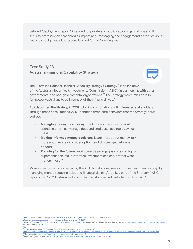detailed "deployment report," intended for private and public sector organizations and IT security professionals that analyzes impact (*e.g.*, messaging and engagement) of the previous year's campaign and cites lessons learned for the following year. $^{27}$ 

#### Case Study 2B **Australia Financial Capability Strategy**

#### The Australian National Financial Capability Strategy ("Strategy") is an initiative of the Australian Securities & Investments Commission ("ASIC") in partnership with other governmental and non-governmental organizations. <sup>28</sup> The Strategy's core mission is to "empower Australians to be in control of their financial lives." 29

ASIC launched the Strategy in 2018 following consultations with interested stakeholders. Through these consultations, ASIC identified three core behaviors that the Strategy could address:

- **Managing money day-to-day**: Track money in and out, look at spending priorities, manage debt and credit use, get into a savings habit.
- **Making informed money decisions**: Learn more about money, talk more about money, consider options and choices, get help when needed.
- **Planning for the future**: Work towards savings goals, stay on top of superannuation, make informed investment choices, protect what matters most. 30

Moneysmart, a website created by the ASIC to help consumers improve their finances (*e.g.*, by managing money, reducing debt, and financial planning), is a key part of the Strategy. <sup>31</sup> ASIC reports that 1 in 2 Australian adults visited the Moneysmart website in 2019-2020. $^{\rm 32}$ 

<sup>27</sup> *Eur. Cybersecurity Month Deployment Report 2019*, Eur. Union Agency for Cybersecurity (Jan. 19 2020),

<sup>29</sup> *Id.* [https://www.enisa.europa.eu/publications/ecsm-deployment-report-2019.](https://www.enisa.europa.eu/publications/ecsm-deployment-report-2019)<br><sup>28</sup> National Financial Capability Strategy 2018: Australians in Control of Their Financial Lives, Financialcapability.gov.au/strategytymenes. Property (last updated May 2020).

<sup>30</sup> SVA Consulting, *National Financial Capability Strategy research report* 3 (Mar. 2020),

https://financialcapability.gov.au/files/200320%20SVA%20National%20Financial%20Capability%20Strategy%20research%20report%20for%20ASIC%20web.pdf.<br><sup>31</sup> Moneysmart.g<mark>ov.au, <u><https://moneysmart.gov.au/></u> (last visited</mark> Jan. 4,

<sup>32</sup> *Financial Capability*, ASIC, <https://asic.gov.au/for-consumers/financial-capability/> (last visited Jan. 4, 2021).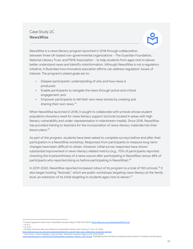#### Case Study 2C **NewsWise**



NewsWise is a news literacy program launched in 2018 through collaboration between three UK-based non-governmental organizations – The Guardian Foundation, National Literacy Trust, and PSHE Association – to help students from ages nine to eleven better understand news and identify misinformation. Although NewsWise is not a regulatory initiative, it illustrates how innovative education efforts can address regulators' issues of interest. The program's stated goals are to:

- **•** Deepen participants' understanding of why and how news is produced;
- **•** Enable participants to navigate the news through active and critical engagement; and
- **•** Empower participants to tell their own news stories by creating and sharing their own news.<sup>33</sup>

When NewsWise launched in 2018, it sought to collaborate with schools whose student population showed a need for news literacy support (schools located in areas with high literacy vulnerability and under-representation in mainstream media). Since 2018, NewsWise has provided training to teachers for the incorporation of news-literacy materials into their lesson plans. 34

As part of the program, students have been asked to complete surveys before and after their participation in a NewsWise workshop. Responses from participants to measure long-term changes have been difficult to obtain. However, initial survey responses have shown substantial improvement in news-literacy related metrics (*e.g.*, 70% of participants reported checking the trustworthiness of a news source after participating in NewsWise versus 48% of participants who reported doing so before participating in NewsWise). 35

In 2019-2020, NewsWise reported increased rollout of its program to a total of 150 schools. $^{36}$  It also began hosting "festivals," which are public workshops targeting news literacy at the family level, an extension of its initial targeting to students ages nine to eleven. $^{\rm 37}$ 

<sup>34</sup> *Id.* at 5. <sup>33</sup> Chiara Cappellini & Irene Picton, *NewsWise Evaluation Report 2018-2019* (2019), [https://files.eric.ed.gov/fulltext/ED598399.pdf.](https://files.eric.ed.gov/fulltext/ED598399.pdf)

<sup>35</sup> *Id.* at 10.

<sup>36</sup> *Families Trained as fake news Detective at NewsWise Festival,* Nat'l Literacy Tr. (Jan. 29, 2020),

<sup>37</sup> Irene Picton, Chiara Cappellini, & Sian Hackett, *NewsWise Evaluation Report 2019-2020* (2020), https://literacytrust.org.uk/communities/stoke/families-trained-fake-news-de

[https://uploads.guim.co.uk/2020/09/16/NewsWise\\_Evaluation\\_Report\\_2019-20.pdf](https://uploads.guim.co.uk/2020/09/16/NewsWise_Evaluation_Report_2019-20.pdf). (highlighting that the family workshop events reached 113 children and 85 adults).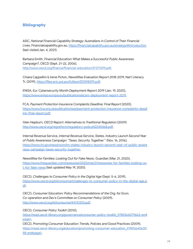#### **Bibliography**

ASIC, *National Financial Capability Strategy: Australians in Control of Their Financial Lives*, Financialcapability.gov.au, <https://financialcapability.gov.au/strategy/#introduction> (last visited Jan. 4, 2021).

Barbara Smith, *Financial Education: What Makes a Successful Public Awareness Campaign?*, OECD (Sept. 21-22, 2006), [http://www.oecd.org/finance/financial-education/37371299.pdf.](http://www.oecd.org/finance/financial-education/37371299.pdf)

Chiara Cappellini & Irene Picton, *NewsWise Evaluation Report 2018-2019*, Nat'l Literacy Tr. (2019), [https://files.eric.ed.gov/fulltext/ED598399.pdf.](https://files.eric.ed.gov/fulltext/ED598399.pdf)

ENISA, *Eur. Cybersecurity Month Deployment Report 2019* (Jan. 19, 2020), [https://www.enisa.europa.eu/publications/ecsm-deployment-report-2019.](https://www.enisa.europa.eu/publications/ecsm-deployment-report-2019)

FCA, *Payment Protection Insurance Complaints Deadline: Final Report* (2020), [https://www.fca.org.uk/publication/ppi/payment-protection-insurance-complaints-deadl](https://www.fca.org.uk/publication/ppi/payment-protection-insurance-complaints-deadline-final-report.pdf) [ine-final-report.pdf.](https://www.fca.org.uk/publication/ppi/payment-protection-insurance-complaints-deadline-final-report.pdf)

Glen Hepburn, *OECD Report: Alternatives to Traditional Regulation* (2009) [http://www.oecd.org/regreform/regulatory-policy/42245468.pdf.](http://www.oecd.org/regreform/regulatory-policy/42245468.pdf)

Internal Revenue Service, *Internal Revenue Service, States, Industry Launch Second Year of Public Awareness Campaign: "Taxes. Security. Together."* (Nov. 16, 2016), [https://www.irs.gov/newsroom/irs-states-industry-launch-second-year-of-public-aware](https://www.irs.gov/newsroom/irs-states-industry-launch-second-year-of-public-awareness-campaign-taxes-security-together) [ness-campaign-taxes-security-together.](https://www.irs.gov/newsroom/irs-states-industry-launch-second-year-of-public-awareness-campaign-taxes-security-together)

*NewsWise for Families: Looking Out for Fake News*, Guardian (Mar. 21, 2020), [https://www.theguardian.com/newswise/2020/mar/21/newswise-for-families-looking-ou](https://www.theguardian.com/newswise/2020/mar/21/newswise-for-families-looking-out-for-fake-news) [t-for-fake-news](https://www.theguardian.com/newswise/2020/mar/21/newswise-for-families-looking-out-for-fake-news) (last updated May 19, 2020).

OECD, *Challenges to Consumer Policy in the Digital Age* (Sept. 5-6, 2019), [https://www.oecd.org/sti/consumer/challenges-to-consumer-policy-in-the-digital-age.p](https://www.oecd.org/sti/consumer/challenges-to-consumer-policy-in-the-digital-age.pdf) [df.](https://www.oecd.org/sti/consumer/challenges-to-consumer-policy-in-the-digital-age.pdf)

OECD, *Consumer Education: Policy Recommendations of the Org. for Econ. Co-operation and Dev's Committee on Consumer Policy* (2009), <http://www.oecd.org/sti/consumer/44110333.pdf>.

OECD, *Consumer Policy Toolkit* (2010),

[https://read.oecd-ilibrary.org/governance/consumer-policy-toolkit\\_9789264079663-en#](https://read.oecd-ilibrary.org/governance/consumer-policy-toolkit_9789264079663-en#page1) [page1.](https://read.oecd-ilibrary.org/governance/consumer-policy-toolkit_9789264079663-en#page1) OECD, *Promoting Consumer Education: Trends, Policies and Good Practices* (2009), [https://read.oecd-ilibrary.org/education/promoting-consumer-education\\_97892640600](https://read.oecd-ilibrary.org/education/promoting-consumer-education_9789264060098-en#page1) [98-en#page1.](https://read.oecd-ilibrary.org/education/promoting-consumer-education_9789264060098-en#page1)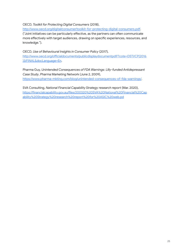OECD, *Toolkit for Protecting Digital Consumers* (2018),

<http://www.oecd.org/digital/consumer/toolkit-for-protecting-digital-consumers.pdf>.

("Joint initiatives can be particularly effective, as the partners can often communicate more effectively with target audiences, drawing on specific experiences, resources, and knowledge.").

OECD, *Use of Behavioural Insights in Consumer Policy* (2017)*,* [http://www.oecd.org/officialdocuments/publicdisplaydocumentpdf/?cote=DSTI/CP\(2016](http://www.oecd.org/officialdocuments/publicdisplaydocumentpdf/?cote=DSTI/CP(2016)3/FINAL&docLanguage=En) [\)3/FINAL&docLanguage=En.](http://www.oecd.org/officialdocuments/publicdisplaydocumentpdf/?cote=DSTI/CP(2016)3/FINAL&docLanguage=En)

Pharma Guy, *Unintended Consequences of FDA Warnings: Lilly-funded Antidepressant Case Study*, Pharma Marketing Network (June 2, 2009), <https://www.pharma-mkting.com/blog/unintended-consequences-of-fda-warnings/>.

SVA Consulting, *National Financial Capability Strategy research report* (Mar. 2020), [https://financialcapability.gov.au/files/200320%20SVA%20National%20Financial%20Cap](https://financialcapability.gov.au/files/200320%20SVA%20National%20Financial%20Capability%20Strategy%20research%20report%20for%20ASIC%20web.pdf) [ability%20Strategy%20research%20report%20for%20ASIC%20web.pd](https://financialcapability.gov.au/files/200320%20SVA%20National%20Financial%20Capability%20Strategy%20research%20report%20for%20ASIC%20web.pdf)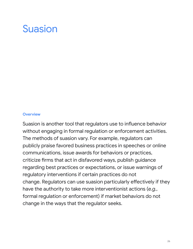### <span id="page-25-0"></span>Suasion

#### <span id="page-25-1"></span>**Overview**

Suasion is another tool that regulators use to influence behavior without engaging in formal regulation or enforcement activities. The methods of suasion vary. For example, regulators can publicly praise favored business practices in speeches or online communications, issue awards for behaviors or practices, criticize firms that act in disfavored ways, publish guidance regarding best practices or expectations, or issue warnings of regulatory interventions if certain practices do not change. Regulators can use suasion particularly effectively if they have the authority to take more interventionist actions (*e.g.*, formal regulation or enforcement) if market behaviors do not change in the ways that the regulator seeks.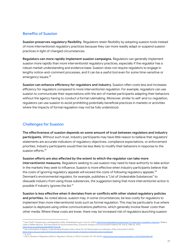#### <span id="page-26-0"></span>**Benefits of Suasion**

**Suasion preserves regulatory flexibility**. Regulators retain flexibility by adopting suasion tools instead of more interventionist regulatory practices because they can more readily adapt or suspend suasion practices in light of changed circumstances.

**Regulators can more rapidly implement suasion campaigns.** Regulators can generally implement suasion more rapidly than more interventionist regulatory practices, especially if the regulator has a robust market understanding and evidence base. Suasion does not require regulators to engage in lengthy notice-and-comment processes, and it can be a useful tool even for some time-sensitive or emergency issues. 38

**Suasion can enhance efficiency for regulators and industry**. Suasion often costs less and increases efficiency for regulators compared to more interventionist regulation. For example, regulators can use suasion to communicate their expectations with the aim of market participants adapting their behaviors without the agency having to conduct a formal rulemaking. Moreover, similar to self-and co-regulation, regulators can use suasion to avoid prohibiting potentially beneficial practices in markets or activities where the impacts of formal regulation may not be fully understood.

#### <span id="page-26-1"></span>**Challenges for Suasion**

**The effectiveness of suasion depends on some amount of trust between regulators and industry participants.** Without such trust, industry participants may have little reason to believe that regulators' statements are accurate indicators of regulatory objectives, compliance expectations, or enforcement priorities. Industry participants would then be less likely to modify their behaviors in response to the suasion efforts. 39

**Suasion efforts are also affected by the extent to which the regulator can take more interventionist measures.** Regulators seeking to use suasion may need to have authority to take action in the markets they seek to influence. Suasion is more effective when industry participants believe that the costs of ignoring regulatory appeals will exceed the costs of following regulatory appeals.<sup>40</sup> Denmark's environmental regulator, for example, publishes a "List of Undesirable Substances" to dissuade industry from using those substances, the suggestion being that more interventionist action is possible if industry ignores the list. 41

**Suasion is less effective when it deviates from or conflicts with other stated regulatory policies and priorities.** As noted above, suasion may, in some circumstances, be less costly for regulators to implement than more interventionist tools such as formal regulation. This may be particularly true where suasion is deployed using online communications platforms, which generally involve fewer costs than other media. Where these costs are lower, there may be increased risk of regulators launching suasion

- <sup>99</sup> See Central Bank of Nigeria, Understanding Monetary Policy Series No. 28: Moral Suasion as a Monetary Policy Instrument 9 (2013), https://www.cbn.gov.ng/out/2016/mpd/understanding%20monetary%20policy%20series%20no%2028.pd
- 40 *Id.* at 10

<sup>38</sup> *See COVID-19 Supervisory and Regulatory FAQs*, Federalreserve.gov (June 16, 2020), <https://www.federalreserve.gov/covid-19-supervisory-regulatory-faqs.htm>; Wallace Oates & William Baumol, *The Instruments for Environmental Policy*, Economic Analysis of Environmental Problems (95-154) (E. Mills ed. 1975), [https://core.ac.uk/download/pdf/6871706.pdf.](https://core.ac.uk/download/pdf/6871706.pdf)

<sup>41</sup> OECD, *Reviews of Regulatory Reform: Regulatory Policies in OECD Countries* 139-140 (2002), <https://www.oecd.org/gov/regulatory-policy/35260489.pdf>.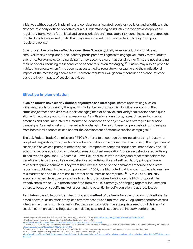initiatives without carefully planning and considering articulated regulatory policies and priorities. In the absence of clearly defined objectives or a full understanding of industry motivations and applicable regulatory frameworks (both local and across jurisdictions), regulators risk launching suasion campaigns that fail to achieve desired goals. That may create market confusion by failing to align with prior regulatory policy. 42

**Suasion can become less effective over time**. Suasion typically relies on voluntary (or at least semi-voluntary) compliance, and industry participants' willingness to engage voluntarily may fluctuate over time. For example, some participants may become aware that certain other firms are not changing their behaviors, reducing the incentives to adhere to suasion messaging. <sup>43</sup> Suasion may also be prone to habituation effects when firms become accustomed to regulatory messaging and the motivational impact of the messaging decreases. <sup>44</sup> Therefore regulators will generally consider on a case-by-case basis the likely impacts of suasion activities.

#### <span id="page-27-0"></span>**Effective Implementation**

**Suasion efforts have clearly defined objectives and strategies**. Before undertaking suasion initiatives, regulators identify the specific market behaviors they wish to influence, confirm that sufficient justification exists to support changing market behavior, and verify that suasion techniques align with regulatory authority and resources. As with education efforts, research regarding market practices and consumer interests informs the identification of objectives and strategies for suasion campaigns. As suasion relies on market actors changing behavior based on persuasive inputs, insights from behavioral economics can benefit the development of effective suasion campaigns.<sup>45</sup>

The U.S. Federal Trade Commission's ("FTC's") efforts to encourage the online advertising industry to adopt self-regulatory principles for online behavioral advertising illustrate how defining the objectives of suasion initiatives can promote effectiveness. Prompted by concerns about consumer privacy, the FTC sought to "encourage industry to develop meaningful self-regulation" for online behavioral advertising. To achieve this goal, the FTC hosted a "Town Hall" to discuss with industry and other stakeholders the benefits and issues raised by online behavioral advertising. A set of self regulatory principles were released for public comment. They were then revised based on the comments received and a staff report was published. In the report, published in 2009, the FTC noted that it would "continue to examine this marketplace and take actions to protect consumers as appropriate." <sup>46</sup> By mid-2009, industry associations had developed a set of self-regulatory principles building on the FTC's proposal. The effectiveness of the FTC's efforts benefited from the FTC's strategy of bringing together industry and others to focus on specific market issues and the potential for self-regulation to address issues.

**Regulators carefully consider the timing and method of delivery for suasion communications**. As noted above, suasion efforts may lose effectiveness if used too frequently. Regulators therefore assess whether the time is right for suasion. Regulators also consider the appropriate method of delivery for suasion communications. Regulators can deploy suasion via speeches at industry conferences,

<sup>42</sup> Glenn Hepburn, O*ECD Report: Alternatives to Traditional Regulation* 52-53 (2009), [https://www.oecd.org/gov/regulatory-policy/42245468.pdf.](https://www.oecd.org/gov/regulatory-policy/42245468.pdf)

<sup>43</sup> Don Drummond et al., *Market-Based Solutions to Protect the Environment* 5 (2007), -special-bc0307-env.pdf.

<sup>44</sup> Koichiro Ito, et. al., Moral Suasion and Economic Incentives: Field Experimental Evidence from Energy Demand, American Economic Journal: Economic Policy 240-267 (2018), <https://pubs.aeaweb.org/doi/pdfplus/10.1257/pol.20160093>.<br><sup>45</sup> Behavioral economics leaks to pouch also sized associations

<sup>45</sup> Behavioral economics looks to psychological research regarding human decision-making to understand how humans behave in real-life situations.

<sup>46</sup> FTC, *FTC Staff Report: Self-Regulatory Principles for Online Behavioral Advertising* (2009), [https://www.ftc.gov/sites/default/files/documents/reports/federal-trade-commission-staff-report-self-regulatory-principles-online-behavioral-advertising/p085400behavadr](https://www.ftc.gov/sites/default/files/documents/reports/federal-trade-commission-staff-report-self-regulatory-principles-online-behavioral-advertising/p085400behavadreport.pdf) [eport.pdf.](https://www.ftc.gov/sites/default/files/documents/reports/federal-trade-commission-staff-report-self-regulatory-principles-online-behavioral-advertising/p085400behavadreport.pdf)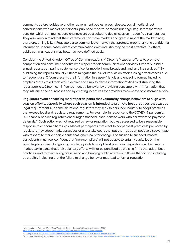comments before legislative or other government bodies, press releases, social media, direct conversations with market participants, published reports, or media briefings. Regulators therefore consider which communications channels are best suited to deploy suasion in specific circumstances. They also keep in mind that their statements can move markets and greatly impact the marketplace; therefore, timing is key. Regulators also communicate in a way that protects proprietary and confidential information. In some cases, direct communications with industry may be most effective. In others, public communications may better achieve defined goals.

Consider the United Kingdom Office of Communications' ("Ofcom's") suasion efforts to promote competition and consumer benefits with respect to telecommunications services. Ofcom publishes annual reports comparing customer service for mobile, home broadband, and landline services. <sup>47</sup> By publishing the reports annually, Ofcom mitigates the risk of its suasion efforts losing effectiveness due to frequent use. Ofcom presents the information in a user-friendly and engaging format, including graphics "notes to editors" which explain and simplify dense information. <sup>48</sup> And by distributing the report publicly, Ofcom can influence industry behavior by providing consumers with information that may influence their purchases and by creating incentives for providers to compete on customer service.

**Regulators avoid penalizing market participants that voluntarily change behaviors to align with suasion efforts, especially where such suasion is intended to promote best practices that exceed legal requirements.** In some situations, regulators may seek to persuade industry to adopt practices that exceed legal and regulatory requirements. For example, in response to the COVID-19 pandemic, U.S. financial service regulators encouraged financial institutions to work with borrowers on payment deferrals. <sup>49</sup> Such action was not required by law or regulation, but was assessed to be a reasonable response to economic hardships. Market participants that elect to adopt "best practices" promoted by regulators may adopt market practices or undertake costs that put them at a competitive disadvantage with respect to market participants that ignore calls for change. For suasion to succeed, market participants must feel confident that "non-compliers" will not be able to unfairly capitalize on the advantages obtained by ignoring regulatory calls to adopt best practices. Regulators can help assure market participants that their voluntary efforts will not be penalized by praising firms that adopt best practices, and by maintaining pressure on and bringing public attention to those that do not, including by credibly indicating that the failure to change behavior may lead to formal regulation.

<span id="page-28-0"></span><sup>47</sup> *Best and Worst Phone and Broadband Customer Service Revealed*, Ofcom.org.uk (Aug. 21, 2020), <https://www.ofcom.org.uk/about-ofcom/latest/features-and-news/customer-service-revealed>.

<sup>48</sup> *See* [https://www.ofcom.org.uk/about-ofcom/latest/media/media-releases/2020/customer-service-revealed.](https://www.ofcom.org.uk/about-ofcom/latest/media/media-releases/2020/customer-service-revealed)

*<sup>49</sup> COVID-19 Supervisory and Regulatory FAQs*, Federalreserve.gov (June 16, 2020), <https://www.federalreserve.gov/covid-19-supervisory-regulatory-faqs.htm>.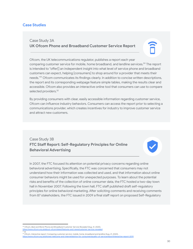#### **Case Studies**

#### Case Study 3A **UK Ofcom Phone and Broadband Customer Service Report**

Ofcom, the UK telecommunications regulator, publishes a report each year comparing customer service for mobile, home broadband, and landline services.<sup>50</sup> The repor<sup>.</sup> is intended to "offer[] an independent insight into what level of service phone and broadband customers can expect, helping [consumers] to shop around for a provider that meets their needs." <sup>51</sup> Ofcom communicates its findings clearly. In addition to concise written descriptions, the report and its corresponding webpage feature simple tables, making the results clear and accessible. Ofcom also provides an interactive online tool that consumers can use to compare selected providers.<sup>52</sup>

By providing consumers with clear, easily accessible information regarding customer service, Ofcom can influence industry behaviors. Consumers can access the report prior to selecting a communications provider, which creates incentives for industry to improve customer service and attract new customers.

#### Case Study 3B **FTC Staff Report: Self-Regulatory Principles for Online Behavioral Advertising**



In 2007, the FTC focused its attention on potential privacy concerns regarding online behavioral advertising. Specifically, the FTC was concerned that consumers may not understand how their information was collected and used, and that information about online consumer behaviors might be used for unexpected purposes. To learn about the potential risks and benefits of the collection of online consumer data, the FTC hosted a two-day town hall in November 2007. Following the town hall, FTC staff published draft self-regulatory principles for online behavioral marketing. After soliciting comments and receiving comments from 87 stakeholders, the FTC issued in 2009 a final staff report on proposed Self-Regulatory

<https://www.ofcom.org.uk/about-ofcom/latest/features-and-news/customer-service-revealed>.<br><sup>51</sup> Id *Id.* <sup>50</sup> Ofcom, *Best and Worst Phone and Broadband Customer Service Revealed* (Aug. 21, 2020),

<sup>52</sup> Ofcom, *Interactive report: Comparing customer service: mobile, home, broadband and landline* (Aug. 21, 2020),

<sup>-</sup>and-internet/advice-for-consumers/quality-of-service/report/interactive-report-2019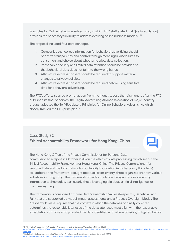Principles for Online Behavioral Advertising, in which FTC staff stated that "[self-regulation] provides the necessary flexibility to address evolving online business models." 53

The proposal included four core concepts:

- 1. Companies that collect information for behavioral advertising should prioritize transparency and control through meaningful disclosures to consumers and choice about whether to allow data collection.
- 2. Reasonable security and limited data retention should be provided so that behavioral data does not fall into the wrong hands.
- 3. Affirmative express consent should be required to support material changes to privacy policies.
- 4. Affirmative express consent should be required before using sensitive data for behavioral advertising.

The FTC's efforts spurred prompt action from the industry. Less than six months after the FTC published its final principles, the Digital Advertising Alliance (a coalition of major industry groups) adopted the Self-Regulatory Principles for Online Behavioral Advertising, which closely tracked the FTC principles. 54

#### Case Study 3C **Ethical Accountability Framework for Hong Kong, China**

The Hong Kong Office of the Privacy Commissioner for Personal Data commissioned a report in October 2018 on the ethics of data processing, which set out the Ethical Accountability Framework for Hong Kong, China. The Privacy Commissioner for Personal Data and the Information Accountability Foundation (a global policy think tank) co-authored the framework it sought feedback from twenty-three organizations from various industries in Hong Kong. The framework provides guidance to organizations deploying information technologies, particularly those leveraging big data, artificial intelligence, or machine learning.

The framework is comprised of three Data Stewardship Values (Respectful, Beneficial, and Fair) that are supported by model impact assessments and a Process Oversight Model. The "Respectful" value requires that the context in which the data was originally collected determines the reasonable later uses of the data; later uses must align with the reasonable expectations of those who provided the data identified and, where possible, mitigated before

<sup>53</sup> FTC, *FTC Staff Report: Self-Regulatory Principles for Online Behavioral Advertising* 11 (Feb. 2009), https://www.ftc.gov/sites/default/files/documents/reports/federal-trade-com [eport.pdf.](https://www.ftc.gov/sites/default/files/documents/reports/federal-trade-commission-staff-report-self-regulatory-principles-online-behavioral-advertising/p085400behavadreport.pdf)

<sup>54</sup> Digital Advertising Association, *Self-Regulatory Principles for Online Behavioral Advertising* (Jul. 2009), [https://www.iab.com/wp-content/uploads/2015/05/ven-principles-07-01-09.pdf.](https://www.iab.com/wp-content/uploads/2015/05/ven-principles-07-01-09.pdf)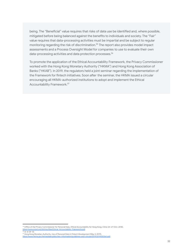being. The "Beneficial" value requires that risks of data use be identified and, where possible, mitigated before being balanced against the benefits to individuals and society. The "Fair" value requires that data-processing activities must be impartial and be subject to regular monitoring regarding the risk of discrimination. <sup>55</sup> The report also provides model impact assessments and a Process Oversight Model for companies to use to evaluate their own data-processing activities and data protection processes. 56

To promote the application of the Ethical Accountability Framework, the Privacy Commissioner worked with the Hong Kong Monetary Authority ("HKMA") and Hong Kong Association of Banks ("HKAB"). In 2019, the regulators held a joint seminar regarding the implementation of the Framework for fintech initiatives. Soon after the seminar, the HKMA issued a circular encouraging all HKMA-authorized institutions to adopt and implement the Ethical Accountability Framework. 57

[https://www.pcpd.org.hk/misc/files/Ethical\\_Accountability\\_Framework.pdf](https://www.pcpd.org.hk/misc/files/Ethical_Accountability_Framework.pdf).<br><sup>56</sup> Id\_at 28–32 *Id.* at 28–32. <sup>55</sup> Office of the Privacy Commissioner for Personal Data, *Ethical Accountability for Hong Kong, China* 24–27 (Oct. 2018),

<sup>57</sup> Hong Kong Monetary Authority, *Use of Personal Data in Fintech Development* (May 3, 2019),

https://www.and-circular/2019/20190503e1.pdf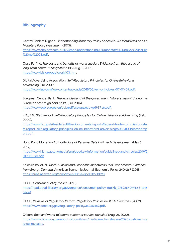#### **Bibliography**

Central Bank of Nigeria, *Understanding Monetary Policy Series No. 28: Moral Suasion as a Monetary Policy Instrument* (2013),

[https://www.cbn.gov.ng/out/2016/mpd/understanding%20monetary%20policy%20series](https://www.cbn.gov.ng/out/2016/mpd/understanding%20monetary%20policy%20series%20no%2028.pdf) [%20no%2028.pdf](https://www.cbn.gov.ng/out/2016/mpd/understanding%20monetary%20policy%20series%20no%2028.pdf).

Craig Furfine, *The costs and benefits of moral suasion: Evidence from the rescue of long-term capital management*, BIS (Aug. 2, 2001), [https://www.bis.org/publ/work103.htm.](https://www.bis.org/publ/work103.htm)

Digital Advertising Association, *Self-Regulatory Principles for Online Behavioral Advertising* (Jul. 2009) <https://www.iab.com/wp-content/uploads/2015/05/ven-principles-07-01-09.pdf>.

European Central Bank, *The invisible hand of the government: "Moral suasion" during the European sovereign debt crisis*, (Jul. 2016), [https://www.ecb.europa.eu/pub/pdf/scpwps/ecbwp1937.en.pdf.](https://www.ecb.europa.eu/pub/pdf/scpwps/ecbwp1937.en.pdf)

FTC, *FTC Staff Report: Self-Regulatory Principles for Online Behavioral Advertising* (Feb. 2009),

[https://www.ftc.gov/sites/default/files/documents/reports/federal-trade-commission-sta](https://www.ftc.gov/sites/default/files/documents/reports/federal-trade-commission-staff-report-self-regulatory-principles-online-behavioral-advertising/p085400behavadreport.pdf) [ff-report-self-regulatory-principles-online-behavioral-advertising/p085400behavadrep](https://www.ftc.gov/sites/default/files/documents/reports/federal-trade-commission-staff-report-self-regulatory-principles-online-behavioral-advertising/p085400behavadreport.pdf) [ort.pdf.](https://www.ftc.gov/sites/default/files/documents/reports/federal-trade-commission-staff-report-self-regulatory-principles-online-behavioral-advertising/p085400behavadreport.pdf)

Hong Kong Monetary Authority, *Use of Personal Data in Fintech Development* (May 3, 2019),

[https://www.hkma.gov.hk/media/eng/doc/key-information/guidelines-and-circular/2019/2](https://www.hkma.gov.hk/media/eng/doc/key-information/guidelines-and-circular/2019/20190503e1.pdf) [0190503e1.pdf](https://www.hkma.gov.hk/media/eng/doc/key-information/guidelines-and-circular/2019/20190503e1.pdf).

Koichiro Ito, et. al., *Moral Suasion and Economic Incentives: Field Experimental Evidence from Energy Demand*, American Economic Journal: Economic Policy 240-267 (2018), [https://pubs.aeaweb.org/doi/pdfplus/10.1257/pol.20160093.](https://pubs.aeaweb.org/doi/pdfplus/10.1257/pol.20160093)

OECD, *Consumer Policy Toolkit* (2010),

[https://read.oecd-ilibrary.org/governance/consumer-policy-toolkit\\_9789264079663-en#](https://read.oecd-ilibrary.org/governance/consumer-policy-toolkit_9789264079663-en#page1) [page1.](https://read.oecd-ilibrary.org/governance/consumer-policy-toolkit_9789264079663-en#page1)

OECD, *Reviews of Regulatory Reform: Regulatory Policies in OECD Countries* (2002), <https://www.oecd.org/gov/regulatory-policy/35260489.pdf>.

Ofcom, *Best and worst telecoms customer service revealed* (Aug. 21, 2020), [https://www.ofcom.org.uk/about-ofcom/latest/media/media-releases/2020/customer-se](https://www.ofcom.org.uk/about-ofcom/latest/media/media-releases/2020/customer-service-revealed) [rvice-revealed](https://www.ofcom.org.uk/about-ofcom/latest/media/media-releases/2020/customer-service-revealed).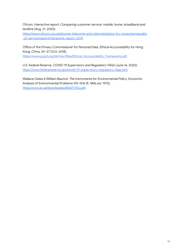Ofcom, *Interactive report: Comparing customer service: mobile, home, broadband and landline* (Aug. 21, 2020),

[https://www.ofcom.org.uk/phones-telecoms-and-internet/advice-for-consumers/quality](https://www.ofcom.org.uk/phones-telecoms-and-internet/advice-for-consumers/quality-of-service/report/interactive-report-2019) [-of-service/report/interactive-report-2019.](https://www.ofcom.org.uk/phones-telecoms-and-internet/advice-for-consumers/quality-of-service/report/interactive-report-2019)

Office of the Privacy Commissioner for Personal Data, *Ethical Accountability for Hong Kong, China,* 24–27 (Oct. 2018), [https://www.pcpd.org.hk/misc/files/Ethical\\_Accountability\\_Framework.pdf](https://www.pcpd.org.hk/misc/files/Ethical_Accountability_Framework.pdf).

U.S. Federal Reserve, *COVID-19 Supervisory and Regulatory FAQs* (June 16, 2020), [https://www.federalreserve.gov/covid-19-supervisory-regulatory-faqs.htm.](https://www.federalreserve.gov/covid-19-supervisory-regulatory-faqs.htm)

Wallace Oates & William Baumol, *The Instruments for Environmental Policy*, Economic Analysis of Environmental Problems (95-154) (E. Mills ed. 1975), [https://core.ac.uk/download/pdf/6871706.pdf.](https://core.ac.uk/download/pdf/6871706.pdf)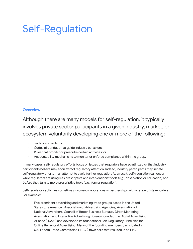## <span id="page-34-0"></span>Self-Regulation

#### <span id="page-34-1"></span>**Overview**

Although there are many models for self-regulation, it typically involves private sector participants in a given industry, market, or ecosystem voluntarily developing one or more of the following:

- Technical standards;
- Codes of conduct that guide industry behaviors;
- Rules that prohibit or prescribe certain activities; or
- Accountability mechanisms to monitor or enforce compliance within the group.

In many cases, self-regulatory efforts focus on issues that regulators have scrutinized or that industry participants believe may soon attract regulatory attention. Indeed, industry participants may initiate self-regulatory efforts in an attempt to avoid further regulation. As a result, self-regulation can occur while regulators are using less prescriptive and interventionist tools (*e.g.*, observation or education) and *before* they turn to more prescriptive tools (*e.g.*, formal regulation).

Self-regulatory activities sometimes involve collaborations or partnerships with a range of stakeholders. For example:

Five prominent advertising and marketing trade groups based in the United States (the American Association of Advertising Agencies, Association of National Advertisers, Council of Better Business Bureaus, Direct Marketing Association, and Interactive Advertising Bureau) founded the Digital Advertising Alliance ("DAA") and developed its foundational Self-Regulatory Principles for Online Behavioral Advertising. Many of the founding members participated in U.S. Federal Trade Commission ("FTC") town halls that resulted in an FTC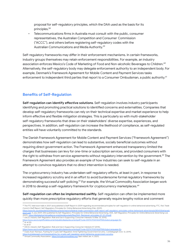proposal for self-regulatory principles, which the DAA used as the basis for its principles. 58

• Telecommunications firms in Australia must consult with the public, consumer representatives, the Australian Competition and Consumer Commission ("ACCC"), and others before registering self-regulatory codes with the Australian Communications and Media Authority. 59

Self-regulatory frameworks may differ in their enforcement mechanisms. In certain frameworks, industry groups themselves may retain enforcement responsibilities. For example, an industry association enforces Mexico's Code of Marketing of Food and Non-alcoholic Beverages to Children. $^{60}$ Alternatively, the self-regulatory body may delegate enforcement authority to an independent body. For example, Denmark's Framework Agreement for Mobile Content and Payment Services tasks enforcement to independent third parties that report to a Consumer Ombudsman, a public authority. 61

#### <span id="page-35-0"></span>**Benefits of Self-Regulation**

**Self-regulation can identify effective solutions**. Self-regulation involves industry participants identifying and promoting practical solutions to identified concerns and externalities. Companies that develop self-regulatory frameworks can rely on their technical expertise and market experience to help inform effective and flexible mitigation strategies. This is particularly so with multi-stakeholder self-regulatory frameworks that draw on their stakeholders' diverse expertise, experiences, and perspectives. In addition, self-regulation can increase the likelihood of compliance, as self-regulated entities will have voluntarily committed to the standards.

The Danish Framework Agreement for Mobile Content and Payment Services ("Framework Agreement") demonstrates how self-regulation can lead to substantive, socially beneficial outcomes without requiring direct government action. The Framework Agreement enhanced transparency limited the charges that businesses can levy for one-time or subscription services, and provided consumers with the right to withdraw from service agreements without regulatory intervention by the government. $\rm ^{62}$  The Framework Agreement also provides an example of how industries can seek to self-regulate in an attempt to convince regulators that no direct intervention is needed.

The cryptocurrency industry has undertaken self-regulatory efforts, at least in part, in response to increased regulatory scrutiny and in an effort to avoid burdensome formal regulatory frameworks by demonstrating successful self-policing. <sup>63</sup> For example, the Virtual Commodity Association began work in 2018 to develop a self-regulatory framework for cryptocurrency marketplaces. 64

**Self-regulation can often be implemented swiftly.** Self-regulation can often be implemented more quickly than more prescriptive regulatory efforts that generally require lengthy notice and comment

<sup>58</sup> The FTC held town halls in 2007 and published a Staff Report in 2009 regarding recommended principles for self-regulation in online behavioral advertising. FTC, *Fed. Trade Comm'n Staff Report: Self-Regulatory Principles for Online Behavioral Advertising* (Feb. 2009),

[https://www.ftc.gov/sites/default/files/documents/reports/federal-trade-commission-staff-report-self-regulatory-principles-online-behavioral-advertising/p085400behavadr](https://www.ftc.gov/sites/default/files/documents/reports/federal-trade-commission-staff-report-self-regulatory-principles-online-behavioral-advertising/p085400behavadreport.pdf) [eport.pdf.](https://www.ftc.gov/sites/default/files/documents/reports/federal-trade-commission-staff-report-self-regulatory-principles-online-behavioral-advertising/p085400behavadreport.pdf) In July 2009, DAA published its Self-Regulatory Principles for Online Behavioral Advertising. DAA, *Self-Regulatory Principles for Online Behavioral Advertising* (Jul. 2009), [https://digitaladvertisingalliance.org/sites/aboutads/files/DAA\\_files/seven-principles-07-01-09.pdf](https://digitaladvertisingalliance.org/sites/aboutads/files/DAA_files/%E2%80%8Cseven-principles-07-01-09.pdf).

[https://www.oecd.org/officialdocuments/publicdisplaydocumentpdf/?cote=DSTI/CP\(2014\)4/FINAL&docLanguage=En.](https://www.oecd.org/officialdocuments/publicdisplaydocumentpdf/?cote=DSTI/CP(2014)4/FINAL&docLanguage=En)<br><sup>60</sup> Id. at 50. <sup>59</sup> OECD, *Industry Self-Regulation: Role and Use in Supporting Consumer Interests* 13 (Mar. 23, 2015),

<sup>62</sup> OECD, *Industry Self-Regulation: Role and Use in Supporting Consumer Interests* 57 (2015), 61 *Id.* at 57.

<sup>&</sup>lt;u>https://www.oecd.org/officialdocuments/publicdisplaydocumentpdf/?cote=DSTI/CP(2014)4/FINAL&docLanquage=En</u>.<br><sup>63</sup> Osato Avan-Nomayo, *Pushing for Crypto Self-Regulation Amid Tightening Government Scrutiny , C*ointelegraph

https://cointelegraph.com/news/pushing-for-crypto-self-regulation-amid-tightening-government-scrutiny.<br><sup>64</sup> Virtual Commodity Association, <u><https://virtualcommodities.org/></u> (last visited Jan. 4, 2021).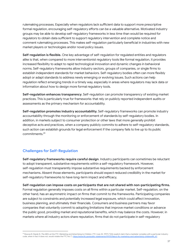rulemaking processes. Especially when regulators lack sufficient data to support more prescriptive formal regulation, encouraging self-regulatory efforts can be a valuable alternative. Motivated industry groups may be able to develop self-regulatory frameworks in less time than would be required for regulators to obtain data sufficient to support regulatory intervention and complete notice and comment rulemaking processes. This makes self-regulation particularly beneficial in industries with new market players or technologies and/or novel policy issues.

**Self-regulation is flexible.** One key advantage of self-regulation for regulated entities and regulators alike is that, when compared to more interventionist regulatory tools like formal regulation, it provides increased flexibility to adapt to rapid technological innovation and dynamic changes in behavioral norms. Self-regulatory frameworks allow industry sectors, groups of companies, or single firms to establish independent standards for market behaviors. Self-regulatory bodies often can more flexibly adopt or adapt standards to address newly emerging or evolving issues. Such actions can help regulation reflect emerging trends in a timely way, especially in areas where regulators may lack data or information about how to design more formal regulatory tools.

**Self-regulation enhances transparency**. Self-regulation can promote transparency of existing market practices. This is particularly true for frameworks that rely on publicly reported independent audits or assessments as the primary mechanism for accountability.

**Self-regulation promotes industry accountability.** Self-regulatory frameworks can promote industry accountability through the monitoring or enforcement of standards by self-regulatory bodies. In addition, in markets subject to consumer protection or other laws that more generally prohibit deceptive acts and practices, when a company publicly commits to adhere to self-regulatory standards, such action can establish grounds for legal enforcement if the company fails to live up to its public commitments. 65

#### **Challenges for Self-Regulation**

**Self-regulatory frameworks require careful design**. Industry participants can sometimes be reluctant to adopt transparent, substantive requirements within a self-regulatory framework. However, self-regulation must transparently impose substantive requirements backed by enforcement mechanisms. Absent those elements, participants should expect reduced credibility in the market for self-regulatory frameworks to have long-term impact and efficacy,

**Self-regulation can impose costs on participants that are not shared with non-participating firms.** Formal regulation generally imposes costs on all firms within a particular market. Self-regulation, on the other hand, has an asymmetric impact on firms that commit to the frameworks. Participating companies are subject to constraints and potentially increased legal exposure, which could affect innovation, business planning, and ultimately their financials. Consumers and business partners may favor companies that voluntarily commit to adopting limitations that improve market conditions or advance the public good, providing market and reputational benefits, which may balance the costs. However, in markets where all industry actors share reputation, firms that do not participate in self-regulatory

<sup>&</sup>lt;sup>65</sup> Roscoe B. Starek III, *The ABCs at the FTC: Marketing and Advertising to Children,* FTC (July 25, 1997) ("[A]n explicit claim that a marketer complies with a particular industry<br>code, when in fact it does not, would v code, when in fact it does not, would violate the FTC Act."), https://w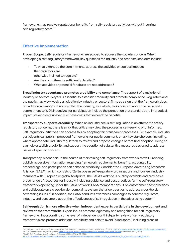frameworks may receive reputational benefits from self-regulatory activities without incurring self-regulatory costs. 66

#### **Effective Implementation**

**Proper Scope.** Self-regulatory frameworks are scoped to address the societal concern. When developing a self-regulatory framework, key questions for industry and other stakeholders include:

- To what extent do the commitments address the activities or societal impacts that regulators are
	- otherwise inclined to regulate?
- Are the commitments sufficiently detailed?
- What activities or potential for abuse are not addressed?

**Broad industry acceptance promotes credibility and compliance**. The support of a majority of industry or sectoral players is essential to establish credibility and promote compliance. Regulators and the public may view weak participation by industry or sectoral firms as a sign that the framework does not address an important issue or that the industry, as a whole, lacks concern about the issue and a commitment to it. Disincentives for participation include the perception that standards are impractical, impact stakeholders unevenly, or have costs that exceed the benefits.

**Transparency supports credibility.** When an industry seeks self-regulation in an attempt to satisfy regulatory concerns, there is a risk that critics may view the process as self-serving or uninformed. Self-regulatory initiatives can address this by adopting fair, transparent processes. For example, industry participants can publish proposed frameworks for public comment, or ask key stakeholders (including, where appropriate, industry regulators) to review and propose changes before final adoption. Doing so can help establish credibility and support the adoption of substantive measures designed to address issues of specific concern.

Transparency is beneficial in the course of maintaining self-regulatory frameworks as well. Providing publicly accessible information regarding framework requirements, benefits, accountability proceedings, and participation can enhance credibility. Consider the European Advertising Standards Alliance ("EASA"), which consists of 26 European self-regulatory organizations and fourteen industry members with European or global footprints. The EASA's website is publicly available and provides a broad range of resources for industry, including guidance and best practices for the self-regulatory frameworks operating under the EASA network. EASA members consult on enforcement best practices and collaborate on a cross-border complaints system that allows parties to address cross-border advertising issues.<sup>67</sup> In addition, the EASA conducts awareness campaigns to educate regulators, industry, and consumers about the effectiveness of self-regulation in the advertising sector. 68

**Self-regulation is more effective when independent experts participate in the development and review of the frameworks.** Expert inputs promote legitimacy and recognition for self-regulatory frameworks. Incorporating some level of independent or third-party review of self-regulatory frameworks can promote additional credibility and help to avoid "blind spots," including areas of

<sup>67</sup> EASA, *Cross Border Complaints System*, <https://www.easa-alliance.org/coverage/cross-border-complaints-system> (last visited Jan. 4, 2021). <sup>56</sup> Greg Distelhorst et. al., Certifiably Responsible? Self-Regulation and Market Response in China 7 (2020), <u>https://papers.ssm.com/sol3/papers.cfm?abstract\_id=3593837</u>.

<sup>68</sup> EASA, *Self-Regulation in Advertising – A Successful Model* (Nov. 28, 2018), dia/publicationtemp/EASA\_-\_Advertising\_SR\_a\_successful\_model\_2018.pdf.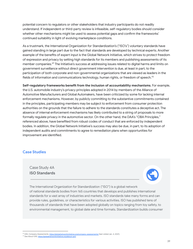potential concern to regulators or other stakeholders that industry participants do not readily understand. If independent or third-party review is infeasible, self-regulatory bodies should consider whether other mechanisms might be used to assess potential gaps and confirm the frameworks' continued suitability in light of evolving marketplace conditions.

As a trustmark, the International Organization for Standardization's ("ISO's") voluntary standards have gained standing in large part due to the fact that standards are developed by technical experts. Another example of the benefits of expert input is the Global Network Initiative, which strives to protect freedom of expression and privacy by setting high standards for its members and publishing assessments of its member companies. <sup>69</sup> The Initiative's success at addressing issues related to digital harms and limits on government surveillance without direct government intervention is due, at least in part, to the participation of both corporate and non-governmental organizations that are viewed as leaders in the fields of information and communications technology, human rights, or freedom of speech. $^{70}$ 

**Self-regulatory frameworks benefit from the inclusion of accountability mechanisms**. For example, the U.S. automobile industry's privacy principles adopted in 2014 by members of the Alliance of Automotive Manufacturers and Global Automakers, have been criticized by some for lacking internal enforcement mechanisms. However, by publicly committing to the substantive commitments contained in the principles, participating members may be subject to enforcement from consumer protection authorities on the grounds that the failure to adhere to the standards constitutes a deceptive act. The absence of internal enforcement mechanisms has likely contributed to a string of proposals to more formally regulate privacy in the automotive sector. On the other hand, the DAA's "OBA Principles," referenced above, have benefited from robust codes of conduct that are enforced by independent bodies. In addition, the Global Network Initiative's success may also be due, in part, to its adoption of independent audits and commitments to agree to remediation plans when opportunities for improvement are identified.

#### **Case Studies**

#### Case Study 4A **ISO Standards**



The International Organization for Standardization ("ISO") is a global network of national standards bodies from 165 countries that develops and publishes international standards for a vast array of industries and markets. ISO standards take many forms and can provide rules, guidelines, or characteristics for various activities. ISO has published tens of thousands of standards that have been adopted globally on topics ranging from toy safety, to environmental management, to global date and time formats. Standardization builds consumer

<sup>69</sup> GNI, *Company Assessments*, <https://globalnetworkinitiative.org/company-assessments/> (last visited Jan. 4, 2021).

<sup>70</sup> *See About GNI*, <https://globalnetworkinitiative.org/about-gni/>.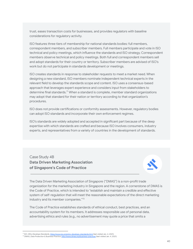trust, eases transaction costs for businesses, and provides regulators with baseline considerations for regulatory activity.

ISO features three tiers of membership for national standards bodies: full members, correspondent members, and subscriber members. Full members participate and vote in ISO technical and policy meetings, which influence the standards and ISO strategy. Correspondent members observe technical and policy meetings. Both full and correspondent members sell and adopt standards for their country or territory. Subscriber members are advised of ISO's work but do not participate in standards development or meetings.

ISO creates standards in response to stakeholder requests to meet a market need. When designing a new standard, ISO members nominate independent technical experts in the relevant field to develop the standards scope and content. ISO uses a consensus-based approach that leverages expert experience and considers input from stakeholders to determine final standards.<sup>71</sup> When a standard is complete, member standard organizations may adopt that standard for their nation or territory according to that organization's procedures.

ISO does not provide certifications or conformity assessments. However, regulatory bodies can adopt ISO standards and incorporate their own enforcement regimes.

ISO's standards are widely adopted and accepted in significant part because of the deep expertise with which standards are crafted and because ISO involves consumers, industry experts, and representatives from a variety of countries in the development of standards.

Case Study 4B **Data Driven Marketing Association of Singapore's Code of Practice**



The Data Driven Marketing Association of Singapore ("DMAS") is a non-profit trade organization for the marketing industry in Singapore and the region. A cornerstone of DMAS is the Code of Practice, which is intended to "establish and maintain a credible and effective system of self-regulation that will meet the reasonable expectations of the direct marketing industry and its member companies." 72

The Code of Practice establishes standards of ethical conduct, best practices, and an accountability system for its members. It addresses responsible use of personal data, advertising ethics and rules (e.g., no advertisement may quote a price that omits a

<sup>71</sup> ISO, *Who Develops Standards*, <https://www.iso.org/who-develops-standards.html> (last visited Jan. 4, 2021).

<sup>72</sup> DMAS, *Data Protection & Business Practice*, <http://www.dmas.org/business-practice/> (last visited Jan. 4, 2021).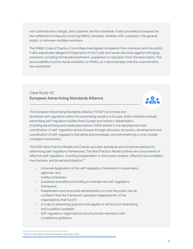non-optional extra charge), and customer service standards. It also provides procedures for the settlement of disputes involving DMAS members, whether with customers, the general public, or between multiple members.

The DMAS Code of Practice Committee investigates complaints from members and the public. It also adjudicates alleged infringements of the Code and issues sanctions against infringing members, including formal admonishment, suspension or expulsion from the Association. This accountability function lends credibility to DMAS, as it demonstrates that the commitments are substantial.

#### Case Study 4C **European Advertising Standards Alliance**



The European Advertising Standards Alliance ("EASA") promotes and facilitates self-regulation within the advertising industry in Europe. EASA members include advertising self-regulatory bodies from Europe and industry stakeholders, including advertising and media associations. EASA assists in the development and coordination of self-regulation across Europe through advocacy and policy, development and coordination of self-regulatory standards and processes, and administering a cross-border complaint mechanism.

The EASA Best Practice Model and Charter provides standards and recommendations for advertising self-regulatory frameworks. The Best Practice Model outlines ten components of effective self-regulation, including independent or third-party reviews, effective accountability mechanisms, and broad participation: 73

- Universal Application of the self-regulatory framework to advertisers, agencies, and
	- media companies;
- Sustained and effective funding to maintain the self-regulatory framework;
- Independent and resourced administration so that the public can be confident that the framework operates independently of the organizations that fund it;
- A code of advertising practice that applies to all forms of advertising and is publicly available;
- Self-regulatory organizations should provide members with compliance guidance;

<sup>73</sup> EASA, *The EASA Best Practice Self-Regulatory Model* (Apr. 2004)

est%20Practice%20Self-Regulatory%20Model.pdf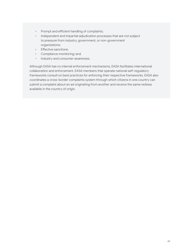- Prompt and efficient handling of complaints;
- Independent and impartial adjudication processes that are not subject to pressure from industry, government, or non-government organizations;
- Effective sanctions;
- Compliance monitoring; and
- Industry and consumer awareness.

Although EASA has no internal enforcement mechanisms, EASA facilitates international collaboration and enforcement. EASA members that operate national self-regulatory frameworks consult on best practices for enforcing their respective frameworks. EASA also coordinates a cross-border complaints system through which citizens in one country can submit a complaint about an ad originating from another and receive the same redress available in the country of origin.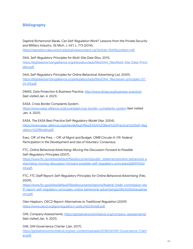#### **Bibliography**

Daphné Richemond-Barak, *Can Self-Regulation Work? Lessons from the Private Security and Military Industry*, 35 Mich. J. Int'l. L. 773 (2014), <https://repository.law.umich.edu/cgi/viewcontent.cgi?article=1069&context=mjil>

DAA, *Self-Regulatory Principles for Multi-Site Data* (Nov. 2011), [https://digitaladvertisingalliance.org/sites/aboutads/files/DAA\\_files/Multi-Site-Data-Princi](https://digitaladvertisingalliance.org/sites/aboutads/files/DAA_files/Multi-Site-Data-Principles.pdf) [ples.pdf](https://digitaladvertisingalliance.org/sites/aboutads/files/DAA_files/Multi-Site-Data-Principles.pdf)

DAA*, Self-Regulatory Principles for Online Behavioral Advertising* (Jul. 2009), [https://digitaladvertisingalliance.org/sites/aboutads/files/DAA\\_files/seven-principles-07-](https://digitaladvertisingalliance.org/sites/aboutads/files/DAA_files/%E2%80%8Cseven-principles-07-01-09.pdf) [01-09.pdf](https://digitaladvertisingalliance.org/sites/aboutads/files/DAA_files/%E2%80%8Cseven-principles-07-01-09.pdf)

DMAS, *Data Protection & Business Practice*, <http://www.dmas.org/business-practice/> (last visited Jan. 4, 2021).

EASA, *Cross Border Complaints System*, <https://www.easa-alliance.org/coverage/cross-border-complaints-system> (last visited Jan. 4, 2021).

EASA, *The EASA Best Practice Self-Regulatory Model* (Apr. 2004), [https://www.easa-alliance.org/sites/default/files/EASA%20Best%20Practice%20Self-Reg](https://www.easa-alliance.org/sites/default/files/EASA%20Best%20Practice%25%E2%80%8C20Self-Regulatory%20Model.pdf) [ulatory%20Model.pdf.](https://www.easa-alliance.org/sites/default/files/EASA%20Best%20Practice%25%E2%80%8C20Self-Regulatory%20Model.pdf)

Exec. Off. of the Pres. – Off. of Mgmt and Budget, *OMB Circular A-119: Federal Participation in the Development and Use of Voluntary Consensus.*

FTC, *Online Behavioral Advertising: Moving the Discussion Forward to Possible Self-Regulatory Principles* (2007),

[https://www.ftc.gov/sites/default/files/documents/public\\_statements/online-behavioral-a](https://www.ftc.gov/sites/default/files/documents/public_statements/online-behavioral-advertising-moving-discussion-forward-possible-self-regulatory-principles/p859900stmt.pdf) [dvertising-moving-discussion-forward-possible-self-regulatory-principles/p859900st](https://www.ftc.gov/sites/default/files/documents/public_statements/online-behavioral-advertising-moving-discussion-forward-possible-self-regulatory-principles/p859900stmt.pdf) [mt.pdf](https://www.ftc.gov/sites/default/files/documents/public_statements/online-behavioral-advertising-moving-discussion-forward-possible-self-regulatory-principles/p859900stmt.pdf).

FTC, *FTC Staff Report: Self-Regulatory Principles for Online Behavioral Advertising* (Feb. 2009),

[https://www.ftc.gov/sites/default/files/documents/reports/federal-trade-commission-sta](https://www.ftc.gov/sites/default/files/documents/reports/federal-trade-commission-staff-report-self-regulatory-principles-online-behavioral-advertising/p085400behavadreport.pdf) [ff-report-self-regulatory-principles-online-behavioral-advertising/p085400behavadrep](https://www.ftc.gov/sites/default/files/documents/reports/federal-trade-commission-staff-report-self-regulatory-principles-online-behavioral-advertising/p085400behavadreport.pdf) [ort.pdf.](https://www.ftc.gov/sites/default/files/documents/reports/federal-trade-commission-staff-report-self-regulatory-principles-online-behavioral-advertising/p085400behavadreport.pdf)

Glen Hepburn, *OECD Report: Alternatives to Traditional Regulation* (2009) <https://www.oecd.org/gov/regulatory-policy/42245468.pdf>.

GNI, *Company Assessments*, <https://globalnetworkinitiative.org/company-assessments/> (last visited Jan. 4, 2021).

GNI, *GNI Governance Charter* (Jan. 2017), [https://globalnetworkinitiative.org/wp-content/uploads/2018/04/GNI-Governance-Chart](https://globalnetworkinitiative.org/wp-content/uploads/2018/04/GNI-Governance-Charter.pdf) [er.pdf.](https://globalnetworkinitiative.org/wp-content/uploads/2018/04/GNI-Governance-Charter.pdf)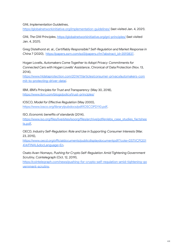GNI, *Implementation Guidelines*,

<https://globalnetworkinitiative.org/implementation-guidelines/> (last visited Jan. 4, 2021).

GNI, *The GNI Principles*, <https://globalnetworkinitiative.org/gni-principles/> (last visited Jan. 4, 2021).

Greg Distelhorst et. al., *Certifiably Responsible? Self-Regulation and Market Response in China* 7 (2020), [https://papers.ssrn.com/sol3/papers.cfm?abstract\\_id=3593837.](https://papers.ssrn.com/sol3/papers.cfm?abstract_id=3593837)

Hogan Lovells, *Automakers Come Together to Adopt Privacy Commitments for Connected Cars with Hogan Lovells' Assistance*, Chronical of Data Protection (Nov. 13, 2014),

[https://www.hldataprotection.com/2014/11/articles/consumer-privacy/automakers-com](https://www.hldataprotection.com/2014/11/articles/consumer-privacy/automakers-commit-to-protecting-driver-data/) [mit-to-protecting-driver-data/](https://www.hldataprotection.com/2014/11/articles/consumer-privacy/automakers-commit-to-protecting-driver-data/).

IBM, *IBM's Principles for Trust and Transparency* (May 30, 2018), <https://www.ibm.com/blogs/policy/trust-principles/>

IOSCO, *Model for Effective Regulation* (May 2000), [https://www.iosco.org/library/pubdocs/pdf/IOSCOPD110.pdf.](https://www.iosco.org/library/pubdocs/pdf/IOSCOPD110.pdf)

ISO, *Economic benefits of standards* (2014),

[https://www.iso.org/files/live/sites/isoorg/files/archive/pdf/en/ebs\\_case\\_studies\\_factshee](https://www.iso.org/files/live/sites/isoorg/files/archive/pdf/en/ebs_case_studies_factsheets.pdf) [ts.pdf.](https://www.iso.org/files/live/sites/isoorg/files/archive/pdf/en/ebs_case_studies_factsheets.pdf)

OECD, *Industry Self-Regulation: Role and Use in Supporting Consumer Interests* (Mar. 23, 2015),

[https://www.oecd.org/officialdocuments/publicdisplaydocumentpdf/?cote=DSTI/CP\(201](https://www.oecd.org/officialdocuments/publicdisplaydocumentpdf/?cote=DSTI/CP(2014)4/FINAL&docLanguage=En) [4\)4/FINAL&docLanguage=En](https://www.oecd.org/officialdocuments/publicdisplaydocumentpdf/?cote=DSTI/CP(2014)4/FINAL&docLanguage=En).

Osato Avan-Nomayo, *Pushing for Crypto Self-Regulation Amid Tightening Government Scrutiny*, Cointelegraph (Oct. 12, 2019),

[https://cointelegraph.com/news/pushing-for-crypto-self-regulation-amid-tightening-go](https://cointelegraph.com/news/pushing-for-crypto-self-regulation-amid-tightening-government-scrutiny) [vernment-scrutiny.](https://cointelegraph.com/news/pushing-for-crypto-self-regulation-amid-tightening-government-scrutiny)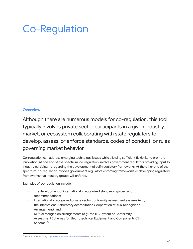# Co-Regulation

#### **Overview**

Although there are numerous models for co-regulation, this tool typically involves private sector participants in a given industry, market, or ecosystem collaborating with state regulators to develop, assess, or enforce standards, codes of conduct, or rules governing market behavior.

Co-regulation can address emerging technology issues while allowing sufficient flexibility to promote innovation. At one end of the spectrum, co-regulation involves government regulators providing input to industry participants regarding the development of self-regulatory frameworks. At the other end of the spectrum, co-regulation involves government regulators enforcing frameworks or developing regulatory frameworks that industry groups will enforce.

Examples of co-regulation include:

- The development of internationally recognized standards, guides, and recommendations;
- Internationally recognized private sector conformity assessment systems (*e.g.*, the International Laboratory Accreditation Cooperation Mutual Recognition Arrangement); and
- Mutual recognition arrangements (*e.g.*, the [I](https://www.iecee.org/about/cb-scheme/)EC System of Conformity Assessment Schemes for Electrotechnical Equipment and Components CB Scheme). 74

<sup>&</sup>lt;sup>74</sup> See CB Scheme, IECEE.org, <https://www.iecee.org/about/cb-scheme/> (last visited Jan. 4, 2021).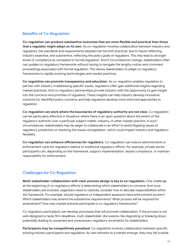#### **Benefits of Co-Regulation**

**Co-regulation can produce substantive outcomes that are more flexible and practical than those that a regulator might adopt on its own**. As co-regulation involves collaboration between industry and regulators, the standards and requirements adopted can be both practical, due to inputs reflecting industry expertise, and substantive, reflecting the policy goals of regulators. This may lead to stronger levels of compliance as compared to formal regulation. And if circumstances change, stakeholders often can update co-regulatory frameworks without having to navigate the lengthy notice-and-comment proceedings associated with formal regulation. This allows stakeholders to adapt co-regulatory frameworks to rapidly evolving technologies and market practices.

**Co-regulation can promote transparency and education.** As co-regulation enables regulators to partner with industry in addressing specific issues, regulators often gain additional insights regarding market practices. And co-regulatory partnerships provide industry with the opportunity to gain insight into the concerns and priorities of regulators. These insights can help industry develop innovative solutions for identified policy concerns and help regulators develop more informed approaches to regulation.

**Co-regulation can work where the boundaries of regulatory authority are not clear.** Co-regulation can be particularly effective in situations where there is an open question about the extent of the regulator's authority over a particular subject matter, industry, or other market practice. In such circumstances, stakeholders may be eager to collaborate in an effort to avoid litigating issues of regulatory jurisdiction or resolving the issues via legislation, which could impact industry and regulatory flexibility.

**Co-regulation can enhance efficiencies for regulators.** Co-regulation can reduce administrative or enforcement costs for regulators relative to traditional regulatory efforts. For example, private sector participants can, depending on the framework, support implementation, assess compliance, or maintain responsibility for enforcement.

#### **Challenges for Co-Regulation**

**Multi-stakeholder collaboration with clear process design is key to co-regulation.** One challenge at the beginning of co-regulatory efforts is determining which stakeholders to convene. And once stakeholders are involved, organizers need to carefully consider how to allocate responsibilities within the framework. For example, should regulators or independent assessors have enforcement powers? Which stakeholders may amend the substantive requirements? What process will be required for amendment? How may market entrants participate in co-regulatory frameworks?

Co-regulatory participants can develop processes that will promote collaboration. If the process is not well-designed or lacks firm deadlines, multi-stakeholder discussions risk stagnating or breaking down, potentially leading to unwanted and unnecessary regulatory uncertainty for stakeholders.

**Participants may be competitively penalized**. Co-regulation involves collaboration between specific existing industry participants and regulators. As new entrants to a market emerge, they may fall outside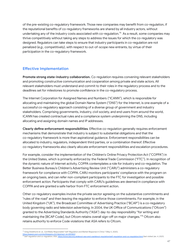of the pre-existing co-regulatory framework. Those new companies may benefit from co-regulation, if the reputational benefits of co-regulatory frameworks are shared by all industry actors, without undertaking any of the industry costs associated with co-regulation. $^{75}$  As a result, some companies may thrive competitively without taking any steps to address the issues for which the co-regulatory was designed. Regulators can take steps to ensure that industry participants in co-regulation are not penalized (*e.g.*, competitively), with respect to out-of-scope new entrants, by virtue of their participation in the co-regulatory framework.

#### **Effective Implementation**

**Promote strong state-industry collaboration.** Co-regulation requires convening relevant stakeholders and promoting constructive communication and cooperation among private and state actors. All relevant stakeholders must understand and commit to their roles in the regulatory process and to the deadlines set for milestones to promote confidence in the co-regulatory process.

The Internet Corporation for Assigned Names and Numbers ("ICANN"), which is responsible for allocating and maintaining the global Domain Name System ("DNS") for the Internet, is one example of a successful co-regulatory approach consisting of a diverse group of government and industry stakeholders. Comprising governments, industry, civil society, and end users from around the world, ICANN has created contractual rules and a compliance system underpinning the DNS, including allocating and assigning domain names and IP addresses.

**Clearly define enforcement responsibilities**. Effective co-regulation generally requires enforcement mechanisms that demonstrate that industry is subject to substantial obligations and that the co-regulatory framework is more than aspirational guidance. Enforcement responsibilities can be allocated to industry, regulators, independent third parties, or a combination thereof. Effective co-regulatory frameworks also clearly allocate enforcement responsibilities and escalation procedures.

For example, consider the implementation of the Children's Online Privacy Protection Act ("COPPA") in the United States, which is primarily enforced by the Federal Trade Commission ("FTC"). In recognition of the dynamic nature of Internet activity, COPPA contemplates a role for industry and co-regulation. The Better Business Bureau's Children's Advertising Review Unit ("CARU") administers a co-regulatory framework for compliance with COPPA. CARU monitors participants' compliance with the program on an ongoing basis, and can refer non-compliant participants to the FTC for investigation and possible enforcement action. Participants that comply with CARU's guidelines are deemed in compliance with COPPA and are granted a safe harbor from FTC enforcement action.

Other co-regulatory examples involve the private sector agreeing on the substantive commitments and "rules of the road" and then leaving the regulator to enforce those commitments. For example, in the United Kingdom ("UK"), the Broadcast Committee of Advertising Practice ("BCAP") is a co-regulatory body governing radio and television advertising. In 2004, the UK Office of Communications ("Ofcom") granted to the Advertising Standards Authority ("ASA") day-to-day responsibility "for writing and maintaining the [BCAP Code], but Ofcom retains overall sign-off on major changes." <sup>76</sup> Ofcom also retains authority to enforce Code violations that ASA refers to Ofcom.

<sup>75</sup> Greg Distelhorst et. al., *Certifiably Responsible? Self-Regulation and Market Response in China* 7 (May 5, 2020),

https://papers.ssrn.com/sol3/papers.cfm?abstract\_id=3593837.<br><sup>%</sup> Self-regulation and co-regulation, ASA, <u><https://www.asa.org.uk/about-asa-and-cap/about-regulation/self-regulation-and-co-regulation.html> (last visited Jan. </u>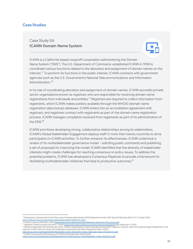#### **Case Studies**

# Case Study 5A **ICANN Domain Name System**



ICANN is a California-based nonprofit corporation administering the Domain Name System ("DNS"). The U.S. Department of Commerce established ICANN in 1998 to coordinate various functions related to the allocation and assignment of domain names on the Internet.<sup>77</sup> To perform its functions in the public interest, ICANN contracts with government agencies such as the U.S. Government's National Telecommunications and Information Administration. 78

In its role of coordinating allocation and assignment of domain names, ICANN accredits private sector organizations known as registrars who are responsible for receiving domain name registrations from individuals and entities. $^{79}$  Registrars are required to collect information from registrants, which ICANN makes publicly available through the WHOIS (domain name registration data lookup) database. ICANN enters into an accreditation agreement with registrars, and registrars contract with registrants as part of the domain name registration process. ICANN manages complaints received from registrants as part of its administration of the DNS. 80

ICANN prioritizes developing strong, collaborative relationships among its stakeholders. ICANN's Global Stakeholder Engagement deploys staff in more than twenty countries to drive participation in ICANN activities. To further enhance its effectiveness, ICANN undertook a review of its multistakeholder governance model – soliciting public comments and publishing a set of proposals for improving the model. ICANN identified that the diversity of stakeholder interests might create challenges for reaching consensus on policy issues. To address the potential problems, ICANN has developed a Consensus Playbook to provide a framework for facilitating multistakeholder initiatives that lead to productive outcomes. $^{\mathrm{81}}$ 

<https://nvlpubs.nist.gov/nistpubs/SpecialPublications/NIST.SP.800-81-2.pdf>.<br><sup>78</sup> A Quick Look at ICANN (Nov. 2013), <u>https://www.icann.org/en/system/files/files/quick-look-icann-01nov13-en.pdf</u>. <sup>77</sup> Ramaswamy Chandramouli & Scott Rose, *Secure Domain Name System (DNS) Deployment Guide*, NIST Special Publication 800-81-2, 2-3 (Sept. 2013),

<sup>80</sup> Between September 2019 and February 2020, ICANN's Global Support Center reported receiving 8,857 registrant inquiries, which accounted for approximately 80% of all <sup>79</sup> *Registrar, ICANN Acronyms and Terms*, ICANN, <https://www.icann.org/icann-acronyms-and-terms/en/G0123> (last visited Jan. 4, 2021).

inquiries. ICANN, Volume 3: Issues and Challenges Impacting Domain Name Registrants (May 1, 2020), <https://www.icann.org/en/system/files/files/domain-name-registrants-issues-challenges-report-01may20-en.pdf>.

<sup>81</sup> ICANN, *Enhancing the Effectiveness of ICANN's Multistakeholder Model* (2020),

https://www.icanness-multistakeholder-model-14oct20-en.pdf.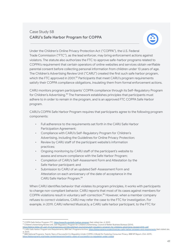# Case Study 5B **CARU's Safe Harbor Program for COPPA**



Under the Children's Online Privacy Protection Act ("COPPA"), the U.S. Federal Trade Commission ("FTC"), as the lead enforcer, may bring enforcement actions against violators. The statute also authorizes the FTC to approve safe-harbor programs related to COPPA's requirement that certain operators of online websites and services obtain verifiable parental consent before collecting personal information from children under 13 years of age. The Children's Advertising Review Unit ("CARU") created the first such safe harbor program, which the FTC approved in 2001.<sup>82</sup> Participants that meet CARU's program requirements satisfy their COPPA compliance obligations, insulating them from formal enforcement actions.

CARU monitors program participants' COPPA compliance through its Self-Regulatory Program for Children's Advertising.<sup>83</sup> The framework establishes principles that participants must adhere to in order to remain in the program, and is an approved FTC COPPA Safe Harbor program.

CARU's COPPA Safe Harbor Program requires that participants agree to the following program components:

- Full adherence to the requirements set forth in the CARU Safe Harbor Participation Agreement;
- Compliance with CARU's Self-Regulatory Program for Children's Advertising, including the Guidelines for Online Privacy Protection;
- Review by CARU staff of the participant website's information practices;
- Ongoing monitoring by CARU staff of the participant's website to assess and ensure compliance with the Safe Harbor Program;
- Completion of CARU's Self-Assessment Form and Attestation by the Safe Harbor participant; and
- Submission to CARU of an updated Self-Assessment Form and Attestation on each anniversary of the date of acceptance in the CARU Safe Harbor Program. 84

When CARU identifies behavior that violates its program principles, it works with participants to change non-compliant behavior. CARU reports that most of its cases against members for COPPA violations result in voluntary self-correction. <sup>85</sup> However, when a member company refuses to correct violations, CARU may refer the case to the FTC for investigation. For example, in 2019, CARU referred Musical.ly, a CARU safe harbor participant, to the FTC for

<sup>85</sup> BBB National Programs, Twenty Years of Successful Co-Regulation Under COPPA: A Model for Fostering Consumer Privacy, BBB NP Report, (Oct. 2019),<br>https://bbbprograms.org/media-center/newsroom/twenty-vears-of-successful https://bbbp.ps/media-co-requlation-

<sup>82</sup> COPPA Safe Harbor Program, FTC, <https://www.ftc.gov/safe-harbor-program> (last visited Jan. 4, 2021).

<sup>83</sup> Children's Advertising Review Unit, *Self-Regulatory Program for Children's Advertising*, Council of Better Business Bureaus (2014),

<https://bbbnp-bbbp-stf-use1-01.s3.amazonaws.com/docs/default-source/caru/self-regulatory-program-for-childrens-advertising-revised-2014-.pdf>.

<sup>184</sup> CARU Safe Harbor Program and Requirements, BBB Nat'l Programs Archive, <https://bbbprograms.org/archive/caru-safe-harbor-program-and-requirements> (last visited Jan. 2014) 4, 2021).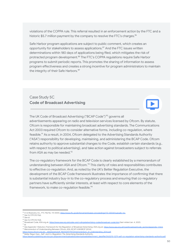violations of the COPPA rule. This referral resulted in an enforcement action by the FTC and a historic \$5.7 million payment by the company to resolve the FTC's charges.<sup>86</sup>

Safe Harbor program applications are subject to public comment, which creates an opportunity for stakeholders to assess applications. <sup>87</sup> And the FTC issues written determinations within 180 days of applications being filed, which mitigates the risk of protracted program development. $^{88}$  The FTC's COPPA regulations require Safe Harbor programs to submit periodic reports. This promotes the sharing of information to assess program effectiveness and creates a strong incentive for program administrators to maintain the integrity of their Safe Harbors. 89

#### Case Study 5C **Code of Broadcast Advertising**



The UK Code of Broadcast Advertising ("BCAP Code")<sup>90</sup> governs all advertisements appearing on radio and television services licensed by Ofcom. By statute, Ofcom is responsible for maintaining broadcast advertising standards. The Communications Act 2003 required Ofcom to consider alternative forms, including co-regulation, where feasible.<sup>91</sup> As a result, in 2004, Ofcom delegated to the Advertising Standards Authority ("ASA") responsibility for developing, maintaining, and administering the BCAP Code. Ofcom retains authority to approve substantial changes to the Code, establish certain standards (*e.g.*, with respect to political advertising), and take action against broadcasters subject to referrals from ASA as may be needed.<sup>92</sup>

The co-regulatory framework for the BCAP Code is clearly established by a memorandum of understanding between ASA and Ofcom.<sup>93</sup> This clarity of roles and responsibilities contributes to effective co-regulation. And, as noted by the UK's Better Regulation Executive, the development of the BCAP Code framework illustrates the importance of confirming that there is substantial industry buy-in to the co-regulatory process and ensuring that co-regulatory partners have sufficiently similar interests, at least with respect to core elements of the framework, to make co-regulation feasible.<sup>94</sup>

https://www.ofcom.org.uk/\_data/assets/pdf\_file/0029/79472/memorandum\_of\_understanding\_2014.pdf.

<sup>&</sup>lt;sup>86</sup> In re Musical.ly, Inc., FTC File No. 172 3004, [https://www.ftc.gov/enforcement/cases-proceedings/172-3004/musically-inc.](https://www.ftc.gov/enforcement/cases-proceedings/172-3004/musically-inc)

<sup>87</sup> *See* 16 CFR 312.11(a).

<sup>88</sup> *See id.*

<sup>89</sup> *See* 16 CFR 312.11(d).

<sup>90</sup> Broadcast Code, ASA.org.uk, <https://www.asa.org.uk/codes-and-rulings/advertising-codes/broadcast-code.html> (last visited Jan. 4, 2021).

<sup>93</sup> *Memorandum of Understanding Between Ofcom, ASA, BCAP & BASBOF* (2014), <sup>92</sup> See Appendix 1 Statutory Framework for the Regulation of Broadcast Advertising, ASA.org.uk, https://www.asa.org.uk/type/broadcast/code\_section/appendix-1.html 91 *Id.*

<sup>94</sup> Better Regul. Exec., *Self- and Co-Regulation: The Advertising Standards Authority*, data/file/31632/10-1279-self-co-regulation-advertising-standards-authority.pdf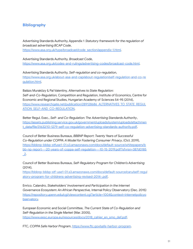#### **Bibliography**

Advertising Standards Authority, Appendix 1 *Statutory framework for the regulation of broadcast advertising BCAP Code*, [https://www.asa.org.uk/type/broadcast/code\\_section/appendix-1.html.](https://www.asa.org.uk/type/broadcast/code_section/appendix-1.html)

Advertising Standards Authority, *Broadcast Code*, [https://www.asa.org.uk/codes-and-rulings/advertising-codes/broadcast-code.html.](https://www.asa.org.uk/codes-and-rulings/advertising-codes/broadcast-code.html)

Advertising Standards Authority, *Self-regulation and co-regulation*, https://www.asa.org.uk/about-asa-and-cap/about-regulation/self-regulation-and-co-re gulation.html.

Balázs Muraközy & Pal Valentiny, *Alternatives to State Regulation: Self-and-Co-Regulation,* Competition and Regulation, Institute of Economics, Centre for Economic and Regional Studies, Hungarian Academy of Sciences 54-95 (2014), [https://www.researchgate.net/publication/289128686\\_ALTERNATIVES\\_TO\\_STATE\\_REGUL](https://www.researchgate.net/publication/289128686_ALTERNATIVES_TO_STATE_REGULATION_SELF-AND_CO-REGULATION) [ATION\\_SELF-AND\\_CO-REGULATION.](https://www.researchgate.net/publication/289128686_ALTERNATIVES_TO_STATE_REGULATION_SELF-AND_CO-REGULATION)

Better Regul. Exec., *Self- and Co-Regulation: The Advertising Standards Authority*, [https://assets.publishing.service.gov.uk/government/uploads/system/uploads/attachmen](https://assets.publishing.service.gov.uk/government/uploads/system/uploads/attachment_data/file/31632/10-1279-self-co-regulation-advertising-standards-authority.pdf) [t\\_data/file/31632/10-1279-self-co-regulation-advertising-standards-authority.pdf](https://assets.publishing.service.gov.uk/government/uploads/system/uploads/attachment_data/file/31632/10-1279-self-co-regulation-advertising-standards-authority.pdf).

Council of Better Business Bureaus, *BBBNP Report*: *Twenty Years of Successful Co-Regulation under COPPA: A Model for Fostering Consumer Privacy*, (Oct. 2019), [https://bbbnp-bbbp-stfuse1-01.s3.amazonaws.com/docs/default-source/whitepapers/b](https://bbbnp-bbbp-stfuse1-01.s3.amazonaws.com/docs/default-source/whitepapers/bbb-np-report---20-years-of-coppa-self-regulation---10-15-2019.pdf?sfvrsn=387d0185_2) [bb-np-report---20-years-of-coppa-self-regulation---10-15-2019.pdf?sfvrsn=387d0185](https://bbbnp-bbbp-stfuse1-01.s3.amazonaws.com/docs/default-source/whitepapers/bbb-np-report---20-years-of-coppa-self-regulation---10-15-2019.pdf?sfvrsn=387d0185_2) [\\_2](https://bbbnp-bbbp-stfuse1-01.s3.amazonaws.com/docs/default-source/whitepapers/bbb-np-report---20-years-of-coppa-self-regulation---10-15-2019.pdf?sfvrsn=387d0185_2).

Council of Better Business Bureaus, *Self-Regulatory Program for Children's Advertising* (2014),

[https://bbbnp-bbbp-stf-use1-01.s3.amazonaws.com/docs/default-source/caru/self-regul](https://bbbnp-bbbp-stf-use1-01.s3.amazonaws.com/docs/default-source/caru/self-regulatory-program-for-childrens-advertising-revised-2014-.pdf) [atory-program-for-childrens-advertising-revised-2014-.pdf.](https://bbbnp-bbbp-stf-use1-01.s3.amazonaws.com/docs/default-source/caru/self-regulatory-program-for-childrens-advertising-revised-2014-.pdf)

Enrico. Calandro, *Stakeholders' Involvement and Participation in the Internet Governance Ecosystem: An African Perspective,* Internal Policy Observatory (Dec. 2015) [https://repository.upenn.edu/cgi/viewcontent.cgi?article=1004&context=internetpolicyo](https://repository.upenn.edu/cgi/viewcontent.cgi?article=1004&context=internetpolicyobservatory) [bservatory.](https://repository.upenn.edu/cgi/viewcontent.cgi?article=1004&context=internetpolicyobservatory)

European Economic and Social Committee, *The Current State of Co-Regulation and Self-Regulation in the Single Market* (Mar. 2005), [https://www.eesc.europa.eu/resources/docs/2018\\_cahier\\_en\\_smo\\_def.pdf](https://www.eesc.europa.eu/resources/docs/2018_cahier_en_smo_def.pdf).

FTC, *COPPA Safe Harbor Program*, <https://www.ftc.gov/safe-harbor-program>.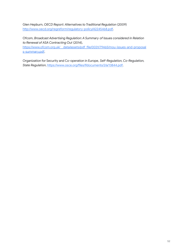Glen Hepburn, *OECD Report: Alternatives to Traditional Regulation* (2009) [http://www.oecd.org/regreform/regulatory-policy/42245468.pdf.](http://www.oecd.org/regreform/regulatory-policy/42245468.pdf)

Ofcom, *Broadcast Advertising Regulation: A Summary of Issues considered in Relation to Renewal of ASA Contracting Out* (2014),

https://www.ofcom.org.uk/ data/assets/pdf\_file/0031/79465/mou-issues-and-proposal [s-summary.pdf.](https://www.ofcom.org.uk/__data/assets/pdf_file/0031/79465/mou-issues-and-proposals-summary.pdf)

Organization for Security and Co-operation in Europe, *Self-Regulation, Co-Regulation, State Regulation*, [https://www.osce.org/files/f/documents/2/a/13844.pdf.](https://www.osce.org/files/f/documents/2/a/13844.pdf)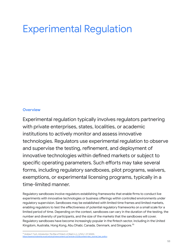# Experimental Regulation

#### **Overview**

Experimental regulation typically involves regulators partnering with private enterprises, states, localities, or academic institutions to actively monitor and assess innovative technologies. Regulators use experimental regulation to observe and supervise the testing, refinement, and deployment of innovative technologies within defined markets or subject to specific operating parameters. Such efforts may take several forms, including regulatory sandboxes, pilot programs, waivers, exemptions, or experimental licensing programs, typically in a time-limited manner.

Regulatory sandboxes involve regulators establishing frameworks that enable firms to conduct live experiments with innovative technologies or business offerings within controlled environments under regulatory supervision. Sandboxes may be established with limited time frames and limited markets, enabling regulators to test the effectiveness of potential regulatory frameworks on a small scale for a limited period of time. Depending on the context, sandboxes can vary in the duration of the testing, the number and diversity of participants, and the size of the markets that the sandboxes will cover. Regulatory sandboxes have become increasingly popular in the fintech sector, including in the United Kingdom, Australia, Hong Kong, Abu Dhabi, Canada, Denmark, and Singapore. 95

<sup>&</sup>lt;sup>95</sup> Andrew F. Tuch, *Introduction: The Rise of Fintech*, 61 Wash U.J.L. & Pol'y 1, 57 (2020),<br>https://openscholarship.wustl.edu/cgi/viewcontent.cgi?article=2123&context=law\_journal\_law\_policy https://openscholarship.wustl.edu/cgi/viewcontent.cgi?article=2123&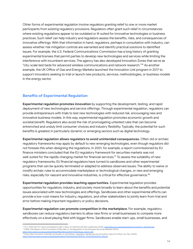Other forms of experimental regulation involve regulators granting relief to one or more market participants from existing regulatory provisions. Regulators often grant such relief in circumstances where existing regulations appear to be outdated or ill-suited for innovative technologies or business practices. Such relief can help industry and regulators assess the benefits, risks, and consequences of innovative offerings. With that information in hand, regulators, perhaps in consultation with industry, can assess whether risk mitigation controls are warranted and identify practical solutions to identified issues. For example, the U.S. Federal Communications Commission has a long history of granting experimental licenses that permit parties to develop new technologies and services while limiting the interference with incumbent services. The agency has also developed Innovation Zones that serve as "city-scale test beds for advanced wireless communications and network research." <sup>96</sup> As another example, the UK Office of Gas and Energy Markets launched the Innovation Link program in 2017 to support innovators seeking to trial or launch new products, services, methodologies, or business models in the energy sector.

#### **Benefits of Experimental Regulation**

**Experimental regulation promotes innovation** by supporting the development, testing, and rapid deployment of new technologies and service offerings. Through experimental regulation, regulators can provide entrepreneurs with trials to test new technologies with reduced risk, encouraging new and innovative business models. In this way, experimental regulation promotes economic growth and societal benefit. Regulators also avoid the risk of promulgating untested rules that can become entrenched and unduly limit consumer choices and industry flexibility. Typically, the potential for such benefits is greatest in particularly dynamic or emerging sectors such as digital technology.

**Experimental regulation allows regulators to avoid unintended consequences.** Often old or archaic regulatory frameworks may apply by default to new emerging technologies, even though regulators did not foresee this when designing the regulations. In 2001, for example, a report commissioned by EU finance ministers concluded that the EU regulatory framework for securities markets was not well-suited for the rapidly changing market for financial services. <sup>97</sup> To assess the suitability of new regulatory frameworks, EU financial regulators have turned to sandboxes and other experimental programs that can be quickly terminated or adapted to address observed issues. The ability to waive or modify archaic rules to accommodate marketplace or technological changes, or new and emerging risks, especially for nascent and innovative industries, is critical for effective governance. $^{\mathrm{98}}$ 

**Experimental regulation provides teaching opportunities.** Experimental regulation provides opportunities for regulators, industry, and society more broadly to learn about the benefits and potential issues associated with new technologies and offerings. Sandboxes and other experimental efforts can provide a low-cost means for industry, regulators, and other stakeholders to jointly learn from trial and error before making important regulatory or policy decisions.

**Experimental regulation can promote competition in the marketplace**. For example, regulatory sandboxes can reduce regulatory barriers to allow new firms or small businesses to compete more effectively on a level playing field with bigger firms. Sandboxes enable start-ups, small businesses, and

<sup>97</sup> ESMA, *Final Report of the Committee of Wise Men on the Regulation of the European Securities Markets* (2001), [https://www.esma.europa.eu/sites/default/files/library/2015/11/lamfalussy\\_report.pdf.](https://www.esma.europa.eu/sites/default/files/library/2015/11/lamfalussy_report.pdf) <sup>%</sup> FCC, What the FCC Has Accomplished Under 3 Years of Chairman Ajit Pai's Leadership (2020), <u>https://docs.fcc.gov/public/attachments/DOC-362141A1.pdf</u>

*<sup>98</sup>* Policy Dep't Economic, Scientific and Quality of Life Policies, *Regulatory Sandboxes and Innovation Hubs for FinTech*, Eur. Parl. (2020), reuroparl.europa.eu/RegData/etudes/STUD/2020/652752/IPOL\_STU(2020)652752\_EN.pdf.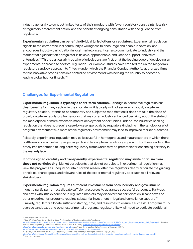industry generally to conduct limited tests of their products with fewer regulatory constraints, less risk of regulatory enforcement action, and the benefit of ongoing consultation with and guidance from regulators.

**Experimental regulation can benefit individual jurisdictions or regulators.** Experimental regulation signals to the entrepreneurial community a willingness to encourage and enable innovation, and encourages industry participation in local marketplaces. It can also communicate to industry and the market that a jurisdiction or regulator is flexible, approachable, and keen to support innovative enterprises.<sup>99</sup> This is particularly true where jurisdictions are first, or at the leading edge of developing an experimental approach to sectoral regulation. For example, studies have credited the United Kingdom's regulatory sandbox approach to fintech (under which the Financial Conduct Authority authorized firms to test innovative propositions in a controlled environment) with helping the country to become a leading global hub for fintech.<sup>100</sup>

#### **Challenges for Experimental Regulation**

**Experimental regulation is typically a short-term solution.** Although experimental regulation has clear benefits for many sectors in the short-term, it typically will not serve as a robust, long-term regulatory solution. It tends to be temporary and subject to modification; it does not take the place of broad, long-term regulatory frameworks that may offer industry enhanced certainty about the state of the marketplace or more expansive market deployment opportunities. Indeed, for industries seeking regulation that does not require case-by-case approvals by regulators (including in the sandbox or pilot program environments), a more stable regulatory environment may lead to improved market outcomes.

Relatedly, experimental regulation may be less useful in homogenous and mature sectors in which there is little empirical uncertainty regarding a desirable long-term regulatory approach. For these sectors, the timely implementation of long-term regulatory frameworks may be preferable for enhancing certainty in the marketplace.

**If not designed carefully and transparently, experimental regulation may invite criticism from those not participating**. Market participants that do not participate in experimental regulation may view the programs as unequal or unfair. For this reason, effective regulators clearly articulate the guiding principles, shared goals, and relevant rules of the experimental regulatory approach to all relevant stakeholders.

#### **Experimental regulation requires sufficient investment from both industry and government**.

Industry participants must allocate sufficient resources to guarantee successful outcomes. Start-ups and firms with little experience in regulated markets may discover that participation in sandboxes or other experimental programs requires substantial investment in legal and compliance support. $^{101}$ Similarly, regulators allocate sufficient staffing, time, and resources to ensure a successful program. <sup>102</sup> To oversee sandboxes and other experimental programs, regulators likely will need to dedicate additional

<sup>99</sup> Tuch, *supra* note 1 at 55, 71.

<sup>100</sup> *See* EY, *UK FinTech: On the Cutting Edge, An Evaluation of the International FinTech Sector*,

[https://assets.publishing.service.gov.uk/government/uploads/system/uploads/attachment\\_data/file/502995/UK\\_FinTech\\_-\\_On\\_the\\_cutting\\_edge\\_-\\_Full\\_Report.pdf.](https://assets.publishing.service.gov.uk/government/uploads/system/uploads/attachment_data/file/502995/UK_FinTech_-_On_the_cutting_edge_-_Full_Report.pdf) *See also* Hilary J. Allen, *Regulatory Sandboxes*, 87 Geo. Wash. L. Rev. 579 (2019), [https://www.gwlr.org/regulatory-sandboxes/;](https://www.gwlr.org/regulatory-sandboxes/)

<https://www.fca.org.uk/firms/innovation/regulatory-sandbox>*; and* FCA, The Impact and Effectiveness of Innovate (2019),

<sup>&</sup>lt;u>[https://www.fca.org.uk/publication/research/the-impact-and-effectiveness-of-innovate.pdf.](https://www.fca.org.uk/publication/research/the-impact-and-effectiveness-of-innovate.pdf)</u><br><sup>101</sup> Deloitte, A Journey Through the FCA Regulatory Sandbox: The Benefits, Challenges, and Next Steps, (2018),

https://www2.deloitte.<br><sup>102</sup> Allen, *supra* note 6. htte/uk/Documents/financial-services/deloitte-uk-fca-regulatory-sandbox-project-innovate-finance-journey.pdf.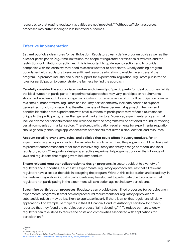resources so that routine regulatory activities are not impacted. <sup>103</sup> Without sufficient resources, processes may suffer, leading to less beneficial outcomes.

#### **Effective Implementation**

**Set and publicize clear rules for participation**. Regulators clearly define program goals as well as the rules for participation (*e.g.*, time limitations, the scope of regulatory permissions or waivers, and the restrictions or limitations on activities). This is important to guide agency action, and to provide companies with the certainty they need to assess whether to participate. Clearly defining program boundaries helps regulators to ensure sufficient resource allocation to enable the success of the program. To promote industry and public support for experimental regulation, regulators publicize the rules for participation to demonstrate the fairness behind the approach.

**Carefully consider the appropriate number and diversity of participants for ideal outcomes.** While the ideal number of participants in experimental approaches may vary, participation requirements should be broad enough to encourage participation from a wide range of firms. If participation is limited to a small number of firms, regulators and industry participants may lack data needed to support generalized conclusions regarding the effectiveness of the experimental approach. The risks and benefits identified from experiments with small numbers of participants may reflect circumstances unique to the participants, rather than general market factors. Moreover, experimental programs that include diverse participants reduce the likelihood that the programs will be criticized for unduly favoring certain companies or market sectors. Therefore, participation requirements for experimental regulation should generally encourage applications from participants that differ in size, location, and resources.

**Account for all relevant laws, rules, and policies that could affect industry conduct.** For an experimental regulatory approach to be valuable to regulated entities, the program should be designed to preempt enforcement and other more intrusive regulatory actions by a range of federal and local regulatory actors.<sup>104</sup> Regulators designing effective experimental programs consider the full range of laws and regulations that might govern industry conduct.

**Ensure relevant regulator collaboration to design programs.** In sectors subject to a variety of regulators and authorities, a successful experimental regulatory approach ensures that all relevant regulators have a seat at the table in designing the program. Without this collaboration and broad buy-in from relevant regulators, industry participants may be reluctant to participate due to concerns that regulators not participating in the experiment will take action against industry participants.

**Streamline participation processes.** Regulators can provide streamlined processes for participating in experimental programs. If timelines and procedural requirements for regulatory approvals are substantial, industry may be less likely to apply, particularly if there is a risk that regulators will deny applications. For example, participants in the UK Financial Conduct Authority's sandbox for fintech reported that they found the participation process "fairly daunting." <sup>105</sup> To reduce barriers to entry, regulators can take steps to reduce the costs and complexities associated with applications for participation. 106

<sup>103</sup> *See id.*

<sup>104</sup> *Id.*

<sup>105</sup> Deloitte, *supra* note 7.

<sup>&</sup>lt;sup>106</sup> Brian Knight, How to Build a Good Regulatory Sandbox: Four Principles to Help Policymakers Get It Right, Mercatus.org (Apr. 17, 2019),<br>https://www.mercatus.org/bridge/commentary/how-build-good-regulatory-sandbox. entary/how-build-good-regulator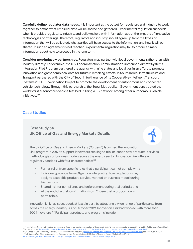**Carefully define regulator data needs.** It is important at the outset for regulators and industry to work together to define what empirical data will be shared and gathered. Experimental regulation succeeds when it provides regulators, industry, and policymakers with information about the impacts of innovative technologies or offerings. Therefore, regulators and industry should agree up front the types of information that will be collected, what parties will have access to the information, and how it will be shared. If such an agreement is not reached, experimental regulation may fail to produce timely information about how to proceed in the long term.

**Consider non-industry partnerships**. Regulators may partner with local governments rather than with industry directly. For example, the U.S. Federal Aviation Administration's Unmanned Aircraft Systems Integration Pilot Program partnered the agency with nine states and localities in an effort to promote innovation and gather empirical data for future rulemaking efforts. In South Korea, Infrastructure and Transport partnered with the City of Seoul in furtherance of its Cooperative-Intelligent Transport Systems ("C-ITS") Verification Project to promote the development of autonomous and connected vehicle technology. Through this partnership, the Seoul Metropolitan Government constructed the world's first autonomous vehicle test bed utilizing a 5G network, among other autonomous vehicle initiatives. 107

#### **Case Studies**

# Case Study 6A **UK Office of Gas and Energy Markets Details**

The UK Office of Gas and Energy Markets ("Ofgem") launched the Innovation Link program in 2017 to support innovators seeking to trial or launch new products, services, methodologies or business models across the energy sector. Innovation Link offers a regulatory sandbox with four characteristics: 108

- Formal relief from specific rules that a participant cannot comply with;
- Individual guidance from Ofgem on interpreting how regulations may apply to a specific product, service, method or business model during trial periods;
- Shared risk for compliance and enforcement during trial periods; and
- At the end of a trial, confirmation from Ofgem that a proposition is permissible.

Innovation Link has succeeded, at least in part, by attracting a wide range of participants from across the energy industry. As of October 2019, Innovation Link had worked with more than 200 innovators. <sup>109</sup> Participant products and programs include:

<sup>&</sup>lt;sup>109</sup> Neil Barnes, *How Ofgem's Innovation Link Supports Low Carbon Projects*, UK Office of Gas and Energy Markets (Oct. 17, 2019),<br>https://www.ofgem.gov.uk/news-blog/our-blog/how-ofgem-s-innovation-link-supports-low-carbo w.ofgem.gov.uk/news-blog/our-blog/how-ofgem-s-innovation-lin City (Jan. 18, 2019), <u><http://english.seoul.go.kr/seoul-to-complete-construction-of-the-worlds-first-5g-convergence-autonomous-driving-test-bed/>.<br><sup>108</sup> UK Office of Gas and Energy Markets, *The Innovation Link: About Us,* </u> <sup>7</sup> Press Release, Seoul Metropolitan Government, Seoul to complete construction of the world's first 5G convergence autonomous driving test bed at Sangam Digital Media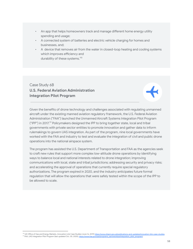- An app that helps homeowners track and manage different home energy utility spending and usage;
- A connected system of batteries and electric vehicle charging for homes and businesses, and;
- A device that removes air from the water in closed-loop heating and cooling systems which improves efficiency and durability of these systems.<sup>110</sup>

# Case Study 6B **U.S. Federal Aviation Administration Integration Pilot Program**

Given the benefits of drone technology and challenges associated with regulating unmanned aircraft under the existing manned aviation regulatory framework, the U.S. Federal Aviation Administration ("FAA") launched the Unmanned Aircraft Systems Integration Pilot Program ("IPP") in 2017. <sup>111</sup> Policymakers designed the IPP to bring together state, local and tribal governments with private sector entities to promote innovation and gather data to inform rulemakings to govern UAS integration. As part of the program, nine local governments have worked with the FAA and industry to test and evaluate the integration of civil and public drone operations into the national airspace system.

The program has assisted the U.S. Department of Transportation and FAA as the agencies seek to craft new rules that support more complex low-altitude drone operations by identifying ways to balance local and national interests related to drone integration; improving communications with local, state and tribal jurisdictions; addressing security and privacy risks; and accelerating the approval of operations that currently require special regulatory authorizations. The program expired in 2020, and the industry anticipates future formal regulation that will allow the operations that were safely tested within the scope of the IPP to be allowed to scale.

<sup>&</sup>lt;sup>110</sup> UK Office of Gas and Energy Markets, *Innovation* Link Case Studies (June 16, 2019) https://www.ofgem.gov.uk/publications-and-updates/innovation-link-case

<sup>&</sup>lt;sup>111</sup> FAA, *UAS* Integration Pilot Program (last updated Oct. 30, 2020), https://w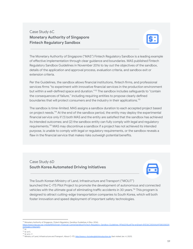# Case Study 6C **Monetary Authority of Singapore Fintech Regulatory Sandbox**



The Monetary Authority of Singapore ("MAS") Fintech Regulatory Sandbox is a leading example of effective implementation through clear guidance and boundaries. MAS published Fintech Regulatory Sandbox Guidelines in November 2016 to lay out the objectives of the sandbox, details of the application and approval process, evaluation criteria, and sandbox exit or extension criteria.

Per the Guidelines, the sandbox allows financial institutions, fintech firms, and professional services firms "to experiment with innovative financial services in the production environment but within a well-defined space and duration."<sup>112</sup> The sandbox includes safeguards to "contain the consequences of failure," including requiring entities to propose clearly defined boundaries that will protect consumers and the industry in their applications.<sup>113</sup>

The sandbox is time-limited. MAS assigns a sandbox duration to each accepted project based on project needs.<sup>114</sup> At the end of the sandbox period, the entity may deploy the experimental financial service only if (1) both MAS and the entity are satisfied that the sandbox has achieved its intended outcomes; and (2) the sandbox entity can fully comply with legal and regulatory requirements. <sup>115</sup> MAS may discontinue a sandbox if a project has not achieved its intended purpose, is unable to comply with legal or regulatory requirements, or the sandbox reveals a flaw in the financial service that makes risks outweigh potential benefits.

# Case Study 6D **South Korea Automated Driving Initiatives**



The South Korean Ministry of Land, Infrastructure and Transport ("MOLIT") launched the C-ITS Pilot Project to promote the development of autonomous and connected vehicles with the ultimate goal of eliminating traffic accidents in 30 years.<sup>116</sup> This program is designed to attract cutting-edge transportation companies to South Korea, which will both foster innovation and speed deployment of important safety technologies.

<sup>112</sup> Monetary Authority of Singapore, *Fintech Regulatory Sandbox Guidelines* 4 (Nov. 2016),

[https://www.mas.gov.sg/-/media/MAS/Smart-Financial-Centre/Sandbox/FinTech-Regulatory-Sandbox-Guidelines-19Feb2018.pdf?la=en&hash=B1D36C055AA641F580058339](https://www.mas.gov.sg/-/media/MAS/Smart-Financial-Centre/Sandbox/FinTech-Regulatory-Sandbox-Guidelines-19Feb2018.pdf?la=en&hash=B1D36C055AA641F5800%E2%80%8C58339009448CC19A014F7) [009448CC19A014F7.](https://www.mas.gov.sg/-/media/MAS/Smart-Financial-Centre/Sandbox/FinTech-Regulatory-Sandbox-Guidelines-19Feb2018.pdf?la=en&hash=B1D36C055AA641F5800%E2%80%8C58339009448CC19A014F7)

<sup>114</sup> *Id.* at 5. 113 *Id.*

<sup>115</sup> *Id.* at 6–7.

<sup>116</sup> Ministry of Land, Infrastructure and Transport, *About C-ITS*, <http://www.c-its.kr/english/introduction.do> (last visited Jan. 4, 2021).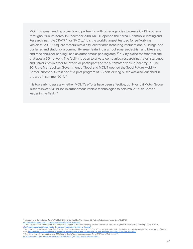MOLIT is spearheading projects and partnering with other agencies to create C-ITS programs throughout South Korea. In December 2018, MOLIT opened the Korea Automobile Testing and Research Institute ("KATRI") or "K-City." It is the world's largest testbed for self-driving vehicles: 320,000 square meters with a city-center area (featuring intersections, buildings, and bus lanes and stations), a community area (featuring a school zone, pedestrian and bike area, and road shoulder parking), and an autonomous parking area. <sup>117</sup> K-City is also the first test site that uses a 5G network. The facility is open to private companies, research institutes, start-ups and universities in order to involve all participants of the automated vehicle industry. In June 2019, the Metropolitan Government of Seoul and MOLIT opened the Seoul Future Mobility Center, another 5G test bed.<sup>118</sup> A pilot program of 5G self-driving buses was also launched in the area in summer 2019. 119

It is too early to assess whether MOLIT's efforts have been effective, but Hyundai Motor Group is set to invest \$35 billion in autonomous vehicle technologies to help make South Korea a leader in the field. 120

<sup>117</sup> Michael Herh, *Korea Builds World's First Self-Driving Car Test Bed Running on 5G Network*, Business Korea (Dec. 10, 2018) sskorea.co.kr/news/articleView.html?idxno=27337.

<sup>&</sup>lt;sup>118</sup> Seoul Metropolitan Government, Seoul Hosts the Sangam Autonomous Driving Festival, the World's First Test Stage for 5G Autonomous Driving (June 21, 2019),

[http://english.seoul.go.kr/seoul-hosts-the-sangam-autonomous-driving-festival/.](http://english.seoul.go.kr/seoul-hosts-the-sangam-autonomous-driving-festival/)<br>"" Seoul Metropolitan Government, Seoul to complete construction of the world's first 5G convergence autonomous driving test bed at Sangam Dig 2019), http://english.seoul.go.kr/seoul-to-complete-construction-of-the-worlds-first-5g-

<sup>120</sup> Sean Szymkowski, *Hyundai to Invest \$35 Billion in South Korea for Autonomous Cars*, CNET.com (Oct. 16, 2019), ws/hyundai-self-driving-autonomous-car-inv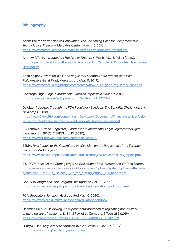#### **Bibliography**

Adam Theirer, *Permissionless Innovation: The Continuing Case for Comprehensive Technological Freedom*, Mercatus Center (March 15, 2016), [https://www.mercatus.org/system/files/Thierer-Permissionless-revised.pdf.](https://www.mercatus.org/system/files/Thierer-Permissionless-revised.pdf)

Andrew F. Tuch, *Introduction: The Rise of Fintech*, 61 Wash U.J.L. & Pol'y 1 (2020), [https://openscholarship.wustl.edu/cgi/viewcontent.cgi?article=2123&context=law\\_journal](https://openscholarship.wustl.edu/cgi/viewcontent.cgi?article=2123&context=law_journal_law_policy) law policy.

Brian Knight, *How to Build a Good Regulatory Sandbox: Four Principles to Help Policymakers Get It Right*, Mercatus.org (Apr. 17, 2019), <https://www.mercatus.org/bridge/commentary/how-build-good-regulatory-sandbox>.

Christoph Engel, *Legal Experiments - Mission Impossible?* (June 9, 2013), [https://papers.ssrn.com/sol3/papers.cfm?abstract\\_id=2276566.](https://papers.ssrn.com/sol3/papers.cfm?abstract_id=2276566)

Deloitte, *AJourney Through the FCA Regulatory Sandbox: The Benefits, Challenges, and Next Steps*, (2018),

[https://www2.deloitte.com/content/dam/Deloitte/uk/Documents/financial-services/deloit](https://www2.deloitte.com/content/dam/Deloitte/uk/Documents/financial-services/deloitte-uk-fca-regulatory-sandbox-project-innovate-finance-journey.pdf) [te-uk-fca-regulatory-sandbox-project-innovate-finance-journey.pdf](https://www2.deloitte.com/content/dam/Deloitte/uk/Documents/financial-services/deloitte-uk-fca-regulatory-sandbox-project-innovate-finance-journey.pdf).

E. Gromova, T. Ivanc, *Regulatory Sandboxes (Experimental Legal Regimes) for Digital Innovations in BRICS*. 7 BRICS L. J. 10 (2020), [https://www.bricslawjournal.com/jour/article/view/331.](https://www.bricslawjournal.com/jour/article/view/331)

ESMA, *Final Report of the Committee of Wise Men on the Regulation of the European Securities Markets* (2001), [https://www.esma.europa.eu/sites/default/files/library/2015/11/lamfalussy\\_report.pdf.](https://www.esma.europa.eu/sites/default/files/library/2015/11/lamfalussy_report.pdf)

EY, *UK FinTech: On the Cutting Edge, An Evaluation of the International FinTech Sector*, [https://assets.publishing.service.gov.uk/government/uploads/system/uploads/attachmen](https://assets.publishing.service.gov.uk/government/uploads/system/uploads/attachment_data/file/502995/UK_FinTech_-_On_the_cutting_edge_-_Full_Report.pdf) [t\\_data/file/502995/UK\\_FinTech\\_-\\_On\\_the\\_cutting\\_edge\\_-\\_Full\\_Report.pdf.](https://assets.publishing.service.gov.uk/government/uploads/system/uploads/attachment_data/file/502995/UK_FinTech_-_On_the_cutting_edge_-_Full_Report.pdf)

FAA, *UAS Integration Pilot Program* (last updated Oct. 30, 2020), [https://www.faa.gov/uas/programs\\_partnerships/integration\\_pilot\\_program/](https://www.faa.gov/uas/programs_partnerships/integration_pilot_program/).

FCA, *Regulatory Sandbox*, (last updated May 10, 2020), <https://www.fca.org.uk/firms/innovation/regulatory-sandbox>.

Haomiao Du & M. Heldeweg *An experimental approach to regulating non-military unmanned aircraft systems*, 33:3 Int'l Rev. of L., Computs. & Tech. 285 (2019), [https://www.tandfonline.com/doi/full/10.1080/13600869.2018.1429721.](https://www.tandfonline.com/doi/full/10.1080/13600869.2018.1429721)

Hilary J. Allen, *Regulatory Sandboxes*, 87 Geo. Wash. L. Rev. 579 (2019), [https://www.gwlr.org/regulatory-sandboxes/.](https://www.gwlr.org/regulatory-sandboxes/)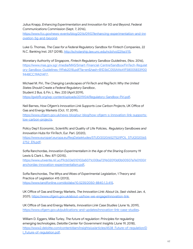Julius Knapp, *Enhancing Experimentation and Innovation for 5G and Beyond*, Federal Communications Commission (Sept. 7, 2016),

[https://www.fcc.gov/news-events/blog/2016/09/07/enhancing-experimentation-and-inn](https://www.fcc.gov/news-events/blog/2016/09/07/enhancing-experimentation-and-innovation-5g-and-beyond) [ovation-5g-and-beyond](https://www.fcc.gov/news-events/blog/2016/09/07/enhancing-experimentation-and-innovation-5g-and-beyond).

Luke G. Thomas, *The Case for a Federal Regulatory Sandbox for Fintech Companies*, 22 N.C. Banking Inst. 257 (2018), [http://scholarship.law.unc.edu/ncbi/vol22/iss1/15.](http://scholarship.law.unc.edu/ncbi/vol22/iss1/15)

Monetary Authority of Singapore, *Fintech Regulatory Sandbox Guidelines*, (Nov. 2016), [https://www.mas.gov.sg/-/media/MAS/Smart-Financial-Centre/Sandbox/FinTech-Regulat](https://www.mas.gov.sg/-/media/MAS/Smart-Financial-Centre/Sandbox/FinTech-Regulatory-Sandbox-Guidelines-19Feb2018.pdf?la=en&hash=B1D36C055AA641F5800%E2%80%8C58339009448CC19A014F7) [ory-Sandbox-Guidelines-19Feb2018.pdf?la=en&hash=B1D36C055AA641F58005833900](https://www.mas.gov.sg/-/media/MAS/Smart-Financial-Centre/Sandbox/FinTech-Regulatory-Sandbox-Guidelines-19Feb2018.pdf?la=en&hash=B1D36C055AA641F5800%E2%80%8C58339009448CC19A014F7) [9448CC19A014F7.](https://www.mas.gov.sg/-/media/MAS/Smart-Financial-Centre/Sandbox/FinTech-Regulatory-Sandbox-Guidelines-19Feb2018.pdf?la=en&hash=B1D36C055AA641F5800%E2%80%8C58339009448CC19A014F7)

Michael M. Piri, *The Changing Landscapes of FinTech and RegTech: Why the United States Should Create a Federal Regulatory Sandbox*, Student 2 Bus. & Fin. L. Rev. 233 (April 2019), [https://gwbflr.org/wp-content/uploads/2019/04/Regulatory-Sandbox-Piri.pdf.](https://gwbflr.org/wp-content/uploads/2019/04/Regulatory-Sandbox-Piri.pdf)

Neil Barnes, *How Ofgem's Innovation Link Supports Low Carbon Projects*, UK Office of Gas and Energy Markets (Oct. 17, 2019),

[https://www.ofgem.gov.uk/news-blog/our-blog/how-ofgem-s-innovation-link-supports](https://www.ofgem.gov.uk/news-blog/our-blog/how-ofgem-s-innovation-link-supports-low-carbon-projects)[low-carbon-projects.](https://www.ofgem.gov.uk/news-blog/our-blog/how-ofgem-s-innovation-link-supports-low-carbon-projects)

Policy Dep't Economic, Scientific and Quality of Life Policies, *Regulatory Sandboxes and Innovation Hubs for FinTech*, Eur. Parl. (2020),

[https://www.europarl.europa.eu/RegData/etudes/STUD/2020/652752/IPOL\\_STU\(2020\)65](https://www.europarl.europa.eu/RegData/etudes/STUD/2020/652752/IPOL_STU(2020)652752_EN.pdf) [2752\\_EN.pdf.](https://www.europarl.europa.eu/RegData/etudes/STUD/2020/652752/IPOL_STU(2020)652752_EN.pdf)

Sofia Ranchordas, *Innovation Experimentalism in the Age of the Sharing Econom*y 19 Lewis & Clark L. Rev. 871 (2015),

[https://www.utwente.nl/.uc/f9cb03e510102a5071c00ba729602093d0b00507a7e0100/r](https://www.utwente.nl/.uc/f9cb03e510102a5071c00ba729602093d0b00507a7e0100/ranchordas-innovation-experimentalism.pdf) [anchordas-innovation-experimentalism.pdf.](https://www.utwente.nl/.uc/f9cb03e510102a5071c00ba729602093d0b00507a7e0100/ranchordas-innovation-experimentalism.pdf)

Sofia Ranchordas, *The Whys and Woes of Experimental Legislation*, 1 Theory and Practice of Legislation 415 (2013), [https://www.tandfonline.com/doi/abs/10.5235/2050-8840.1.3.415.](https://www.tandfonline.com/doi/abs/10.5235/2050-8840.1.3.415)

UK Office of Gas and Energy Markets, *The Innovation Link: About Us*, (last visited Jan. 4, 2021), [https://www.ofgem.gov.uk/about-us/how-we-engage/innovation-link.](https://www.ofgem.gov.uk/about-us/how-we-engage/innovation-link)

UK Office of Gas and Energy Markets, *Innovation Link Case Studies* (June 16, 2019), <https://www.ofgem.gov.uk/publications-and-updates/innovation-link-case-studies>.

William D. Eggers, Mike Turley*, The future of regulation: Principles for regulating emerging technologies, Deloitte Center for Government Insights* (June 19, 2018), [https://www2.deloitte.com/content/dam/insights/us/articles/4538\\_Future-of-regulation/D](https://www2.deloitte.com/content/dam/insights/us/articles/4538_Future-of-regulation/DI_Future-of-regulation.pdf) [I\\_Future-of-regulation.pdf](https://www2.deloitte.com/content/dam/insights/us/articles/4538_Future-of-regulation/DI_Future-of-regulation.pdf).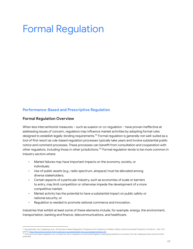# Formal Regulation

#### **Performance-Based and Prescriptive Regulation**

#### **Formal Regulation Overview**

When less interventionist measures - such as suasion or co-regulation - have proven ineffective at addressing issues of concern, regulators may influence market activities by adopting formal rules designed to establish legally-binding requirements. <sup>121</sup> Formal regulation is generally not well-suited as a tool of first resort as rule-based regulation processes typically take years and involve substantial public notice and comment processes. These processes can benefit from consultation and cooperation with other regulators, including those in other jurisdictions.<sup>122</sup> Formal regulation tends to be more common in industry sectors where:

- Market failures may have important impacts on the economy, society, or individuals;
- Use of public assets (*e.g.*, radio spectrum, airspace) must be allocated among diverse stakeholders;
- Certain aspects of a particular industry, such as economies of scale or barriers to entry, may limit competition or otherwise impede the development of a more competitive market;
- Market activity has the potential to have a substantial impact on public safety or national security; or
- Regulation is needed to promote national commerce and innovation.

Industries that exhibit at least some of these elements include, for example, energy, the environment, transportation, banking and finance, telecommunications, and healthcare.

<sup>(2003), &</sup>lt;u>https://heinonline.org/HOL/Print?collection=journals&handle=hein.journals/admin55&id=718</u>.<br><sup>122</sup> As formal rule-based regulation can increase the risk to regulators of protracted litigation challenging substance o <sup>121</sup> See generally Cary Coglianese et al., Performance-Based Regulation: Prospects and Limitations in Healthy, Safety and Environmental Protection, 55 Admin. L. Rev. 705

extended.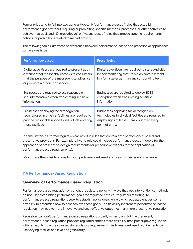Formal rules tend to fall into two general types: (1) "performance-based" rules that establish performance goals without requiring or prohibiting specific methods, processes, or other activities to achieve that goal; and (2) "prescriptive" or "means-based" rules that impose specific requirements, actions, or prohibitions related to market activity.

The following table illustrates the difference between performance-based and prescriptive approaches to the same issue:

| <b>Performance-based</b>                                                                                                                                                                   | <b>Prescriptive</b>                                                                                                                                            |
|--------------------------------------------------------------------------------------------------------------------------------------------------------------------------------------------|----------------------------------------------------------------------------------------------------------------------------------------------------------------|
| Digital advertisers are required to present ads in<br>a manner that reasonably conveys to consumers<br>that the purpose of the message is to advertise<br>or promote a product or service. | Digital advertisers are required to state explicitly<br>in their marketing that "this is an advertisement"<br>in a font size larger than any surrounding text. |
| Businesses are required to use reasonable                                                                                                                                                  | Businesses are required to deploy 3DES                                                                                                                         |
| security measures when transmitting sensitive                                                                                                                                              | encryption when transmitting sensitive                                                                                                                         |
| information.                                                                                                                                                                               | information.                                                                                                                                                   |
| Businesses deploying facial recognition                                                                                                                                                    | Businesses deploying facial recognition                                                                                                                        |
| technologies in physical facilities are required to                                                                                                                                        | technologies in physical facilities are required to                                                                                                            |
| provide reasonable notice to individuals entering                                                                                                                                          | display signs at least 90cm x 60cm at every                                                                                                                    |
| those facilities.                                                                                                                                                                          | point of entry.                                                                                                                                                |

In some instances, formal regulation can result in rules that contain both performance-based and prescriptive provisions. For example, a hybrid rule could include performance-based triggers for the application of prescriptive design requirements (or prescriptive triggers for the application of performance-based requirements).

We address the considerations for both performance-based and prescriptive regulations below.

#### **7.A Performance-Based Regulation**

#### **Overview of Performance-Based Regulation**

Performance-based regulation entrenches regulatory policy – in ways that less interventionist methods do not – by establishing performance goals for regulated entities. Regulators resorting to performance-based regulations seek to establish policy goals while giving regulated entities some flexibility to determine how to best achieve those goals. The flexibility inherent to performance-based regulation may lead to more innovative and cost-effective outcomes than more prescriptive regulation.

Regulators can craft performance-based regulations broadly or narrowly. But in either event, performance-based regulation provides regulated entities more flexibility than prescriptive regulation with respect to how they can satisfy regulatory requirements. Performance-based requirements can use varying metrics and levels of granularity: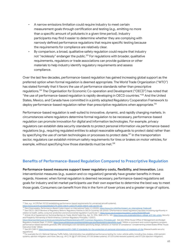- A narrow emissions limitation could require industry to meet certain measurement goals through certification and testing (*e.g.*, emitting no more than a specific amount of pollutants in a given time period). Industry participants may find it easier to determine whether they are complying with narrowly defined performance regulations that require specific testing because the requirements for compliance are relatively clear.
- By comparison, a broad, qualitative safety regulation could require that industry not "recklessly" endanger the public. <sup>123</sup> For regulations with broader, qualitative requirements, regulators or trade associations can provide guidance or other materials to help industry identify regulatory requirements and assess compliance.

Over the last few decades, performance-based regulation has gained increasing global support as the preferred option when formal regulation is deemed appropriate. The World Trade Organization ("WTO") has stated formally that it favors the use of performance standards rather than prescriptive regulations. <sup>124</sup> The Organisation for Economic Co-operation and Development ("OECD") has noted that "the use of performance-based regulation is rapidly developing in OECD countries." <sup>125</sup> And the United States, Mexico, and Canada have committed in a jointly adopted Regulatory Cooperation Framework to deploy performance-based regulation rather than prescriptive regulations when appropriate.<sup>126</sup>

Performance-based regulation is well-suited to innovative, dynamic, and rapidly changing markets. In circumstances where regulators determine formal regulation to be necessary, performance-based regulation can promote innovation for digital and information technologies. For example, privacy regulators can establish data security standards to protect personal information via performance-based regulations (*e.g.*, requiring regulated entities to adopt reasonable safeguards to protect data) rather than by specifying the use of certain technologies or processes to protect data.<sup>127</sup> In the transportation sector, regulators can establish minimum safety requirements for tires or brakes on motor vehicles, for example, without specifying how those standards must be met.<sup>128</sup>

#### **Benefits of Performance-Based Regulation Compared to Prescriptive Regulation**

**Performance-based measures support lower regulatory costs, flexibility, and innovation.** Less interventionist measures (*e.g.*, suasion and co-regulation) generally have greater benefits in these regards. However, when formal regulation is deemed necessary, performance-based regulations set goals for industry and let market participants use their own expertise to determine the best way to meet those goals. Consumers can benefit from this in the form of lower prices and a greater range of options.

<sup>123</sup> *See*, *e.g.*, 14 CFR Part 107.23 (establishing performance-based requirements for unmanned aircraft systems),

pp/details/CFR-2000-title14-vol2/CFR-2000-title14-vol2-sec107-23.

<sup>124</sup> Eleni Doeroukakis, *Performance-Based Codes Impact on International Trade* 4-5 (2000), [https://www.ircc.info/Doc/Impact\\_on\\_International\\_Trade.pdf](https://www.ircc.info/Doc/Impact_on_International_Trade.pdf).

<sup>&</sup>lt;sup>125</sup> See OECD, OECD Reviews of Regulatory Reform: Regulatory Policies in OECD Countries 135 (2002) ("[Performance-based regulation] has been increasing significantly in relation to health, safety, consumer protection and environmental regulation in particular."), [https://www.oecd.org/gov/regulatory-policy/35260489.pdf.](https://www.oecd.org/gov/regulatory-policy/35260489.pdf)

<sup>&</sup>lt;sup>126</sup> Article 2.8 of Agreement on Technical Barriers to Trade, World Trade Org., Apr. 15, 1994, 1868 U.N.T.S. 120, [https://www.wto.org/english/docs\\_e/legal\\_e/17-tbt\\_e.htm;](https://www.wto.org/english/docs_e/legal_e/17-tbt_e.htm) *Security and Prosperity Partnership of North America, Common Regulatory Principles*, 1 (2007),

<https://obamawhitehouse.archives.gov/sites/default/files/omb/oira/irc/SPP-Common-Regulatory-Principles.pdf>. *See also* White House Office of Management and Budget Regulatory Analysis (Sept. 17, 2003), <https://www.whitehouse.gov/sites/whitehouse.gov/files/omb/circulars/A4/a-4.pdf> ("Within a command-and-control regulatory program, performance-based standards generally offer advantages over standards specifying design, behavior, or manner of compliance.") (implementing United States White House

<sup>127</sup> *See* 201 CMR 17, <https://www.mass.gov/regulations/201-CMR-17-standards-for-the-protection-of-personal-information-of-residents-of-the> (Massachusetts security regulations). Executive Order 12866).

<sup>&</sup>lt;sub>1</sub><br>Tor example the U.S. National Highway Traffic Safety Administration has established performance testing for motor vehicle safety including tires, brakes, child restraint systems, ejection mitigation, and more. *See, e.g.*, 49 C.F.R. §§ 571.109 (tires), 571.135 (brake systems), 571.213 (child restraint systems), and 571.226 (ejection mitigation).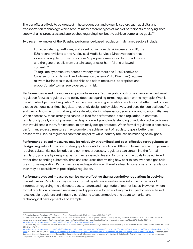The benefits are likely to be greatest in heterogeneous and dynamic sectors such as digital and transportation technology, which feature many different types of market participants of varying sizes, supply chains, processes, and approaches regarding how best to achieve compliance goals. $^{129}$ 

Two recent examples of the EU using performance-based regulation in dynamic sectors include:

- For video-sharing platforms, and as set out in more detail in case study 7B, the EU's recent revisions to the Audiovisual Media Services Directive require that video-sharing platform services take "appropriate measures" to protect minors and the general public from certain categories of harmful and unlawful content. 130
- To regulate cybersecurity across a variety of sectors, the EU's Directive on Cybersecurity of Network and Information Systems ("NIS Directive") requires relevant businesses to evaluate risks and adopt measures "appropriate and proportionate" to manage cybersecurity risk. 131

**Performance-based measures can promote more effective policy outcomes.** Performance-based regulation focuses regulatory and policy debates regarding formal regulation on the key topic: What is the ultimate objective of regulation? Focusing on the end goal enables regulators to better meet or even exceed that goal over time. Regulators routinely design policy objectives, and consider societal benefits and harms, two strengths that regulators develop during observation, education, and suasion initiatives. When necessary, these strengths can be utilized for performance-based regulation. In contrast, regulators typically do not possess the deep knowledge and understanding of industry technical issues that would enable them, for instance, to optimally design products. When formal regulation is necessary, performance-based measures may promote the achievement of regulatory goals better than prescriptive rules, as regulators can focus on policy while industry focuses on meeting policy goals.

**Performance-based measures may be relatively streamlined and cost-effective for regulators to design.** Regulators know how to design policy goals for regulation. Although formal regulation generally requires substantial public notice and comment processes, regulators can streamline the formal regulatory process by designing performance-based rules and focusing on the goals to be achieved rather than spending substantial time and resources determining how best to achieve those goals via prescriptive regulation. Performance-based regulation can therefore lead to lower costs for regulators

**Performance-based measures can be more effective than prescriptive regulations in evolving marketplaces.** Regulators may disfavor formal regulation in evolving markets due to the lack of information regarding the existence, cause, nature, and magnitude of market issues. However, where formal regulation is deemed necessary and appropriate for an evolving market, performance-based rules enable regulators and industry participants to accommodate and adapt to market and technological developments. For example:

than may be possible with prescriptive regulation.

<sup>129</sup> Cary Coglianese, *The Limits of Performance-Based Regulation*, 50 U. Mich. J.L. Reform 525, 545 (2017).

<sup>&</sup>lt;sup>130</sup> Directive 2018/1808 amending Directive 2010/13/EU on the coordination of certain provisions laid down by law, regulation or administrative action in Member States concerning the provision of audiovisual media services (Audiovisual Media Services Directive) in view of changing market realities, 2018 O.J. (L. 303/69), https://eur-lex.europa.eu/legal-content/EN/TXT/PDF/?uri=CELEX:32018 uropa.eu/legal-content/EN/TXT/PDF/?uri=CELEX:32018L1808&from=EN

 $^{131}$  Directive (EU) 2016/1148 of the Eur. Parl. And of the Council concerning measures for a high common level of security of network and information systems across the Union, 2016 O.J. (L. 194/1),

[https://eur-lex.europa.eu/legal-content/EN/TXT/?uri=uriserv:OJ.L\\_.2016.194.01.0001.01.ENG&toc=OJ:L:2016:194:TOC%20%2F2%2E0%20LR2%2FRemediations%2F2019%20Pla](https://eur-lex.europa.eu/legal-content/EN/TXT/?uri=uriserv:OJ.L_.2016.194.01.0001.01.ENG&toc=OJ:L:2016:194:TOC%20%2F2%2E0%20LR2%2FRemediations%2F2019%20Planning) [nning](https://eur-lex.europa.eu/legal-content/EN/TXT/?uri=uriserv:OJ.L_.2016.194.01.0001.01.ENG&toc=OJ:L:2016:194:TOC%20%2F2%2E0%20LR2%2FRemediations%2F2019%20Planning). *See also See* 201 CMR 17, <https://www.mass.gov/regulations/201-CMR-17-standards-for-the-protection-of-personal-information-of-residents-of-the> (Massachusetts' data security regulations provide specific considerations, such as available resources and amount of data stored, that allow for flexibility that may help small businesses comply with an obligation to establish and maintain an information security program).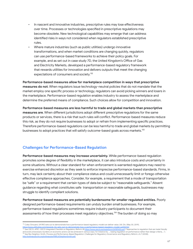- In nascent and innovative industries, prescriptive rules may lose effectiveness over time. Processes or technologies specified in prescriptive regulations may become obsolete. New technological capabilities may emerge that can address identified risks in ways not considered when regulators established prescriptive rules.
- Where mature industries (such as public utilities) undergo innovative transformations, and when market conditions are changing quickly, regulators can use performance-based frameworks to achieve their policy goals. For example, and as set out in case study 7D, the United Kingdom's Office of Gas and Electricity Markets, developed a performance-based regulatory framework that rewards utilities for innovation and delivers outputs that meet the changing expectations of consumers and society. 132

**Performance-based measures allow for marketplace competition in ways that prescriptive measures do not**. When regulators issue technology-neutral policies that do not mandate that the market employ one specific process or technology, regulators can avoid picking winners and losers in the marketplace. Performance-based regulation enables industry to assess the marketplace and determine the preferred means of compliance. Such choices allow for competition and innovation.

**Performance-based measures are less harmful to trade and global markets than prescriptive measures are**. When different jurisdictions adopt different prescriptive regulations for the same products or services, there is a risk that such rules will conflict. Performance-based measures reduce this risk, as they do not require businesses to adopt or refrain from implementing specific practices. Therefore performance-based regulations can be less harmful to trade and global markets by permitting businesses to adopt practices that will satisfy outcome-based goals across markets.<sup>133</sup>

# **Challenges for Performance-Based Regulation**

**Performance-based measures may increase uncertainty.** While performance-based regulation promotes some degree of flexibility in the marketplace, it can also introduce costs and uncertainty in some situations. Without a clear standard for when enforcement is warranted regulators may need to exercise enhanced discretion as they seek to enforce imprecise performance-based standards. Firms, in turn, may lack certainty about their compliance status and could unnecessarily limit or forego otherwise effective compliance approaches. Consider, for example, a requirement that a mode of transportation be "safe" or a requirement that certain types of data be subject to "reasonable safeguards." Absent guidance regarding what constitutes safe transportation or reasonable safeguards, businesses may struggle to identify compliant solutions.

**Performance-based measures are potentially burdensome for smaller regulated entities.** Poorly designed performance-based requirements can unduly burden small businesses. For example, performance-based regulations sometimes require industry participants to document their assessments of how their processes meet regulatory objectives.<sup>134</sup> The burden of doing so may

<sup>134</sup> See Rex Deighton-Smith, Process and Performance-Based Regulation: Challenges for Regulatory Governance and Regulatory Reform, ch.7 (2008), [http://onlinepubs.trb.org/onlinepubs/PBRLit/DeightonSmith.pdf.](http://onlinepubs.trb.org/onlinepubs/PBRLit/DeightonSmith.pdf) <https://www.utilitydive.com/news/uk-riio-sets-out-to-demonstrate-how-a-performance-based-regulatory-model-ca/555761/><br><sup>133</sup> See OECD, APEC-OECD Integrated Checklist on Regulatory Reform 28 <u>https://www.oecd.org/regreform/34</u> and avoid unnecessary burdens on economic actors can be achieved in various ways, for instance by …. basing regulation on performance rather than design criteria….").

<sup>&</sup>lt;sup>132</sup> Coley Girouard, UK RIIO sets out to demonstrate how a performance-based regulatory model can deliver value, Util. Div. (May 30, 2019),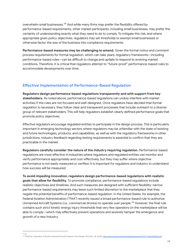overwhelm small businesses.<sup>135</sup> And while many firms may prefer the flexibility offered by performance-based requirements, other market participants, including small businesses, may prefer the certainty of understanding exactly what they need to do to comply. To mitigate this risk, and where appropriate given policy objectives, regulators may set thresholds to exempt small businesses or otherwise factor the size of the business into compliance requirements.

**Performance-based measures may be challenging to amend.** Given the formal notice and comment process requirements for formal regulation, which can take years, regulatory frameworks—including performance-based rules—can be difficult to change and update to respond to evolving market conditions. Therefore, it is critical that regulators attempt to "future-proof" performance-based rules to accommodate developments over time.

# **Effective Implementation of Performance-Based Regulation**

**Regulators design performance-based regulations transparently and with support from key stakeholders.** As noted above, performance-based regulations can unduly interfere with market activities if the rules are not focused and well-designed. Once regulators have decided that formal regulation is necessary, they follow clear and transparent processes that include outreach to a diverse group of relevant stakeholders. This will help regulators establish clearly defined performance goals that promote policy objectives.

Effective regulators encourage regulated entities to participate in the design process. This is particularly important in emerging technology sectors where regulators may be unfamiliar with the state of existing and future technologies, products, and capabilities, as well as with the regulatory frameworks in other jurisdictions. Industry feedback regarding testing requirements is essential to confirm that they are practicable in the market.

**Regulators carefully consider the nature of the industry requiring regulation.** Performance-based regulations are most effective in industries where regulators and regulated entities can monitor and verify performance appropriately and cost-effectively, but they may suffer where objective performance is not easily measured or verified. It is important for regulators and industry to understand how success will be measured.

**To avoid impeding innovation, regulators design performance-based regulations with realistic goals that allow for flexibility.** To promote compliance, performance-based regulations include realistic objectives and timelines. And such measures are designed with sufficient flexibility: narrow performance-based requirements may leave such limited discretion to the marketplace that they negate the potential benefits of performance-based regulation. In the United States, for example, the Federal Aviation Administration ("FAA") recently issued a broad performance-based rule to authorize Unmanned Aircraft Systems (*i.e.*, commercial drones) to operate over people. <sup>136</sup> However, the final rule contains such strict kinetic energy injury thresholds that very few operators on the marketplace will be able to comply—which may effectively prevent operations and severely hamper the emergence and growth of a new industry.

135

<sup>&</sup>lt;sup>135</sup> Id.<br><sup>136</sup> Final Rule, Operation of Small Unmanned Aircraft Systems Over People, FAA (Dec. 28, 202<mark>0), <u>https://www.faa.gov</u>/news/media/attachments/OOP\_Final%20Rule.pdf</mark>.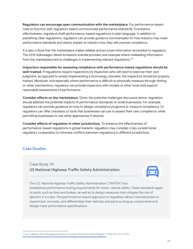**Regulators can encourage open communication with the marketplace.** For performance-based rules to function well, regulators clearly communicate performance standards. To enhance effectiveness, regulators draft performance-based regulations in plain language. In addition to publishing clear regulations, regulators can provide guidance and examples for how industry may meet performance standards and clearly explain to industry how they will oversee compliance.

It is also critical that the marketplace makes reliable and accurate information accessible to regulators. The 2015 Volkswagen diesel emissions scandal provides one example where misleading information from the marketplace led to challenges in implementing relevant regulations.<sup>137</sup>

**Inspectors responsible for assessing compliance with performance-based regulations should be well-trained**. If regulations require inspections by inspectors who will need to exercise their own judgment, as opposed to simply implementing a technology checklist, the inspectors should be properly trained. Moreover, and especially where performance is difficult to physically measure through testing or other mechanisms, regulators can provide inspectors with models or other tools that support reasonable assessments of performance.

**Consider effects on the marketplace.** Given the potential challenges discussed above, regulators should address the potential impacts of performance standards on small businesses. For example, regulators can provide guidance on how to design compliance programs or measure compliance. Or regulators can offer checklists or tools that businesses can use to assess their own compliance, while permitting businesses to use other approaches if desired.

**Consider effects of regulation in other jurisdictions.** To enhance the effectiveness of performance-based regulations in global markets, regulators may consider cross-jurisdictional regulatory cooperation to minimize conflicts between regulations in different jurisdictions.

#### **Case Studies**

# Case Study 7A **US National Highway Traffic Safety Administration**

The U.S. National Highway Traffic Safety Administration ("NHTSA") has established performance testing requirements for motor vehicle safety. These standards apply to parts, such as tires and brakes, as well as to design measures that mitigate the risk of ejection in a crash. The performance-based approach to regulation allows manufacturers to experiment, innovate, and differentiate their vehicles and parts so long as components and design meet performance specifications.

<sup>&</sup>lt;sup>137</sup> Cary Coglianese, What Volkswagen Reveals about the Limits of Performance-Based Regulation, The Reg. Rev. (Oct. 5, 2015),<br>https://www.theregreview.org/2015/10/05/coglianese-volkswagen-performance-based-regulation/.  $\frac{d}{d}$ iew.org/2015/10/05/coglian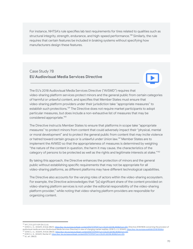For instance, NHTSA's rule specifies lab test requirements for tires related to qualities such as structural integrity, strength, endurance, and high-speed performance.<sup>138</sup> Similarly, the rule requires that certain features be included in braking systems without specifying how manufacturers design these features.

# Case Study 7B **EU Audiovisual Media Services Directive**

The EU's 2018 Audiovisual Media Services Directive ("AVSMD") requires that video-sharing platform services protect minors and the general public from certain categories of harmful or unlawful content, and specifies that Member States must ensure that video-sharing platform providers under their jurisdiction take "appropriate measures" to establish such protections.<sup>139</sup> The Directive does not require market participants to adopt particular measures, but does include a non-exhaustive list of measures that may be considered appropriate. 140

The Directive instructs Member States to ensure that platforms in scope take "appropriate measures" to protect minors from content that could adversely impact their "physical, mental or moral development" and to protect the general public from content that may incite violence or hatred toward certain groups or is unlawful under Union law.<sup>141</sup> Member States are to implement the AVMSD so that the appropriateness of measures is determined by weighing "the nature of the content in question, the harm it may cause, the characteristics of the category of persons to be protected as well as the rights and legitimate interests at stake." $^{\rm 142}$ 

By taking this approach, the Directive enhances the protection of minors and the general public without establishing specific requirements that may not be appropriate for all video-sharing platforms, as different platforms may have different technological capabilities.

The Directive also accounts for the varying roles of actors within the video-sharing ecosystem. For example, the Directive acknowledges that "[a] significant share of the content provided on video-sharing platform services is not under the editorial responsibility of the video-sharing platform provider," while noting that video-sharing platform providers are responsible for organizing content.

142 *Id.*, art. 28b(3).

<sup>88 49</sup> C.F.R. § 571.109 (S4.2.2.6).

<sup>&</sup>lt;sup>140</sup> 2018 O.J. (L. 303/69), Article 28b(3), <u>https://eur-lex.europa.eu/legal-content/FN/TXT/PDF/?uri=CELEX:32018L1808&from=EN.</u><br><sup>141</sup> 2018 O.J. (L. 303/69), Recital 47, <u>https://eur-lex.europa.eu/legal-content/EN/TXT/PDF/</u> <sup>139</sup> 2018 O.J. (L. 303/69), Article 28b(1), [https://eur-lex.europa.eu/legal-content/EN/TXT/PDF/?uri=CELEX:32018L1808&from=EN;](https://eur-lex.europa.eu/legal-content/EN/TXT/PDF/?uri=CELEX:32018L1808&from=EN) *Directive 2018/1808 concerning the provision of* audiovisual media services (Audiovisual Media Services Directive) in view of changing market realities, 2018 O.J. (L 303/69), <https://eur-lex.europa.eu/eli/dir/2018/1808/oj>.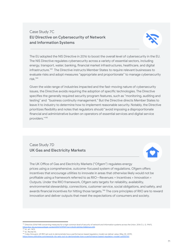# Case Study 7C **EU Directive on Cybersecurity of Network and Information Systems**



The EU adopted the NIS Directive in 2016 to boost the overall level of cybersecurity in the EU. The NIS Directive regulates cybersecurity across a variety of essential sectors, including energy, transport, water, banking, financial market infrastructures, healthcare, and digital infrastructure. <sup>143</sup> The Directive instructs Member States to require relevant businesses to evaluate risks and adopt measures "appropriate and proportionate" to manage cybersecurity risk. 144

Given the wide range of industries impacted and the fast-moving nature of cybersecurity issues, the Directive avoids requiring the adoption of specific technologies. The Directive specifies the generally required security program features, such as "monitoring, auditing and testing" and "business continuity management." But the Directive directs Member States to leave it to industry to determine how to implement reasonable security. Notably, the Directive prioritizes flexibility and notes that regulators should "avoid imposing a disproportionate financial and administrative burden on operators of essential services and digital service providers." 145

# Case Study 7D **UK Gas and Electricity Markets**



The UK Office of Gas and Electricity Markets ("Ofgem") regulates energy prices using a comprehensive, outcome-focused system of regulations. Ofgem offers incentives that encourage utilities to innovate in areas that otherwise likely would not be profitable using a framework referred to as RIIO—Revenues = Incentives + Innovation + Outputs. Under the RIIO framework, Ofgem sets targets for reliability, availability, environmental stewardship, connections, customer service, social obligations, and safety, and awards financial incentives for hitting those targets.<sup>146</sup> The core principles of RIIO are to reward innovation and deliver outputs that meet the expectations of consumers and society.

<sup>&</sup>lt;sup>143</sup> Directive 2016/1148 concerning measures for a high common level of security of network and information systems across the Union, 2016 O.J. (L 194/1), ent/EN/TXT/PDF/?uri=CELEX:32016L1148&from=EN.

<sup>144</sup> *Id.*, art. 14(1).

<sup>145</sup> *Id.*, Recital 43.

<sup>&</sup>lt;sup>146</sup> Coley Girouard, UK RIIO set outs to demonstrate how a performance-based regulatory model can deliver value, (May 30, 2019),<br>https://www.utilitydive.com/news/uk-rijo-sets-out-to-demonstrate-how-a-performance-based-reg <https://www.utilitydive.com/news/uk-riio-sets-out-to-demonstrate-how-a-performance-based-regulatory-model-ca/555761/>.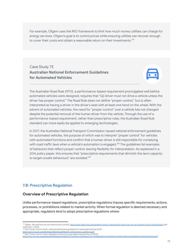For example, Ofgem uses the RIIO framework to limit how much money utilities can charge for energy services. Ofgem's goal is to control prices while ensuring utilities can recover enough to cover their costs and obtain a reasonable return on their investments.<sup>147</sup>

Case Study 7E **Australian National Enforcement Guidelines for Automated Vehicles**



The Australian Road Rule 297(1), a performance-based requirement promulgated well before automated vehicles were designed, requires that "[a] driver must not drive a vehicle unless the driver has proper control*.*" The Road Rule does not define "proper control," but is often interpreted as having a driver in the driver's seat with at least one hand on the wheel. With the advent of automated vehicles, the need for "proper control" over a vehicle has not changed despite the potential removal of the human driver from the vehicle. Through the use of a performance-based requirement, rather than prescriptive rules, the Australian Road Rule standard can more easily be applied to emerging technologies.

In 2017, the Australian National Transport Commission issued national enforcement guidelines for automated vehicles, the purpose of which was to interpret "proper control" for vehicles with automated functions and confirm that a human driver is still responsible for complying with road traffic laws when a vehicle's automation is engaged.<sup>148</sup> The guidelines list examples of behaviors that reflect proper control, leaving flexibility for interpretation. As explained in a 2016 policy paper, this ensures that "prescriptive requirements that diminish the law's capacity to target unsafe behaviours" are avoided.<sup>149</sup>

#### **7.B: Prescriptive Regulation**

#### **Overview of Prescriptive Regulation**

Unlike performance-based regulations, prescriptive regulations impose specific requirements, actions, processes, or prohibitions related to market activity. When formal regulation is deemed necessary and appropriate, regulators tend to adopt prescriptive regulations where:

visited Jan. 4, 2021).<br><sup>148</sup> Nat'l Transp. Comm'n Austl., *National enforcement guidelines for automated vehicles* (2017) <sup>147</sup> Ofgem, *Why and how we use network price controls*, <https://www.ofgem.gov.uk/regulating-energy-networks/why-and-how-we-use-network-price-controls/watch> (last

[https://www.ntc.gov.au/sites/default/files/assets/files/AV\\_enforcement\\_guidelines.pdf](https://www.ntc.gov.au/sites/default/files/assets/files/AV_enforcement_guidelines.pdf).<br><sup>149</sup> Nat'l Transp. Comm'n Austl., *Regulatory reforms for automated road vehicles,* 33 (2017),

<https://www.ntc.gov.au/sites/default/files/assets/files/NTC%20Policy%20Paper%20-%20Regulatory%20reforms%20for%20automated%20road%20vehicles.pdf>.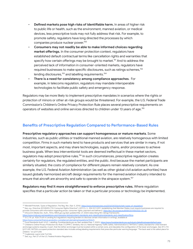- **Defined markets pose high risks of identifiable harm.** In areas of higher risk to public life or health, such as the environment, manned aviation, or medical devices, less prescriptive tools may not fully address that risk. For example, to promote safety, regulators have long directed the processes by which companies produce nuclear power. 150
- **Consumers may not readily be able to make informed choices regarding market offerings.** In the consumer protection context, regulators have established default contractual terms like cancellation rights and warranties that specify how certain offerings may be brought to market. <sup>151</sup> And to address the perceived lack of information in consumer-oriented markets, regulators have required businesses to make specific disclosures, such as ratings schemes, 152 lending disclosures, $^{\rm 153}$  and labelling requirements. $^{\rm 154}$
- **There is a need for consistency among compliance approaches**. For example, in telecoms regulation, regulators may mandate interoperable technologies to facilitate public safety and emergency response.

Regulators may be more likely to implement prescriptive mandates in scenarios where the rights or protection of minors or other at-risk groups would be threatened. For example, the U.S. Federal Trade Commission's Children's Online Privacy Protection Rule places several prescriptive requirements on operators of websites and online services directed to children under 13 years of age. 155

#### **Benefits of Prescriptive Regulation Compared to Performance-Based Rules**

**Prescriptive regulatory approaches can support homogeneous or mature markets**. Some industries, such as public utilities or traditional manned aviation, are relatively homogenous with limited competition. Firms in such markets tend to have products and services that are similar in many, if not most, important aspects, and may share technologies, supply chains, and/or processes to achieve business goals. When less interventionist tools are deemed ineffectual in these market sectors, regulators may adopt prescriptive rules.<sup>156</sup> In such circumstances, prescriptive regulation creates certainty for regulators, the regulated entities, and the public. And because the market participants are similarly situated, the costs of compliance for different players remain relatively constant. As one example, the U.S. Federal Aviation Administration (as well as other global civil aviation authorities) have issued globally harmonized aircraft design requirements for the manned aviation industry intended to ensure that aircraft are airworthy and safe to operate in the airspace system. 157

**Regulators may find it more straightforward to enforce prescriptive rules.** Where regulation specifies that a particular action be taken or that a particular process or technology be implemented,

<sup>&</sup>lt;sup>50</sup> Wendell Pritchett, *Types of Regulation*, The Reg. Rev. (Apr. 5, 2016), <u>https://www.theregreview.org/2016/04/05/pritchett-type</u>

<sup>152</sup> Infocomm Media Dev. Auth., *Films*, IMDA.gov.sg (last updated Mar. 27, 2020) (describing film ratings framework), 151 See, e.g., Directive 2011/83/EU ("EU Consumer Rights Directive"), 2011 O.J. L. 304 22.11.2011 (establishing that Member States must require businesses are required to provide consumers with information regarding prices, consumer rights, payment and delivery), <https://eur-lex.europa.eu/eli/dir/2011/83/2022-05-28>*.*

<sup>&</sup>lt;u>https://www.imda.qov.sq/requlations-and-licensinq-listinq/content-standards-and-classification/standards-and-classification/films.</u><br><sup>153</sup> 12 C.F.R. pt. 1026 (Truth in Lending Act regulations requiring lenders to disclose

<sup>155</sup> Children's Online Privacy Protection Act Rule [\("COPPA"\)](https://www.ftc.gov/tips-advice/business-center/privacy-and-security/children%27s-privacy). Similarly, the U.S. National Highway Traffic Safety Administration's ("NHTSA's") safety standard for child restraint anchorage systems requires, in part, that the tether anchorage must be located within a certain zone, and stipulates the configuration of the lower anchorages. *See* 49 C.F.R. § 571.225. NHTSA's occupant protection standard also includes airbag labeling requirements that prescribe particular warning language: "The back seat is the safest place for children." *Id*. § 571.208. https://www.consumerfinance.gov/policy-compliance/rulemaking/requlations/1026/1/.<br><sup>154</sup> Food Standards Austl. & N.Z., *Labelling,* Foodstandards.gov.au (last updated Sep. 7, 2020), <u>https://www.foodstandards.gov.au/industr</u>

Coglianese, *supra* note 9 at 546.

<sup>157</sup> *See*, *e.g.*, Part 27 of the U.S. Federal Aviation Regulations.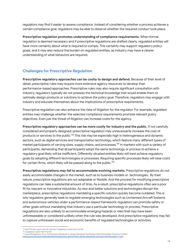regulators may find it easier to assess compliance. Instead of considering whether a process achieves a certain compliance goal, regulators may be able to observe whether the required conduct took place.

**Prescriptive regulation promotes understanding of compliance requirements.** When formal regulation is deemed necessary and if prescriptive regulations are drafted clearly, regulated entities will have more certainty about what is required to comply. This certainty may support regulatory policy goals, and it may also reduce the burden on regulated entities, as industry may have a clearer understanding of what behaviors are required.

### **Challenges for Prescriptive Regulation**

**Prescriptive regulatory approaches can be costly to design and defend**. Because of their level of detail, prescriptive rules may require more extensive agency resources to develop than performance-based approaches. Prescriptive rules may also require significant consultation with industry: regulators typically do not possess the technical knowledge that would enable them to optimally design products or solutions to achieve the policy goal. Therefore, regulators may engage with industry and educate themselves about the implications of prescriptive requirements.

Prescriptive regulation can also enhance the risks of litigation for the regulator. For example, regulated entities may challenge whether the selected compliance requirements promote relevant policy objectives. Even just the threat of litigation can increase costs for the agency.

**Prescriptive regulatory approaches can be more costly for industry and the public**. If not carefully considered and properly designed, prescriptive regulation may unnecessarily increase the cost of products or services to the public.<sup>158</sup> This risk may be especially high in heterogeneous and dynamic sectors, such as digital services and transportation technology, which feature many different types of market participants of varying sizes, supply chains, and processes. 159 In markets with such a variety of participants, demanding that all participants adopt the same technology or process to achieve a regulatory goal likely will be inefficient. Differently situated entities likely will best achieve regulatory goals by adopting different technologies or processes. Requiring specific processes likely will raise costs for certain firms, which likely will be passed along to the public. $^{160}$ 

**Prescriptive regulations may fail to accommodate evolving markets**. Prescriptive regulations do not easily accommodate changes in the market, such as to business models or technologies. By their nature, prescriptive regulations are not adaptable or flexible. And the process for modifying prescriptive regulations can take a substantial amount of time. As a result, prescriptive regulations often are a poor fit for nascent or innovative industries. As new and better solutions and technologies disrupt the marketplace, prescriptive regulations mandating a specific solution quickly become outdated. This is why regulators generally seek to regulate emerging technologies such as Unmanned Aircraft Systems and autonomous vehicles under a performance-based framework; regulators can promote safety or other goals without mandating that industry use a particular technology or process. Prescriptive regulations are also unlikely to accommodate emerging hazards or risks that may have been unforeseeable or considered unlikely when the rule was developed. And prescriptive regulations may fail to capture unforeseen social and economic benefits of regulated technologies or activities.

<sup>158</sup> *See* Pritchett, *supra* note 30. *See also* Coglianese, *supra* note 9 at 526.

<sup>159</sup> Coglianese, *supra* note 9 at 545.

<sup>160</sup> Laura Montgomery et. al., *Performance Standards vs. Design Standards: Facilitating a Shift Toward Best Practices* 9 (2019), <https://www.mercatus.org/system/files/montgomery-performance-design-standards-mercatus-working-paper-v1.pdf>.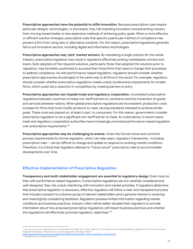**Prescriptive approaches have the potential to stifle innovation.** Because prescriptive rules require particular designs, technologies, or processes, they risk impeding innovation and preventing industry from moving toward better or less expensive methods of achieving policy goals. When a more effective or efficient solution emerges, prescriptive rules that specify a particular method of compliance may prevent a firm from using new or alternative solutions. For this reason, prescriptive regulations generally fail to suit innovative sectors, including digital and information technologies.

**Prescriptive approaches may 'pick' market winners**. By mandating a single solution for the whole industry, prescriptive regulation may result in regulators effectively picking marketplace winners and losers. Early adopters of the required solutions, particularly those that adopted the solutions prior to regulation, may be better positioned to succeed than those firms that need to change their processes to address compliance. As with performance-based regulation, regulators should consider whether prescriptive approaches should apply in the same way to all firms in the sector. For example, regulators should consider whether prescriptive regulations create unduly burdensome requirements for smaller firms, which could risk a reduction in competition by creating barriers to entry.

**Prescriptive approaches can impede trade and regulatory cooperation.** Inconsistent prescriptive regulations between countries increase non-tariff barriers to commerce and the movement of goods and services between nations. When global prescriptive regulations are inconsistent, production costs increase for firms that must modify products to meet varying standards intended to achieve similar goals. These costs are passed on, at least in part, to consumers. For this reason, governments consider prescriptive regulation to be a significant non-tariff barrier to trade. As noted above, in recent years, trade and regulatory cooperation authorities have increasingly promoted performance-based regulation over prescriptive requirements.<sup>161</sup>

**Prescriptive approaches may be challenging to amend.** Given the formal notice and comment process requirements for formal regulation, which can take years, regulatory frameworks –including prescriptive rules – can be difficult to change and update to respond to evolving market conditions. Therefore, it is critical that regulators attempt to "future-proof" prescriptive rules to accommodate developments over time.

#### **Effective Implementation of Prescriptive Regulation**

**Transparency and multi-stakeholder engagement are essential to regulatory design**. Even more so than with performance-based regulation, if prescriptive regulations are not carefully considered and well-designed, they risk unduly interfering with innovation and market activities. If regulators determine that prescriptive regulation is necessary, effective regulators will follow a clear and transparent process that includes outreach to a diverse group of relevant stakeholders and a genuine interest in receiving and meaningfully considering feedback. Regulators possess limited information regarding market conditions and business practices. Industry often will be better situated than regulators to provide information about how proposed prescriptive regulations will impact business practices and whether the regulations will effectively promote regulatory objectives.<sup>162</sup>

<https://obamawhitehouse.archives.gov/sites/default/files/omb/oira/irc/SPP-Common-Regulatory-Principles.pdf>.<br><sup>162</sup> Montgomery, et. al., su*pra* note 40 at 9. <sup>161</sup> *See*, *e.g.*, Article 2.8 of Agreement on Technical Barriers to Trade, Apr. 15, 1994, 1868 U.N.T.S. 120, https://www.wto.org/english/docs\_e/legal\_e/17-tbt\_e.htm; *Security and Prosperity Partnership of North America, Common Regulatory Principles* 1 (2007)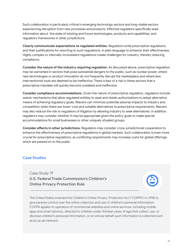Such collaboration is particularly critical in emerging technology sectors and long-stable sectors experiencing disruption from new processes and products. Effective regulators specifically seek information about the state of existing and future technologies, products and capabilities, and regulatory frameworks in other jurisdictions.

**Clearly communicate expectations to regulated entities.** Regulators write prescriptive regulations, and their justifications for resorting to such regulations, in plain language to enhance their effectiveness. Highly complex or internally inconsistent regulations create challenges for industry, thereby reducing compliance.

**Consider the nature of the industry requiring regulation.** As discussed above, prescriptive regulation may be warranted in sectors that pose substantial dangers to the public, such as nuclear power, where new technologies or product innovation do not frequently disrupt the marketplace and where less interventionist tools are deemed to be ineffective. There is less of a risk in these sectors that a prescriptive mandate will quickly become outdated and ineffective.

**Consider compliance accommodations.** Given the nature of prescriptive regulation, regulators include waiver mechanisms that allow regulated entities to seek and obtain authorizations to adopt alternative means of achieving regulatory goals. Waivers can minimize potential adverse impacts to industry and competition when there are lower-cost and suitable alternatives to prescriptive requirements. Waivers may also reduce the risk to regulators of litigation by allowing industry to seek alternatives. In addition, regulators may consider whether it may be appropriate given the policy goals to make special accommodations for small businesses or other uniquely situated groups.

**Consider effects in other jurisdictions.** Regulators may consider cross-jurisdictional cooperation to enhance the effectiveness of prescriptive regulations in global markets. Such collaboration is even more crucial for prescriptive regulations, as conflicting requirements may increase costs for global offerings, which are passed on to the public.

#### **Case Studies**

Case Study 7F **U.S. Federal Trade Commission's Children's Online Privacy Protection Rule**

The United States enacted the Children's Online Privacy Protection Act ("COPPA") in 1998 to give parents control over the online collection and use of children's personal information. COPPA applies to operators of commercial websites and online services, including mobile apps and smart devices, directed to children under thirteen years of age that collect, use, or disclose children's personal information, or on whose behalf such information is collected such as by an ad network.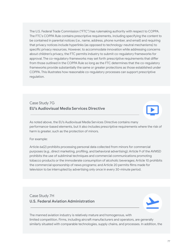The U.S. Federal Trade Commission ("FTC") has rulemaking authority with respect to COPPA. The FTC's COPPA Rule contains prescriptive requirements, including specifying the content to be contained in parental notices (*i.e.*, name, address, phone number, and email) and requiring that privacy notices include hyperlinks (as opposed to technology-neutral mechanisms) to specific privacy resources. However, to accommodate innovation while addressing concerns about children's privacy, the FTC permits industry to submit co-regulatory frameworks for approval. The co-regulatory frameworks may set forth prescriptive requirements that differ from those outlined in the COPPA Rule so long as the FTC determines that the co-regulatory frameworks provide substantially the same or greater protections as those established under COPPA. This illustrates how reasonable co-regulatory processes can support prescriptive regulation.

# Case Study 7G **EU's Audiovisual Media Services Directive**

As noted above, the EU's Audiovisual Media Services Directive contains many performance-based elements, but it also includes prescriptive requirements where the risk of harm is greater, such as the protection of minors.

#### For example:

Article 6a(2) prohibits processing personal data collected from minors for commercial purposes (*e.g.*, direct marketing, profiling, and behavioral advertising); Article 9 of the AVMSD prohibits the use of subliminal techniques and commercial communications promoting tobacco products or the immoderate consumption of alcoholic beverages; Article 10 prohibits the commercial sponsorship of news programs; and Article 20 permits films made for television to be interrupted by advertising only once in every 30-minute period.

## Case Study 7H **U.S. Federal Aviation Administration**



The manned aviation industry is relatively mature and homogenous, with limited competition. Firms, including aircraft manufacturers and operators, are generally similarly situated with comparable technologies, supply chains, and processes. In addition, the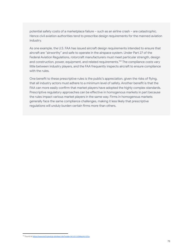potential safety costs of a marketplace failure – such as an airline crash – are catastrophic. Hence civil aviation authorities tend to prescribe design requirements for the manned aviation industry.

As one example, the U.S. FAA has issued aircraft design requirements intended to ensure that aircraft are "airworthy" and safe to operate in the airspace system. Under Part 27 of the Federal Aviation Regulations, rotorcraft manufacturers must meet particular strength, design and construction, power, equipment, and related requirements. <sup>163</sup> The compliance costs vary little between industry players, and the FAA frequently inspects aircraft to ensure compliance with the rules.

One benefit to these prescriptive rules is the public's appreciation, given the risks of flying, that all industry actors must adhere to a minimum level of safety. Another benefit is that the FAA can more easily confirm that market players have adopted the highly complex standards. Prescriptive regulatory approaches can be effective in homogenous markets in part because the rules impact various market players in the same way. Firms in homogenous markets generally face the same compliance challenges, making it less likely that prescriptive regulations will unduly burden certain firms more than others.

<sup>163</sup> Found at [https://www.ecfr.gov/cgi-bin/text-idx?node=14:1.0.1.3.13#sp14.1.27.a.](https://www.ecfr.gov/cgi-bin/text-idx?node=14:1.0.1.3.13#sp14.1.27.a)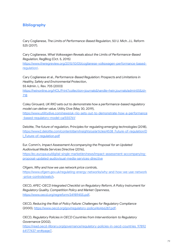#### **Bibliography**

Cary Coglianese, *The Limits of Performance-Based Regulation*, 50 U. Mich. J.L. Reform 525 (2017).

Cary Coglianese, *What Volkswagen Reveals about the Limits of Performance-Based Regulation*, RegBlog (Oct. 5, 2015) [https://www.theregreview.org/2015/10/05/coglianese-volkswagen-performance-based](https://www.theregreview.org/2015/10/05/coglianese-volkswagen-performance-based-regulation/)[regulation/](https://www.theregreview.org/2015/10/05/coglianese-volkswagen-performance-based-regulation/).

Cary Coglianese et al., *Performance-Based Regulation: Prospects and Limitations in Healthy, Safety and Environmental Protection*, 55 Admin. L. Rev. 705 (2003) [https://heinonline.org/HOL/Print?collection=journals&handle=hein.journals/admin55&id=](https://heinonline.org/HOL/Print?collection=journals&handle=hein.journals/admin55&id=718) [718](https://heinonline.org/HOL/Print?collection=journals&handle=hein.journals/admin55&id=718)

Coley Girouard, *UK RIIO sets out to demonstrate how a performance-based regulatory model can deliver value,* Utility Dive (May 30, 2019), [https://www.utilitydive.com/news/uk-riio-sets-out-to-demonstrate-how-a-performance](https://www.utilitydive.com/news/uk-riio-sets-out-to-demonstrate-how-a-performance-based-regulatory-model-ca/555761/)

[-based-regulatory-model-ca/555761/](https://www.utilitydive.com/news/uk-riio-sets-out-to-demonstrate-how-a-performance-based-regulatory-model-ca/555761/)

Deloitte, *The future of regulation, Principles for regulating emerging technologies* (2018), [https://www2.deloitte.com/content/dam/insights/us/articles/4538\\_Future-of-regulation/D](https://www2.deloitte.com/content/dam/insights/us/articles/4538_Future-of-regulation/DI_Future-of-regulation.pdf) [I\\_Future-of-regulation.pdf](https://www2.deloitte.com/content/dam/insights/us/articles/4538_Future-of-regulation/DI_Future-of-regulation.pdf)

Eur. Comm'n, *Impact Assessment Accompanying the Proposal for an Updated Audiovisual Media Services Directive* (2016),

[https://ec.europa.eu/digital-single-market/en/news/impact-assessment-accompanying](https://ec.europa.eu/digital-single-market/en/news/impact-assessment-accompanying-proposal-updated-audiovisual-media-services-directive)[proposal-updated-audiovisual-media-services-directive](https://ec.europa.eu/digital-single-market/en/news/impact-assessment-accompanying-proposal-updated-audiovisual-media-services-directive)

Ofgem, *Why and how we use network price controls*,

[https://www.ofgem.gov.uk/regulating-energy-networks/why-and-how-we-use-network](https://www.ofgem.gov.uk/regulating-energy-networks/why-and-how-we-use-network-price-controls/watch) [-price-controls/watch](https://www.ofgem.gov.uk/regulating-energy-networks/why-and-how-we-use-network-price-controls/watch).

OECD, *APEC-OECD Integrated Checklist on Regulatory Reform, A Policy Instrument for Regulatory Quality, Competition Policy and Market Openness*, [https://www.oecd.org/regreform/34989455.pdf.](https://www.oecd.org/regreform/34989455.pdf)

OECD, *Reducing the Risk of Policy Failure: Challenges for Regulatory Compliance* (2000)*,* <https://www.oecd.org/gov/regulatory-policy/46466287.pdf>.

OECD, *Regulatory Policies in OECD Countries from Interventionism to Regulatory Governance* (2002),

[https://read.oecd-ilibrary.org/governance/regulatory-policies-in-oecd-countries\\_97892](https://read.oecd-ilibrary.org/governance/regulatory-policies-in-oecd-countries_9789264177437-en#page7) [64177437-en#page7.](https://read.oecd-ilibrary.org/governance/regulatory-policies-in-oecd-countries_9789264177437-en#page7)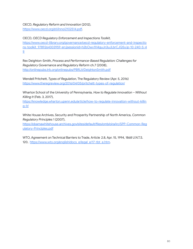OECD, *Regulatory Reform and Innovation* (2012), [https://www.oecd.org/sti/inno/2102514.pdf.](https://www.oecd.org/sti/inno/2102514.pdf)

OECD, *OECD Regulatory Enforcement and Inspections Toolkit,* [https://www.oecd-ilibrary.org/governance/oecd-regulatory-enforcement-and-inspectio](https://www.oecd-ilibrary.org/governance/oecd-regulatory-enforcement-and-inspections-toolkit_9789264303959-en;jsessionid=h2bOwv1H4guJn3uJLbrCJQ5y.ip-10-240-5-49) [ns-toolkit\\_9789264303959-en;jsessionid=h2bOwv1H4guJn3uJLbrCJQ5y.ip-10-240-5-4](https://www.oecd-ilibrary.org/governance/oecd-regulatory-enforcement-and-inspections-toolkit_9789264303959-en;jsessionid=h2bOwv1H4guJn3uJLbrCJQ5y.ip-10-240-5-49) [9](https://www.oecd-ilibrary.org/governance/oecd-regulatory-enforcement-and-inspections-toolkit_9789264303959-en;jsessionid=h2bOwv1H4guJn3uJLbrCJQ5y.ip-10-240-5-49)

Rex Deighton-Smith, *Process and Performance-Based Regulation: Challenges for Regulatory Governance and Regulatory Reform* ch.7 (2008), <http://onlinepubs.trb.org/onlinepubs/PBRLit/DeightonSmith.pdf>

Wendell Pritchett, *Types of Regulation,* The Regulatory Review (Apr. 5, 2016) <https://www.theregreview.org/2016/04/05/pritchett-types-of-regulation/>

Wharton School of the University of Pennsylvania, *How to Regulate Innovation – Without Killing It* (Feb. 3, 2017),

[https://knowledge.wharton.upenn.edu/article/how-to-regulate-innovation-without-killin](https://knowledge.wharton.upenn.edu/article/how-to-regulate-innovation-without-killing-it/) [g-it/](https://knowledge.wharton.upenn.edu/article/how-to-regulate-innovation-without-killing-it/)

White House Archives, Security and Prosperity Partnership of North America, *Common Regulatory Principles* 1 (2007),

[https://obamawhitehouse.archives.gov/sites/default/files/omb/oira/irc/SPP-Common-Reg](https://obamawhitehouse.archives.gov/sites/default/files/omb/oira/irc/SPP-Common-Regulatory-Principles.pdf) [ulatory-Principles.pdf](https://obamawhitehouse.archives.gov/sites/default/files/omb/oira/irc/SPP-Common-Regulatory-Principles.pdf)

WTO, Agreement on Technical Barriers to Trade, Article 2.8, Apr. 15, 1994, 1868 U.N.T.S. 120, [https://www.wto.org/english/docs\\_e/legal\\_e/17-tbt\\_e.htm.](https://www.wto.org/english/docs_e/legal_e/17-tbt_e.htm)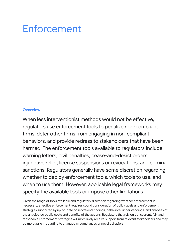# Enforcement

#### **Overview**

When less interventionist methods would not be effective, regulators use enforcement tools to penalize non-compliant firms, deter other firms from engaging in non-compliant behaviors, and provide redress to stakeholders that have been harmed. The enforcement tools available to regulators include warning letters, civil penalties, cease-and-desist orders, injunctive relief, license suspensions or revocations, and criminal sanctions. Regulators generally have some discretion regarding whether to deploy enforcement tools, which tools to use, and when to use them. However, applicable legal frameworks may specify the available tools or impose other limitations.

Given the range of tools available and regulatory discretion regarding whether enforcement is necessary, effective enforcement requires sound consideration of policy goals and enforcement strategies supported by up-to-date observational findings, behavioral understandings, and analyses of the anticipated public costs and benefits of the actions. Regulators that rely on transparent, fair, and reasonable enforcement strategies will more likely receive support from relevant stakeholders and may be more agile in adapting to changed circumstances or novel behaviors.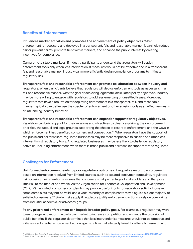#### **Benefits of Enforcement**

**Influences market activities and promotes the achievement of policy objectives**. When enforcement is necessary and deployed in a transparent, fair, and reasonable manner, it can help reduce risk or prevent harms, promote trust within markets, and enhance the public interest by creating incentives for compliance.

**Can promote stable markets.** If industry participants understand that regulators will deploy enforcement tools only when less interventionist measures would not be effective and in a transparent, fair, and reasonable manner, industry can more efficiently design compliance programs to mitigate regulatory risk.

**Transparent, fair, and reasonable enforcement can promote collaboration between industry and regulators**. When participants believe that regulators will deploy enforcement tools as necessary, in a fair and reasonable manner, with the goal of achieving legitimate, articulated policy objectives, industry may be more willing to engage with regulators to address emerging or unsettled issues. Moreover, regulators that have a reputation for deploying enforcement in a transparent, fair, and reasonable manner typically can better use the specter of enforcement or other suasion tools as an effective means of influencing industry behavior.

**Transparent, fair, and reasonable enforcement can engender support for regulatory objectives.** Regulators can build support for their missions and objectives by clearly explaining their enforcement priorities, the factual and legal grounds supporting the choice to resort to enforcement, and the ways in which enforcement has benefited consumers and competition. <sup>164</sup> When regulators have the support of the public and policymakers, regulated businesses may be more responsive to suasion and other less interventionist regulatory tools. And regulated businesses may be less likely to challenge regulatory activities, including enforcement, when there is broad public and policymaker support for the regulator.

#### **Challenges for Enforcement**

**Uninformed enforcement leads to poor regulatory outcomes**. If regulators resort to enforcement based on information received from limited sources, such as isolated consumer complaints, regulators risk focusing their attention on issues that concern a small percentage of stakeholders and that pose little risk to the market as a whole. As the Organisation for Economic Co-operation and Development ("OECD") has noted, consumer complaints may provide useful inputs for regulatory activity. However, some complaints may not be valid, and a vocal minority of complainants may disguise a silent majority of satisfied consumers.<sup>165</sup> Similar risks apply if regulators justify enforcement actions solely on complaints from industry, academia, or advocacy groups.

**Poorly prioritized enforcement can impede broader policy goals.** For example, a regulator may wish to encourage innovation in a particular market to increase competition and enhance the provision of public benefits. If the regulator determines that less interventionist measures would not be effective and initiates a substantial enforcement action against a firm that allegedly failed to adhere to research and

<sup>165</sup> *See* OECD, *Consumer Policy Toolkit* 60 (2010), [https://read.oecd-ilibrary.org/governance/consumer-policy-toolkit\\_9789264079663-en#page1](https://read.oecd-ilibrary.org/governance/consumer-policy-toolkit_9789264079663-en#page1). 164 Int'l Org. of Sec. Comm's, *Credible Deterrence In the Enforcement of Securities Regulation* 41 (2015), <https://www.iosco.org/library/pubdocs/pdf/IOSCOPD490.pdf>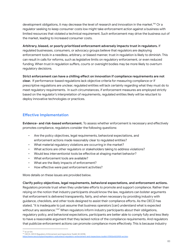development obligations, it may decrease the level of research and innovation in the market.<sup>166</sup> Or a regulator seeking to keep consumer costs low might take enforcement action against a business with limited resources that violated a technical requirement. Such enforcement may drive the business out of the market, leading to increased consumer costs.

#### **Arbitrary, biased, or poorly prioritized enforcement adversely impacts trust in regulators.** If

regulated businesses, consumers, or advocacy groups believe that regulators are deploying enforcement tools in a needless, arbitrary, or biased manner, trust in regulation is likely to diminish. This can result in calls for reforms, such as legislative limits on regulatory enforcement, or even reduced funding. When trust in regulation suffers, courts or oversight bodies may be more likely to overturn regulatory decisions.

**Strict enforcement can have a chilling effect on innovation if compliance requirements are not clear.** If performance-based regulations lack objective criteria for measuring compliance or if prescriptive regulations are unclear, regulated entities will lack certainty regarding what they must do to meet regulatory requirements. In such circumstances, if enforcement measures are employed strictly based on the regulator's interpretation of requirements, regulated entities likely will be reluctant to deploy innovative technologies or practices.

#### **Effective Implementation**

**Evidence- and risk-based enforcement.** To assess whether enforcement is necessary and effectively promotes compliance, regulators consider the following questions:

- Are the policy objectives, legal requirements, behavioral expectations, and enforcement actions made reasonably clear to regulated entities?
- What material regulatory violations are occurring in the market?
- What actions are other regulators or stakeholders taking to address violations?
- Would less interventionist tools be effective at shaping market behavior?
- What enforcement tools are available?
- What are the likely impacts of enforcement?
- How effective were past enforcement activities?

More details on these issues are provided below.

#### **Clarify policy objectives, legal requirements, behavioral expectations, and enforcement actions.**

Regulators promote trust when they undertake efforts to promote and support compliance. Rather than relying on the notion that industry participants should know the law, regulators can bolster arguments that enforcement is delivered transparently, fairly, and when necessary by providing industry with guidance, checklists, and other tools designed to assist their compliance efforts. As the OECD has stated, "it is inadequate to just assume that business operators [can] understand what is expected without any assistance."<sup>167</sup> When regulators inform industry participants about their obligations, regulatory policy, and behavioral expectations, participants are better able to comply fully and less likely to have a reasonable argument that they lacked notice of the compliance requirements. And regulators that publicize enforcement actions can promote compliance more effectively. This is because industry

<sup>166</sup> *Id.* at 104.

<sup>167</sup> OECD, *OECD Regulatory Enforcement and Inspections Toolkit* 45 (2018),

ht-and-inspections-toolkit-9789264303959-en.htm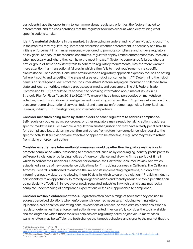participants have the opportunity to learn more about regulatory priorities, the factors that led to enforcement, and the considerations that the regulator took into account when determining what specific actions to take.

**Identify material violations in the market.** By developing an understanding of any violations occurring in the markets they regulate, regulators can determine whether enforcement is necessary and how to initiate enforcement in a manner reasonably designed to promote compliance and achieve regulatory policy goals. To account for resource constraints, regulators deploy limited enforcement resources only when necessary and where they can have the most impact.<sup>168</sup> Systemic compliance failures, where a firm or group of firms consistently fails to adhere to regulatory requirements, may therefore warrant more attention than transactional failures in which a firm fails to meet requirements in a specific circumstance. For example, Consumer Affairs Victoria's regulatory approach expressly focuses on acting "where it counts and target[ing] the areas of greatest risk of consumer harm." <sup>169</sup> Determining the risk of harm is an "intelligence-led" effort for Consumer Affairs Victoria, relying on information collected from state and local authorities, industry groups, social media, and consumers. The U.S. Federal Trade Commission ("FTC") articulated its approach to obtaining information about market issues in its Strategic Plan for Fiscal Years 2018 to 2022. $^{170}$  To ensure it has a broad perspective on marketplace activities, in addition to its own investigative and monitoring activities, the FTC gathers information from consumer complaints, national surveys, federal and state law enforcement agencies, Better Business Bureaus, industry, FTC investigations, and international partners.

**Consider measures being taken by stakeholders or other regulators to address compliance.**

Self-regulatory bodies, advocacy groups, or other regulators may already be taking action to address specific market issues. For example, a regulator in another jurisdiction may have already penalized a firm for a compliance issue, deterring that firm and others from future non-compliance with regard to the specific activity. If such actions are effective or appear to be effective, a regulator may wish to refrain from taking enforcement action.

**Consider whether less interventionist measures would be effective.** Regulators may be able to promote compliance without resorting to enforcement, such as by encouraging industry participants to self-report violations or by issuing notices of non-compliance and allowing firms a period of time in which to correct their behaviors. Consider, for example, the California Consumer Privacy Act, which established a range of new compliance obligations for firms doing business in California. The California Attorney General is authorized to enforce the law and its implementing regulations, but only after informing alleged violators and allowing them 30 days in which to cure the violation. <sup>171</sup> Providing industry participants with an opportunity to remedy alleged violations and thereby reduce or avoid penalties can be particularly effective in innovative or newly regulated industries in which participants may lack a complete understanding of compliance expectations or feasible approaches to compliance.

**Consider available enforcement tools.** Regulators often have a range of tools that they can use to address perceived violations when enforcement is deemed necessary, including warning letters, injunctions, civil penalties, operating bans, revocations of licenses, or even criminal sanctions. When a regulator determines that enforcement action is warranted, they carefully consider the tools available and the degree to which those tools will help achieve regulatory policy objectives. In many cases, warning letters may be sufficient to both change the target's behaviors and signal to the market that the

<sup>168</sup> OECD, *Consumer Policy Toolkit* at 102.

<sup>169</sup> Consumer Affairs Victoria, *Our Regulatory Approach and Compliance Policy* (last updated Nov. 9, 2019),

<sup>170</sup> FTC, *Strategic Plan for Fiscal Years 2018 to 2022*, [https://www.ftc.gov/system/files/documents/reports/2018-2022-strategic-plan/ftc\\_fy18-22\\_strategic\\_plan.pdf.](https://www.ftc.gov/system/files/documents/reports/2018-2022-strategic-plan/ftc_fy18-22_strategic_plan.pdf) https://www.consumer.vic.gov.au/about-us/regulatory-approach-and-compliance-policy/our-regulatory-ap

<sup>171</sup> Cal. Civ. Code 1798.155(b).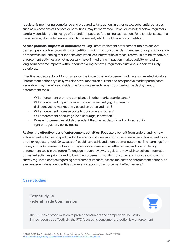regulator is monitoring compliance and prepared to take action. In other cases, substantial penalties, such as revocations of licenses or hefty fines, may be warranted. However, as noted below, regulators carefully consider the full range of potential impacts before taking such action. For example, substantial penalties may dissuade new entries into the market, which could reduce competition.

**Assess potential impacts of enforcement.** Regulators implement enforcement tools to achieve desired goals, such as promoting competition, minimizing consumer detriment, encouraging innovation, or otherwise influencing market behaviors when less interventionist measures would not be effective. If enforcement activities are not necessary, have limited or no impact on market activity, or lead to long-term adverse impacts without countervailing benefits, regulatory trust and support will likely deteriorate.

Effective regulators do not focus solely on the impact that enforcement will have on targeted violators. Enforcement actions typically will also have impacts on current and prospective market participants. Regulators may therefore consider the following impacts when considering the deployment of enforcement tools:

- Will enforcement promote compliance in other market participants?
- Will enforcement impact competition in the market (*e.g.*, by creating disincentives to market entry based on perceived risk)?
- Will enforcement increase costs to consumers or others?
- Will enforcement encourage (or discourage) innovation?
- Does enforcement establish precedent that the regulator is willing to accept in light of regulatory policy goals?

**Review the effectiveness of enforcement activities.** Regulators benefit from understanding how enforcement activities shaped market behaviors and assessing whether alternative enforcement tools or other regulatory tools (*e.g.*, suasion) could have achieved more optimal outcomes. The learnings from these *post facto* reviews will support regulators in assessing whether, when, and how to deploy enforcement tools in the future. To engage in such reviews, regulators may wish to collect information on market activities prior to and following enforcement, monitor consumer and industry complaints, survey regulated entities regarding enforcement impacts, assess the costs of enforcement actions, or even engage independent entities to develop reports on enforcement effectiveness.<sup>172</sup>

#### **Case Studies**

Case Study 8A **Federal Trade Commission**



The FTC has a broad mission to protect consumers and competition. To use its limited resources effectively, the FTC focuses its consumer protection law enforcement

<sup>172</sup> OECD, *OECD Best Practice Principles for Regulatory Policy: Regulatory Enforcement and Inspections* 17-22 (2014), .<br>https://www.org/en.htm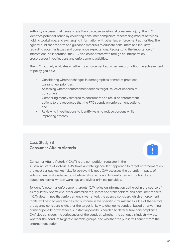authority on cases that cause or are likely to cause substantial consumer injury. The FTC identifies potential issues by collecting consumer complaints, researching market activities, holding workshops, and exchanging information with other law enforcement authorities. The agency publishes reports and guidance materials to educate consumers and industry regarding potential issues and compliance expectations. Recognizing the importance of international collaboration, the FTC also collaborates with foreign counterparts on cross-border investigations and enforcement activities.

The FTC routinely evaluates whether its enforcement activities are promoting the achievement of policy goals by:

- Considering whether changes in demographics or market practices warrant new priorities;
- Assessing whether enforcement actions target issues of concern to consumers;
- Comparing money restored to consumers as a result of enforcement actions to the resources that the FTC spends on enforcement actions; and
- Reviewing investigations to identify ways to reduce burdens while improving efficacy.

# Case Study 8B **Consumer Affairs Victoria**



Consumer Affairs Victoria ("CAV") is the competition regulator in the Australian state of Victoria. CAV takes an "intelligence-led" approach to target enforcement on the most serious market risks. To achieve this goal, CAV assesses the potential impacts of enforcement and available tools before taking action. CAV's enforcement tools include education, formal written warnings, and civil or criminal penalties.

To identify potential enforcement targets, CAV relies on information gathered in the course of its regulatory operations, other Australian regulators and stakeholders, and consumer reports. If CAV determines that enforcement is warranted, the agency considers which enforcement tool(s) will best achieve the desired outcome in the specific circumstances. One of the factors the agency considers is whether the target is likely to change its conduct based on a warning or minor penalty or whether a substantial penalty is needed to deter future noncompliance. CAV also considers the seriousness of the conduct, whether the conduct is industry-wide, whether the conduct targets vulnerable groups, and whether the public will benefit from the enforcement action.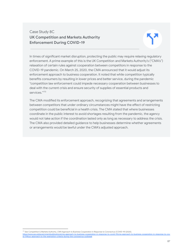# Case Study 8C **UK Competition and Markets Authority Enforcement During COVID-19**

In times of significant market disruption, protecting the public may require relaxing regulatory enforcement. A prime example of this is the UK Competition and Markets Authority's ("CMA's") relaxation of certain rules against cooperation between competitors in response to the COVID-19 pandemic. On March 25, 2020, the CMA announced that it would adjust its enforcement approach to business cooperation. It noted that while competition typically benefits consumers by resulting in lower prices and better service, during the pandemic "competition law enforcement could impede necessary cooperation between businesses to deal with the current crisis and ensure security of supplies of essential products and services." 173

The CMA modified its enforcement approach, recognizing that agreements and arrangements between competitors that under ordinary circumstances might have the effect of restricting competition could be beneficial in a health crisis. The CMA stated that where businesses coordinate in the public interest to avoid shortages resulting from the pandemic, the agency would not take action if the coordination lasted only as long as necessary to address the crisis. The CMA also provided detailed guidance to help businesses determine whether agreements or arrangements would be lawful under the CMA's adjusted approach.

<sup>173</sup> *See* Competition & Markets Authority, *CMA Approach to Business Cooperation in Response to Coronavirus (COVID-19)* (2020), https://www.gov.uk/government/publications/cma-approach-to-business-cooperation[id-19#our-approach-to-the-exemption-criteria-during-the-coronavirus-outbreak](https://www.gov.uk/government/publications/cma-approach-to-business-cooperation-in-response-to-covid-19/cma-approach-to-business-cooperation-in-response-to-covid-19#our-approach-to-the-exemption-criteria-during-the-coronavirus-outbreak).